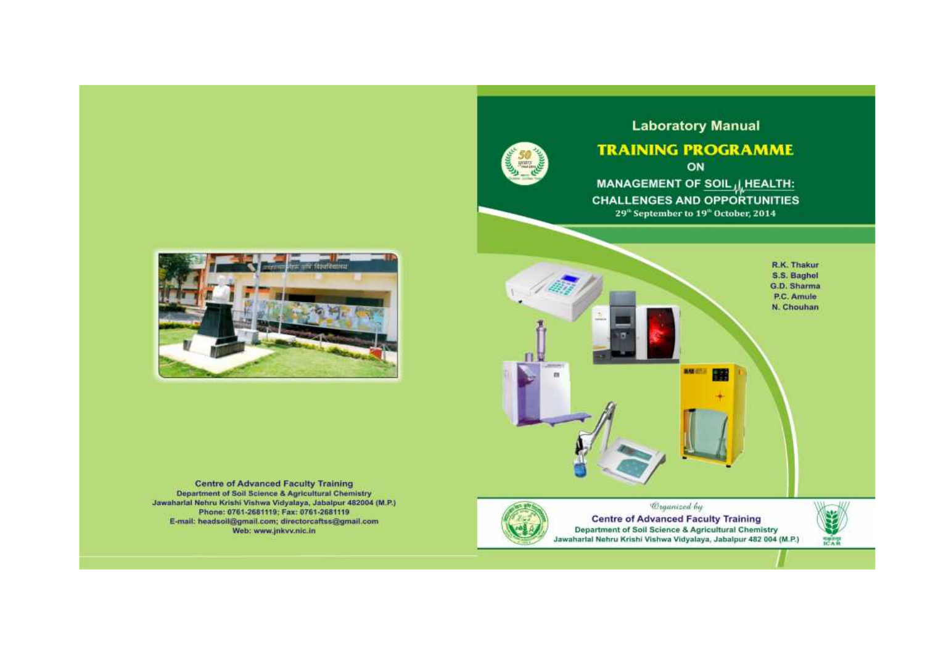

# **Laboratory Manual**

# **TRAINING PROGRAMME** ON

MANAGEMENT OF SOIL ILLEALTH: **CHALLENGES AND OPPORTUNITIES** 29<sup>th</sup> September to 19<sup>th</sup> October, 2014



**Centre of Advanced Faculty Training** Department of Soil Science & Agricultural Chemistry Jawaharlal Nehru Krishi Vishwa Vidyalaya, Jabalpur 482004 (M.P.) Phone: 0761-2681119; Fax: 0761-2681119 E-mail: headsoil@gmail.com; directorcaftss@gmail.com Web: www.jnkvv.nic.in





*Coganized by* **Centre of Advanced Faculty Training** Department of Soil Science & Agricultural Chemistry Jawaharlal Nehru Krishi Vishwa Vidyalaya, Jabalpur 482 004 (M.P.)

**HARD**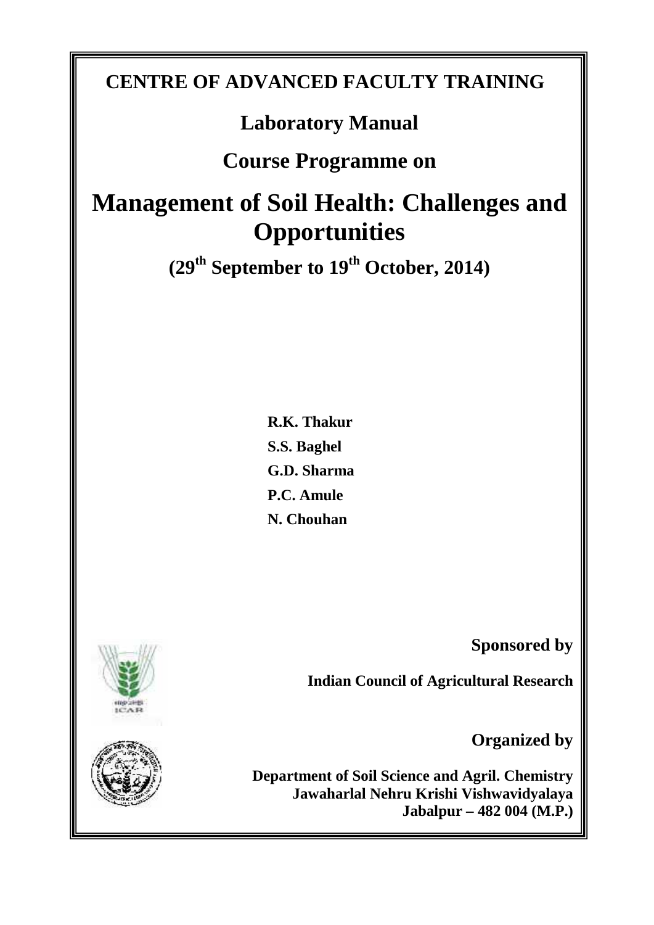# **CENTRE OF ADVANCED FACULTY TRAINING**

# **Laboratory Manual**

# **Course Programme on**

# **Management of Soil Health: Challenges and Opportunities**

**(29th September to 19th October, 2014)**

**R.K. Thakur S.S. Baghel G.D. Sharma P.C. Amule N. Chouhan**

**Sponsored by**

**Indian Council of Agricultural Research**

**Organized by**

**Department of Soil Science and Agril. Chemistry Jawaharlal Nehru Krishi Vishwavidyalaya Jabalpur – 482 004 (M.P.)**



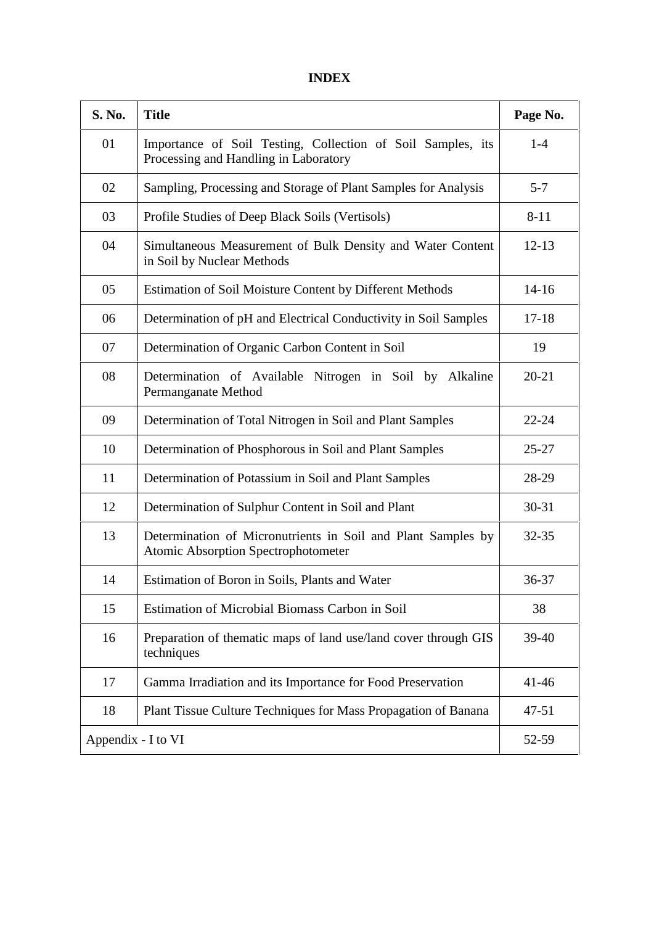| S. No. | <b>Title</b>                                                                                               | Page No.  |
|--------|------------------------------------------------------------------------------------------------------------|-----------|
| 01     | Importance of Soil Testing, Collection of Soil Samples, its<br>Processing and Handling in Laboratory       | $1-4$     |
| 02     | Sampling, Processing and Storage of Plant Samples for Analysis                                             | $5 - 7$   |
| 03     | Profile Studies of Deep Black Soils (Vertisols)                                                            | $8 - 11$  |
| 04     | Simultaneous Measurement of Bulk Density and Water Content<br>in Soil by Nuclear Methods                   | $12 - 13$ |
| 05     | Estimation of Soil Moisture Content by Different Methods                                                   | $14 - 16$ |
| 06     | Determination of pH and Electrical Conductivity in Soil Samples                                            | $17 - 18$ |
| 07     | Determination of Organic Carbon Content in Soil                                                            | 19        |
| 08     | Determination of Available Nitrogen in Soil by Alkaline<br>Permanganate Method                             | $20 - 21$ |
| 09     | Determination of Total Nitrogen in Soil and Plant Samples                                                  | $22 - 24$ |
| 10     | Determination of Phosphorous in Soil and Plant Samples                                                     | $25 - 27$ |
| 11     | Determination of Potassium in Soil and Plant Samples                                                       | 28-29     |
| 12     | Determination of Sulphur Content in Soil and Plant                                                         | $30 - 31$ |
| 13     | Determination of Micronutrients in Soil and Plant Samples by<br><b>Atomic Absorption Spectrophotometer</b> | $32 - 35$ |
| 14     | Estimation of Boron in Soils, Plants and Water                                                             | 36-37     |
| 15     | Estimation of Microbial Biomass Carbon in Soil                                                             | 38        |
| 16     | Preparation of thematic maps of land use/land cover through GIS<br>techniques                              | 39-40     |
| 17     | Gamma Irradiation and its Importance for Food Preservation                                                 | $41 - 46$ |
| 18     | Plant Tissue Culture Techniques for Mass Propagation of Banana                                             | 47-51     |
|        | Appendix - I to VI                                                                                         | 52-59     |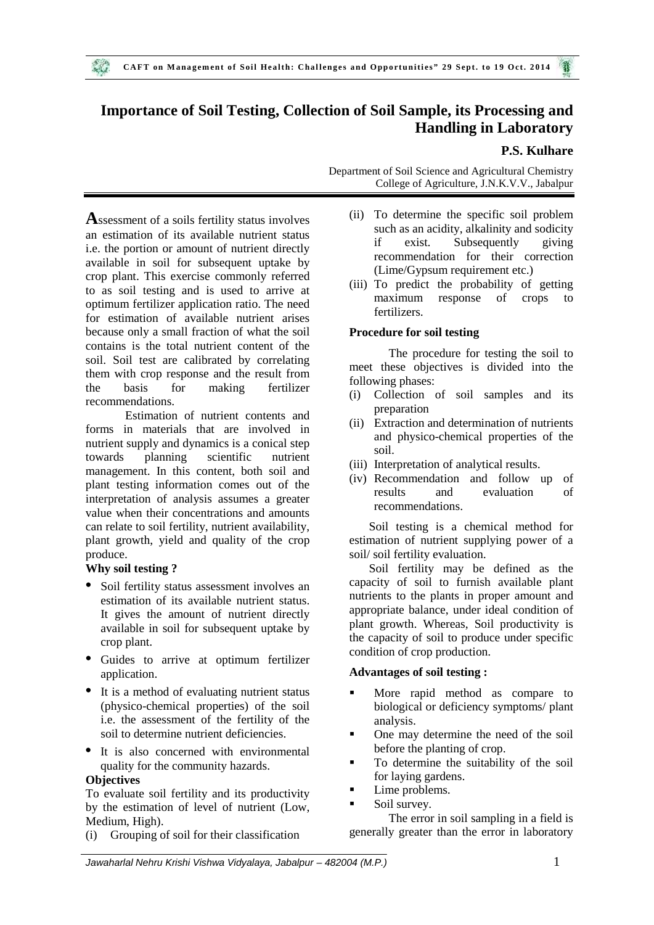# **Importance of Soil Testing, Collection of Soil Sample, its Processing and Handling in Laboratory**

#### **P.S. Kulhare**

**A**ssessment of a soils fertility status involves an estimation of its available nutrient status i.e. the portion or amount of nutrient directly available in soil for subsequent uptake by crop plant. This exercise commonly referred to as soil testing and is used to arrive at optimum fertilizer application ratio. The need for estimation of available nutrient arises because only a small fraction of what the soil contains is the total nutrient content of the soil. Soil test are calibrated by correlating them with crop response and the result from the basis for making fertilizer recommendations.

Estimation of nutrient contents and forms in materials that are involved in nutrient supply and dynamics is a conical step towards planning scientific nutrient management. In this content, both soil and plant testing information comes out of the interpretation of analysis assumes a greater value when their concentrations and amounts can relate to soil fertility, nutrient availability, plant growth, yield and quality of the crop produce.

#### **Why soil testing ?**

- Soil fertility status assessment involves an estimation of its available nutrient status. It gives the amount of nutrient directly available in soil for subsequent uptake by crop plant.
- Guides to arrive at optimum fertilizer application.
- It is a method of evaluating nutrient status (physico-chemical properties) of the soil i.e. the assessment of the fertility of the soil to determine nutrient deficiencies.

• It is also concerned with environmental quality for the community hazards.

## **Objectives**

To evaluate soil fertility and its productivity by the estimation of level of nutrient (Low, Medium, High).

(i) Grouping of soil for their classification

Department of Soil Science and Agricultural Chemistry College of Agriculture, J.N.K.V.V., Jabalpur

- (ii) To determine the specific soil problem such as an acidity, alkalinity and sodicity if exist. Subsequently giving recommendation for their correction (Lime/Gypsum requirement etc.)
- (iii) To predict the probability of getting maximum response of crops to fertilizers.

#### **Procedure for soil testing**

The procedure for testing the soil to meet these objectives is divided into the following phases:

- (i) Collection of soil samples and its preparation
- (ii) Extraction and determination of nutrients and physico-chemical properties of the soil.
- (iii) Interpretation of analytical results.
- (iv) Recommendation and follow up of results and evaluation of recommendations.

Soil testing is a chemical method for estimation of nutrient supplying power of a soil/ soil fertility evaluation.

Soil fertility may be defined as the capacity of soil to furnish available plant nutrients to the plants in proper amount and appropriate balance, under ideal condition of plant growth. Whereas, Soil productivity is the capacity of soil to produce under specific condition of crop production.

#### **Advantages of soil testing :**

- More rapid method as compare to biological or deficiency symptoms/ plant analysis.
- One may determine the need of the soil before the planting of crop.
- To determine the suitability of the soil for laying gardens.
- Lime problems.
- Soil survey.

The error in soil sampling in a field is generally greater than the error in laboratory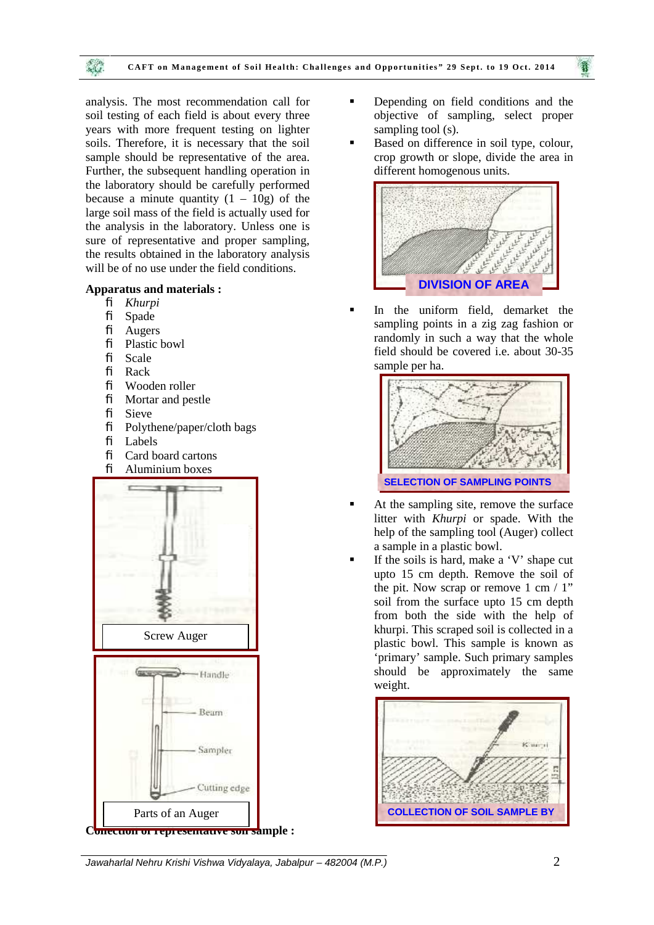

analysis. The most recommendation call for soil testing of each field is about every three years with more frequent testing on lighter soils. Therefore, it is necessary that the soil sample should be representative of the area. Further, the subsequent handling operation in the laboratory should be carefully performed because a minute quantity  $(1 - 10g)$  of the large soil mass of the field is actually used for the analysis in the laboratory. Unless one is sure of representative and proper sampling, the results obtained in the laboratory analysis will be of no use under the field conditions.

#### **Apparatus and materials :**

- *Khurpi*
- $\oslash$  Spade
- $\varnothing$  Augers
- Plastic bowl
- $\varnothing$  Scale
- $\varnothing$  Rack
- Wooden roller
- $\oslash$  Mortar and pestle  $\varnothing$  Sieve
- 
- $\emptyset$  Polythene/paper/cloth bags
- $\varnothing$  Labels
- $\oslash$  Card board cartons
- $\emptyset$  Aluminium boxes



- **•** Depending on field conditions and the objective of sampling, select proper sampling tool (s).
- Based on difference in soil type, colour, crop growth or slope, divide the area in different homogenous units.



 In the uniform field, demarket the sampling points in a zig zag fashion or randomly in such a way that the whole field should be covered i.e. about 30-35 sample per ha.



- At the sampling site, remove the surface litter with *Khurpi* or spade. With the help of the sampling tool (Auger) collect a sample in a plastic bowl.
- If the soils is hard, make a 'V' shape cut upto 15 cm depth. Remove the soil of the pit. Now scrap or remove  $1 \text{ cm} / 1$ " soil from the surface upto 15 cm depth from both the side with the help of khurpi. This scraped soil is collected in a plastic bowl. This sample is known as 'primary' sample. Such primary samples should be approximately the same weight.

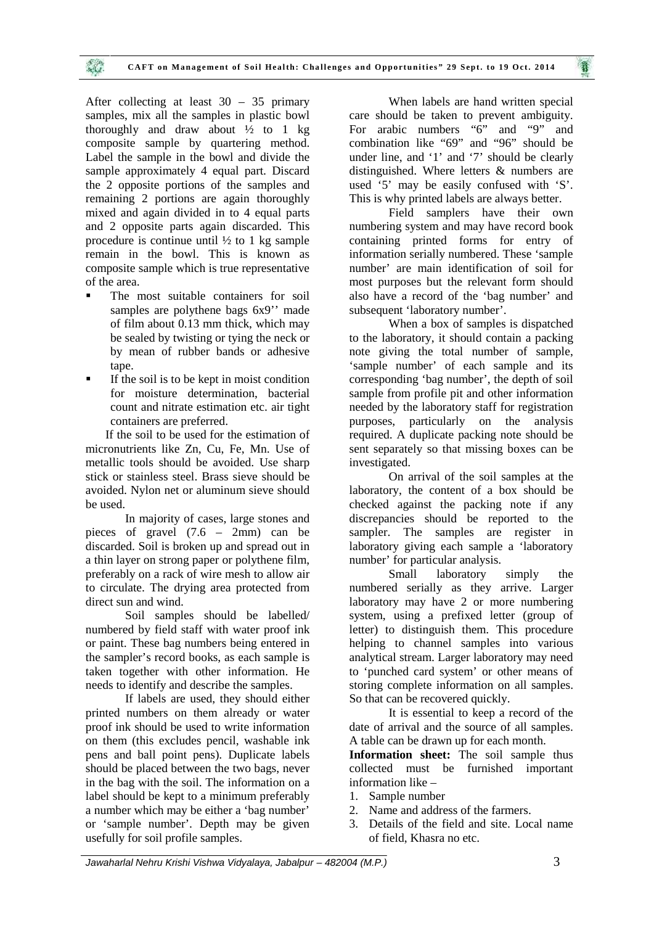After collecting at least 30 – 35 primary samples, mix all the samples in plastic bowl thoroughly and draw about  $\frac{1}{2}$  to 1 kg composite sample by quartering method. Label the sample in the bowl and divide the sample approximately 4 equal part. Discard the 2 opposite portions of the samples and remaining 2 portions are again thoroughly mixed and again divided in to 4 equal parts and 2 opposite parts again discarded. This procedure is continue until  $\frac{1}{2}$  to 1 kg sample remain in the bowl. This is known as composite sample which is true representative of the area.

 $\mathcal{L}$ 

- The most suitable containers for soil samples are polythene bags  $6x9$ " made of film about 0.13 mm thick, which may be sealed by twisting or tying the neck or by mean of rubber bands or adhesive tape.
- If the soil is to be kept in moist condition for moisture determination, bacterial count and nitrate estimation etc. air tight containers are preferred.

If the soil to be used for the estimation of micronutrients like Zn, Cu, Fe, Mn. Use of metallic tools should be avoided. Use sharp stick or stainless steel. Brass sieve should be avoided. Nylon net or aluminum sieve should be used.

In majority of cases, large stones and pieces of gravel (7.6 – 2mm) can be discarded. Soil is broken up and spread out in a thin layer on strong paper or polythene film, preferably on a rack of wire mesh to allow air to circulate. The drying area protected from direct sun and wind.

Soil samples should be labelled/ numbered by field staff with water proof ink or paint. These bag numbers being entered in the sampler's record books, as each sample is taken together with other information. He needs to identify and describe the samples.

If labels are used, they should either printed numbers on them already or water proof ink should be used to write information on them (this excludes pencil, washable ink pens and ball point pens). Duplicate labels should be placed between the two bags, never in the bag with the soil. The information on a label should be kept to a minimum preferably a number which may be either a 'bag number' or 'sample number'. Depth may be given usefully for soil profile samples.

When labels are hand written special care should be taken to prevent ambiguity. For arabic numbers "6" and "9" and combination like "69" and "96" should be under line, and '1' and '7' should be clearly distinguished. Where letters & numbers are used '5' may be easily confused with 'S'. This is why printed labels are always better.

Field samplers have their own numbering system and may have record book containing printed forms for entry of information serially numbered. These 'sample number' are main identification of soil for most purposes but the relevant form should also have a record of the 'bag number' and subsequent 'laboratory number'.

When a box of samples is dispatched to the laboratory, it should contain a packing note giving the total number of sample, 'sample number' of each sample and its corresponding 'bag number', the depth of soil sample from profile pit and other information needed by the laboratory staff for registration purposes, particularly on the analysis required. A duplicate packing note should be sent separately so that missing boxes can be investigated.

On arrival of the soil samples at the laboratory, the content of a box should be checked against the packing note if any discrepancies should be reported to the sampler. The samples are register in laboratory giving each sample a 'laboratory number' for particular analysis.

Small laboratory simply the numbered serially as they arrive. Larger laboratory may have 2 or more numbering system, using a prefixed letter (group of letter) to distinguish them. This procedure helping to channel samples into various analytical stream. Larger laboratory may need to 'punched card system' or other means of storing complete information on all samples. So that can be recovered quickly.

It is essential to keep a record of the date of arrival and the source of all samples. A table can be drawn up for each month.

**Information sheet:** The soil sample thus collected must be furnished important information like –

- 1. Sample number
- 2. Name and address of the farmers.
- 3. Details of the field and site. Local name of field, Khasra no etc.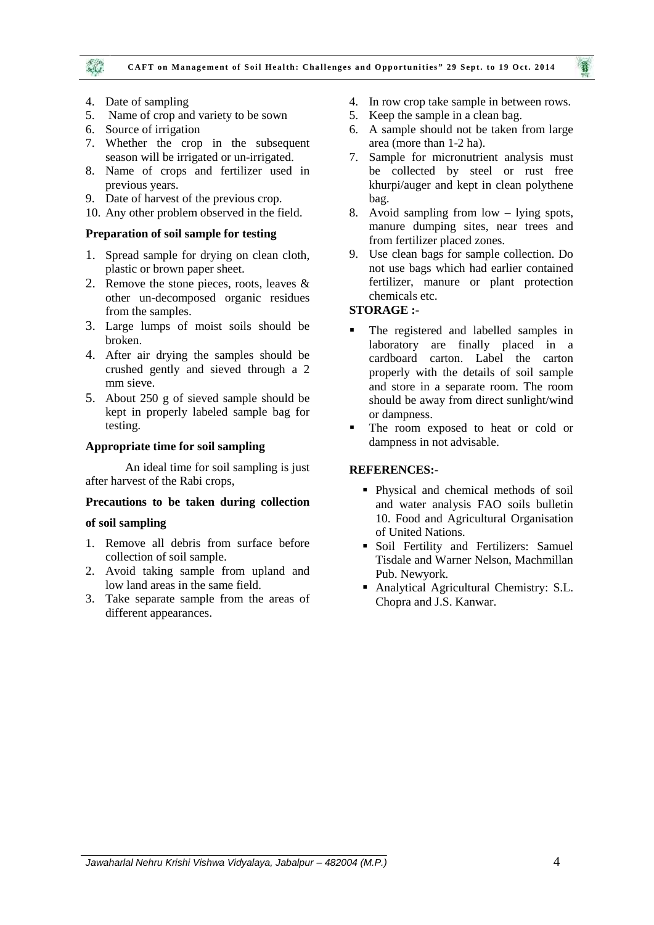

- 4. Date of sampling
- 5. Name of crop and variety to be sown
- 6. Source of irrigation
- 7. Whether the crop in the subsequent season will be irrigated or un-irrigated.
- 8. Name of crops and fertilizer used in previous years.
- 9. Date of harvest of the previous crop.
- 10. Any other problem observed in the field.

#### **Preparation of soil sample for testing**

- 1. Spread sample for drying on clean cloth, plastic or brown paper sheet.
- 2. Remove the stone pieces, roots, leaves & other un-decomposed organic residues from the samples.
- 3. Large lumps of moist soils should be broken.
- 4. After air drying the samples should be crushed gently and sieved through a 2 mm sieve.
- 5. About 250 g of sieved sample should be kept in properly labeled sample bag for testing.

#### **Appropriate time for soil sampling**

An ideal time for soil sampling is just after harvest of the Rabi crops,

#### **Precautions to be taken during collection**

#### **of soil sampling**

- 1. Remove all debris from surface before collection of soil sample.
- 2. Avoid taking sample from upland and low land areas in the same field.
- 3. Take separate sample from the areas of different appearances.
- 4. In row crop take sample in between rows.
- 5. Keep the sample in a clean bag.
- 6. A sample should not be taken from large area (more than 1-2 ha).
- 7. Sample for micronutrient analysis must be collected by steel or rust free khurpi/auger and kept in clean polythene bag.
- 8. Avoid sampling from low lying spots, manure dumping sites, near trees and from fertilizer placed zones.
- 9. Use clean bags for sample collection. Do not use bags which had earlier contained fertilizer, manure or plant protection chemicals etc.

#### **STORAGE :-**

- The registered and labelled samples in laboratory are finally placed in a cardboard carton. Label the carton properly with the details of soil sample and store in a separate room. The room should be away from direct sunlight/wind or dampness.
- The room exposed to heat or cold or dampness in not advisable.

#### **REFERENCES:-**

- Physical and chemical methods of soil and water analysis FAO soils bulletin 10. Food and Agricultural Organisation of United Nations.
- Soil Fertility and Fertilizers: Samuel Tisdale and Warner Nelson, Machmillan Pub. Newyork.
- Analytical Agricultural Chemistry: S.L. Chopra and J.S. Kanwar.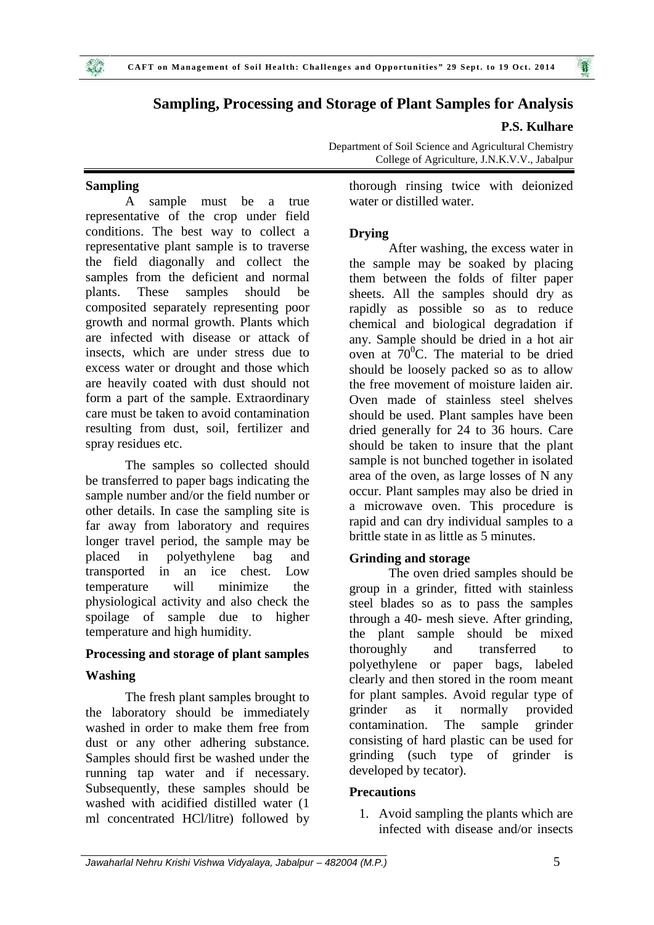

## **Sampling, Processing and Storage of Plant Samples for Analysis**

## **P.S. Kulhare**

Department of Soil Science and Agricultural Chemistry College of Agriculture, J.N.K.V.V., Jabalpur

## **Sampling**

A sample must be a true representative of the crop under field conditions. The best way to collect a representative plant sample is to traverse the field diagonally and collect the samples from the deficient and normal plants. These samples should be composited separately representing poor growth and normal growth. Plants which are infected with disease or attack of insects, which are under stress due to excess water or drought and those which are heavily coated with dust should not form a part of the sample. Extraordinary care must be taken to avoid contamination resulting from dust, soil, fertilizer and spray residues etc.

The samples so collected should be transferred to paper bags indicating the sample number and/or the field number or other details. In case the sampling site is far away from laboratory and requires longer travel period, the sample may be placed in polyethylene bag and transported in an ice chest. Low temperature will minimize the physiological activity and also check the spoilage of sample due to higher temperature and high humidity.

## **Processing and storage of plant samples**

#### **Washing**

The fresh plant samples brought to for plan<br>poratory should be immediately stringer the laboratory should be immediately washed in order to make them free from dust or any other adhering substance. Samples should first be washed under the running tap water and if necessary. Subsequently, these samples should be washed with acidified distilled water (1 ml concentrated HCl/litre) followed by

thorough rinsing twice with deionized water or distilled water.

## **Drying**

After washing, the excess water in the sample may be soaked by placing them between the folds of filter paper sheets. All the samples should dry as rapidly as possible so as to reduce chemical and biological degradation if any. Sample should be dried in a hot air oven at  $70^{\circ}$ C. The material to be dried should be loosely packed so as to allow the free movement of moisture laiden air. Oven made of stainless steel shelves should be used. Plant samples have been dried generally for 24 to 36 hours. Care should be taken to insure that the plant sample is not bunched together in isolated area of the oven, as large losses of N any occur. Plant samples may also be dried in a microwave oven. This procedure is rapid and can dry individual samples to a brittle state in as little as 5 minutes.

## **Grinding and storage**

The oven dried samples should be group in a grinder, fitted with stainless steel blades so as to pass the samples through a 40- mesh sieve. After grinding, the plant sample should be mixed thoroughly and transferred to polyethylene or paper bags, labeled clearly and then stored in the room meant for plant samples. Avoid regular type of as it normally provided contamination. The sample grinder consisting of hard plastic can be used for grinding (such type of grinder is developed by tecator).

#### **Precautions**

1. Avoid sampling the plants which are infected with disease and/or insects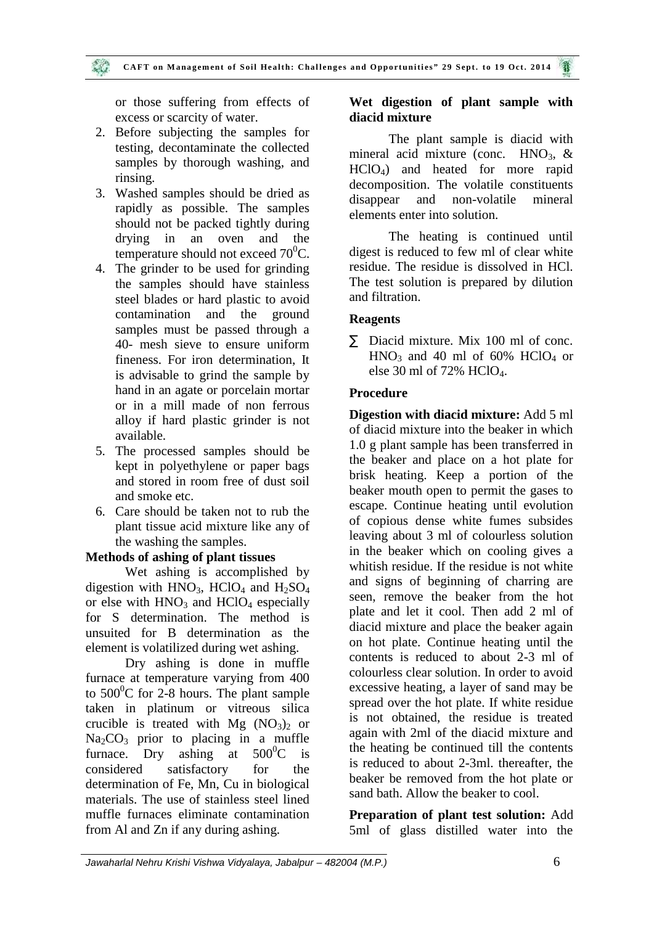or those suffering from effects of excess or scarcity of water.

- 2. Before subjecting the samples for testing, decontaminate the collected samples by thorough washing, and rinsing.
- 3. Washed samples should be dried as rapidly as possible. The samples should not be packed tightly during drying in an oven and the temperature should not exceed  $70^0$ C.
- 4. The grinder to be used for grinding the samples should have stainless steel blades or hard plastic to avoid contamination and the ground samples must be passed through a 40- mesh sieve to ensure uniform fineness. For iron determination, It is advisable to grind the sample by hand in an agate or porcelain mortar or in a mill made of non ferrous alloy if hard plastic grinder is not available.
- 5. The processed samples should be kept in polyethylene or paper bags and stored in room free of dust soil and smoke etc.
- 6. Care should be taken not to rub the plant tissue acid mixture like any of the washing the samples.

## **Methods of ashing of plant tissues**

Wet ashing is accomplished by digestion with  $HNO<sub>3</sub>$ ,  $HClO<sub>4</sub>$  and  $H<sub>2</sub>SO<sub>4</sub>$ or else with  $HNO<sub>3</sub>$  and  $HClO<sub>4</sub>$  especially for S determination. The method is unsuited for B determination as the element is volatilized during wet ashing.

Dry ashing is done in muffle furnace at temperature varying from 400 to  $500^{\circ}$ C for 2-8 hours. The plant sample taken in platinum or vitreous silica crucible is treated with Mg  $(NO<sub>3</sub>)<sub>2</sub>$  or  $Na<sub>2</sub>CO<sub>3</sub>$  prior to placing in a muffle furnace. Dry ashing at  $500^{\circ}$ C is considered satisfactory for the determination of Fe, Mn, Cu in biological materials. The use of stainless steel lined muffle furnaces eliminate contamination from Al and Zn if any during ashing.

## **Wet digestion of plant sample with diacid mixture**

The plant sample is diacid with mineral acid mixture (conc.  $HNO<sub>3</sub>$ , & HClO4) and heated for more rapid decomposition. The volatile constituents disappear and non-volatile mineral elements enter into solution.

The heating is continued until digest is reduced to few ml of clear white residue. The residue is dissolved in HCl. The test solution is prepared by dilution and filtration.

## **Reagents**

 $\tilde{N}$  Diacid mixture. Mix 100 ml of conc.  $HNO<sub>3</sub>$  and 40 ml of 60% HClO<sub>4</sub> or else 30 ml of 72% HClO<sub>4</sub>.

## **Procedure**

**Digestion with diacid mixture:** Add 5 ml of diacid mixture into the beaker in which 1.0 g plant sample has been transferred in the beaker and place on a hot plate for brisk heating. Keep a portion of the beaker mouth open to permit the gases to escape. Continue heating until evolution of copious dense white fumes subsides leaving about 3 ml of colourless solution in the beaker which on cooling gives a whitish residue. If the residue is not white and signs of beginning of charring are seen, remove the beaker from the hot plate and let it cool. Then add 2 ml of diacid mixture and place the beaker again on hot plate. Continue heating until the contents is reduced to about 2-3 ml of colourless clear solution. In order to avoid excessive heating, a layer of sand may be spread over the hot plate. If white residue is not obtained, the residue is treated again with 2ml of the diacid mixture and the heating be continued till the contents is reduced to about 2-3ml. thereafter, the beaker be removed from the hot plate or sand bath. Allow the beaker to cool.

**Preparation of plant test solution:** Add 5ml of glass distilled water into the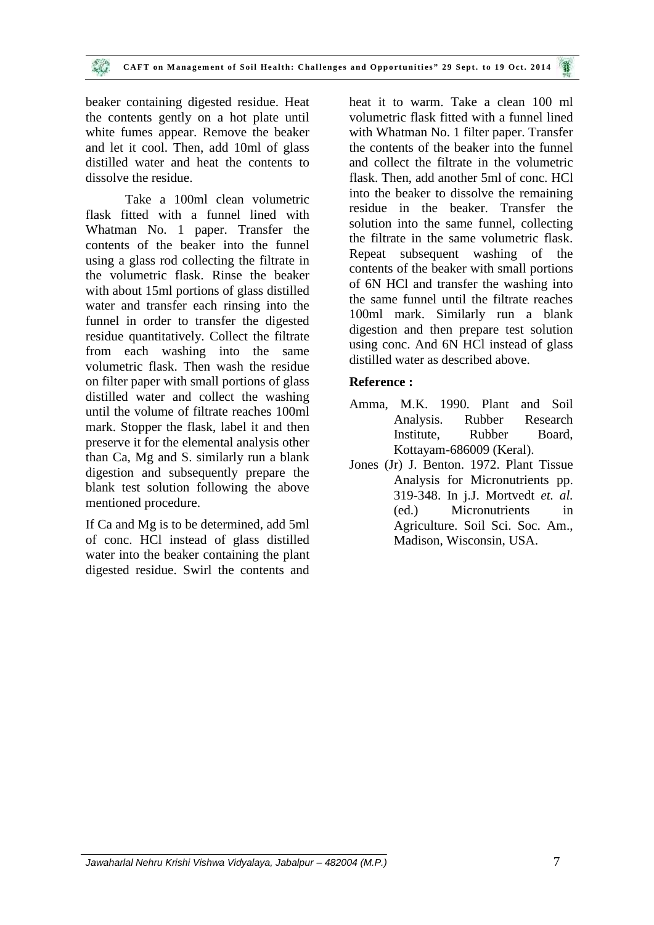beaker containing digested residue. Heat the contents gently on a hot plate until white fumes appear. Remove the beaker and let it cool. Then, add 10ml of glass distilled water and heat the contents to dissolve the residue.

Take a 100ml clean volumetric flask fitted with a funnel lined with Whatman No. 1 paper. Transfer the contents of the beaker into the funnel using a glass rod collecting the filtrate in the volumetric flask. Rinse the beaker with about 15ml portions of glass distilled water and transfer each rinsing into the funnel in order to transfer the digested residue quantitatively. Collect the filtrate from each washing into the same volumetric flask. Then wash the residue on filter paper with small portions of glass distilled water and collect the washing until the volume of filtrate reaches 100ml mark. Stopper the flask, label it and then preserve it for the elemental analysis other than Ca, Mg and S. similarly run a blank digestion and subsequently prepare the blank test solution following the above mentioned procedure.

If Ca and Mg is to be determined, add 5ml of conc. HCl instead of glass distilled water into the beaker containing the plant digested residue. Swirl the contents and

heat it to warm. Take a clean 100 ml volumetric flask fitted with a funnel lined with Whatman No. 1 filter paper. Transfer the contents of the beaker into the funnel and collect the filtrate in the volumetric flask. Then, add another 5ml of conc. HCl into the beaker to dissolve the remaining residue in the beaker. Transfer the solution into the same funnel, collecting the filtrate in the same volumetric flask. Repeat subsequent washing of the contents of the beaker with small portions of 6N HCl and transfer the washing into the same funnel until the filtrate reaches 100ml mark. Similarly run a blank digestion and then prepare test solution using conc. And 6N HCl instead of glass distilled water as described above.

## **Reference :**

- Amma, M.K. 1990. Plant and Soil Analysis. Rubber Research Institute, Rubber Board, Kottayam-686009 (Keral).
- Jones (Jr) J. Benton. 1972. Plant Tissue Analysis for Micronutrients pp. 319-348. In j.J. Mortvedt *et. al.* (ed.) Micronutrients in Agriculture. Soil Sci. Soc. Am., Madison, Wisconsin, USA.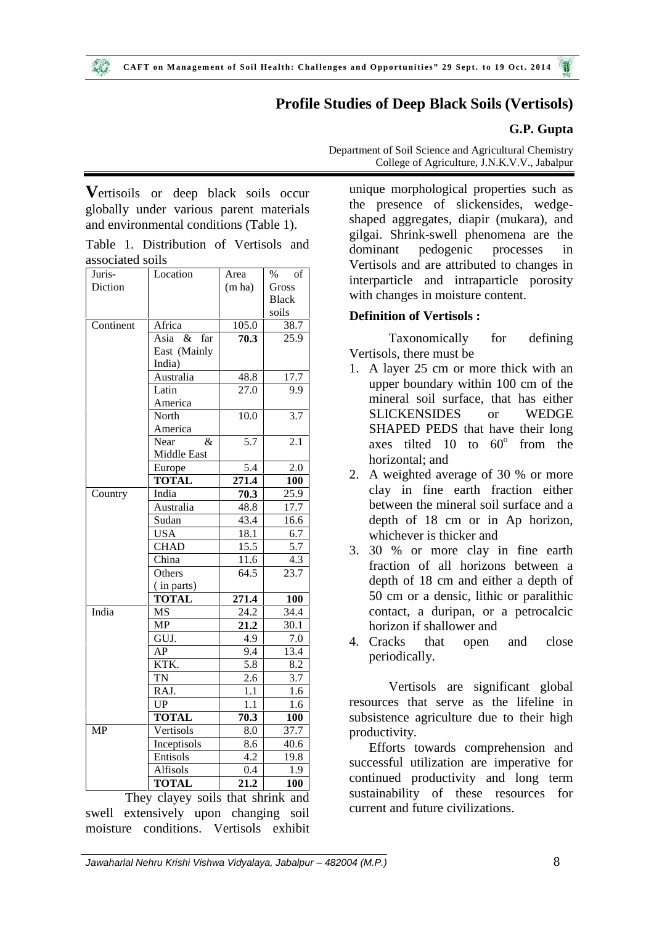# **Profile Studies of Deep Black Soils (Vertisols)**

## **G.P. Gupta**

**V**ertisoils or deep black soils occur globally under various parent materials and environmental conditions (Table 1).

|                  | Table 1. Distribution of Vertisols and |  | d |
|------------------|----------------------------------------|--|---|
| associated soils |                                        |  |   |

| Juris-    | Location            | Area   | $\%$<br>οf   |
|-----------|---------------------|--------|--------------|
| Diction   |                     | (m ha) | Gross        |
|           |                     |        | <b>Black</b> |
|           |                     |        | soils        |
| Continent | Africa              | 105.0  | 38.7         |
|           | Asia<br>$\&$<br>far | 70.3   | 25.9         |
|           | East (Mainly        |        |              |
|           | India)              |        |              |
|           | Australia           | 48.8   | 17.7         |
|           | Latin               | 27.0   | 9.9          |
|           | America             |        |              |
|           | North               | 10.0   | 3.7          |
|           | America             |        |              |
|           | Near<br>&           | 5.7    | 2.1          |
|           | Middle East         |        |              |
|           | Europe              | 5.4    | 2.0          |
|           | <b>TOTAL</b>        | 271.4  | 100          |
| Country   | India               | 70.3   | 25.9         |
|           | Australia           | 48.8   | 17.7         |
|           | Sudan               | 43.4   | 16.6         |
|           | <b>USA</b>          | 18.1   | 6.7          |
|           | <b>CHAD</b>         | 15.5   | 5.7          |
|           | China               | 11.6   | 4.3          |
|           | Others              | 64.5   | 23.7         |
|           | (in parts)          |        |              |
|           | <b>TOTAL</b>        | 271.4  | 100          |
| India     | <b>MS</b>           | 24.2   | 34.4         |
|           | <b>MP</b>           | 21.2   | 30.1         |
|           | GUJ.                | 4.9    | 7.0          |
|           | AP                  | 9.4    | 13.4         |
|           | KTK.                | 5.8    | 8.2          |
|           | <b>TN</b>           | 2.6    | 3.7          |
|           | RAJ.                | 1.1    | 1.6          |
|           | UP                  | 1.1    | 1.6          |
|           | <b>TOTAL</b>        | 70.3   | 100          |
| MP        | Vertisols           | 8.0    | 37.7         |
|           | Inceptisols         | 8.6    | 40.6         |
|           | Entisols            | 4.2    | 19.8         |
|           | Alfisols            | 0.4    | 1.9          |
|           | <b>TOTAL</b>        | 21.2   | 100          |
|           |                     |        |              |

They clayey soils that shrink and swell extensively upon changing soil moisture conditions. Vertisols exhibit Department of Soil Science and Agricultural Chemistry College of Agriculture, J.N.K.V.V., Jabalpur

unique morphological properties such as the presence of slickensides, wedge shaped aggregates, diapir (mukara), and gilgai. Shrink-swell phenomena are the dominant pedogenic processes in Vertisols and are attributed to changes in interparticle and intraparticle porosity with changes in moisture content.

## **Definition of Vertisols :**

Taxonomically for defining Vertisols, there must be

- 1. A layer 25 cm or more thick with an upper boundary within 100 cm of the mineral soil surface, that has either SLICKENSIDES or WEDGE SHAPED PEDS that have their long axes tilted  $10$  to  $60^\circ$  from the horizontal; and
- 2. A weighted average of 30 % or more clay in fine earth fraction either between the mineral soil surface and a depth of 18 cm or in Ap horizon, whichever is thicker and
- 3. 30 % or more clay in fine earth fraction of all horizons between a depth of 18 cm and either a depth of 50 cm or a densic, lithic or paralithic contact, a duripan, or a petrocalcic horizon if shallower and
- 4. Cracks that open and close periodically.

Vertisols are significant global resources that serve as the lifeline in subsistence agriculture due to their high productivity.

Efforts towards comprehension and successful utilization are imperative for continued productivity and long term sustainability of these resources for current and future civilizations.

*Jawaharlal Nehru Krishi Vishwa Vidyalaya, Jabalpur – 482004 (M.P.)* 8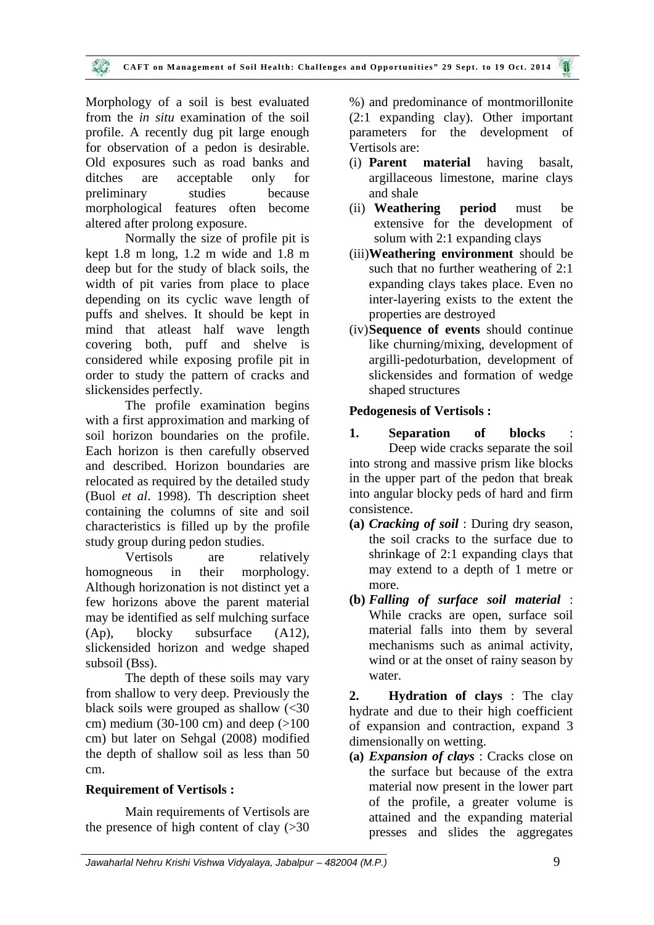Morphology of a soil is best evaluated from the *in situ* examination of the soil profile. A recently dug pit large enough for observation of a pedon is desirable. Old exposures such as road banks and ditches are acceptable only for preliminary studies because morphological features often become altered after prolong exposure.

Normally the size of profile pit is kept 1.8 m long, 1.2 m wide and 1.8 m deep but for the study of black soils, the width of pit varies from place to place depending on its cyclic wave length of puffs and shelves. It should be kept in mind that atleast half wave length covering both, puff and shelve is considered while exposing profile pit in order to study the pattern of cracks and slickensides perfectly.

The profile examination begins with a first approximation and marking of soil horizon boundaries on the profile. Each horizon is then carefully observed and described. Horizon boundaries are relocated as required by the detailed study (Buol *et al*. 1998). Th description sheet containing the columns of site and soil characteristics is filled up by the profile study group during pedon studies.

Vertisols are relatively homogneous in their morphology. Although horizonation is not distinct yet a few horizons above the parent material may be identified as self mulching surface (Ap), blocky subsurface (A12), slickensided horizon and wedge shaped subsoil (Bss).

The depth of these soils may vary from shallow to very deep. Previously the black soils were grouped as shallow  $\langle$  <30 cm) medium (30-100 cm) and deep  $(>100$ cm) but later on Sehgal (2008) modified the depth of shallow soil as less than 50 cm.

## **Requirement of Vertisols :**

Main requirements of Vertisols are the presence of high content of clay  $( > 30)$  %) and predominance of montmorillonite (2:1 expanding clay). Other important parameters for the development of Vertisols are:

- (i) **Parent material** having basalt, argillaceous limestone, marine clays and shale
- (ii) **Weathering period** must be extensive for the development of solum with 2:1 expanding clays
- (iii)**Weathering environment** should be such that no further weathering of 2:1 expanding clays takes place. Even no inter-layering exists to the extent the properties are destroyed
- (iv)**Sequence of events** should continue like churning/mixing, development of argilli-pedoturbation, development of slickensides and formation of wedge shaped structures

## **Pedogenesis of Vertisols :**

- 1. **Separation** of blocks Deep wide cracks separate the soil into strong and massive prism like blocks in the upper part of the pedon that break into angular blocky peds of hard and firm consistence.
- **(a)** *Cracking of soil* : During dry season, the soil cracks to the surface due to shrinkage of 2:1 expanding clays that may extend to a depth of 1 metre or more.
- **(b)** *Falling of surface soil material* : While cracks are open, surface soil material falls into them by several mechanisms such as animal activity, wind or at the onset of rainy season by water.

**2. Hydration of clays** : The clay hydrate and due to their high coefficient of expansion and contraction, expand 3 dimensionally on wetting.

**(a)** *Expansion of clays* : Cracks close on the surface but because of the extra material now present in the lower part of the profile, a greater volume is attained and the expanding material presses and slides the aggregates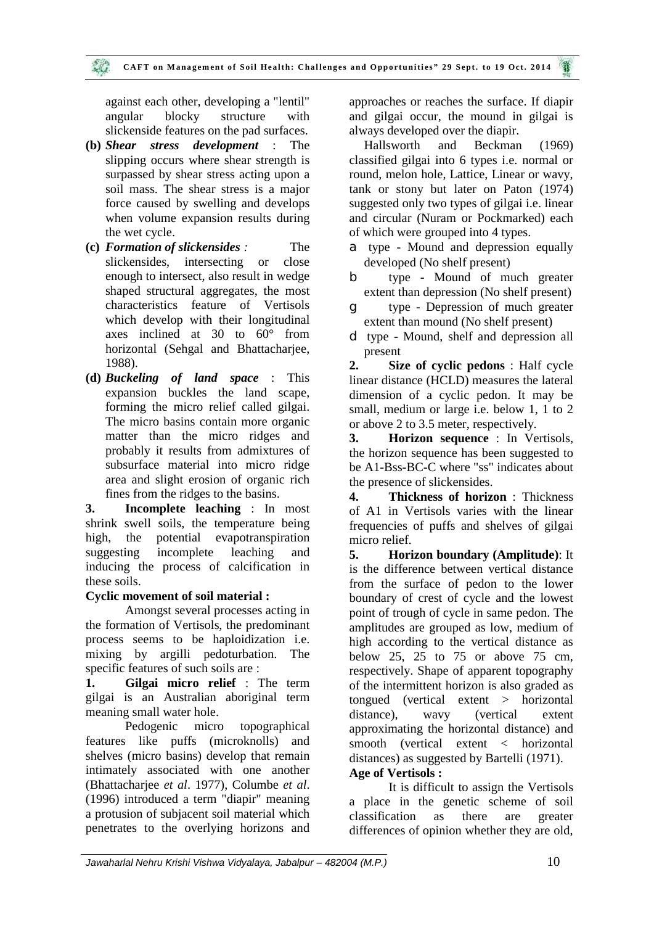against each other, developing a "lentil" angular blocky structure with slickenside features on the pad surfaces.

- **(b)** *Shear stress development* : The slipping occurs where shear strength is surpassed by shear stress acting upon a soil mass. The shear stress is a major force caused by swelling and develops when volume expansion results during the wet cycle.
- **(c)** *Formation of slickensides :* The slickensides, intersecting or close enough to intersect, also result in wedge shaped structural aggregates, the most characteristics feature of Vertisols which develop with their longitudinal axes inclined at 30 to 60° from horizontal (Sehgal and Bhattacharjee, 1988).
- **(d)** *Buckeling of land space* : This expansion buckles the land scape, forming the micro relief called gilgai. The micro basins contain more organic matter than the micro ridges and 3. probably it results from admixtures of subsurface material into micro ridge area and slight erosion of organic rich fines from the ridges to the basins.

**3. Incomplete leaching** : In most shrink swell soils, the temperature being high, the potential evapotranspiration suggesting incomplete leaching and 5. inducing the process of calcification in these soils.

#### **Cyclic movement of soil material :**

Amongst several processes acting in the formation of Vertisols, the predominant process seems to be haploidization i.e. mixing by argilli pedoturbation. The specific features of such soils are :

**1. Gilgai micro relief** : The term gilgai is an Australian aboriginal term meaning small water hole.

Pedogenic micro topographical features like puffs (microknolls) and shelves (micro basins) develop that remain intimately associated with one another (Bhattacharjee *et al*. 1977), Columbe *et al*. (1996) introduced a term "diapir" meaning a protusion of subjacent soil material which penetrates to the overlying horizons and

approaches or reaches the surface. If diapir and gilgai occur, the mound in gilgai is always developed over the diapir.

Hallsworth and Beckman (1969) classified gilgai into 6 types i.e. normal or round, melon hole, Lattice, Linear or wavy, tank or stony but later on Paton (1974) suggested only two types of gilgai i.e. linear and circular (Nuram or Pockmarked) each of which were grouped into 4 types.

- $\Gamma$  type Mound and depression equally developed (No shelf present)
- type Mound of much greater extent than depression (No shelf present)
- type Depression of much greater extent than mound (No shelf present)
- type Mound, shelf and depression all present

**2. Size of cyclic pedons** : Half cycle linear distance (HCLD) measures the lateral dimension of a cyclic pedon. It may be small, medium or large i.e. below 1, 1 to 2 or above 2 to 3.5 meter, respectively.

**3. Horizon sequence** : In Vertisols, the horizon sequence has been suggested to be A1-Bss-BC-C where "ss" indicates about the presence of slickensides.

**4. Thickness of horizon** : Thickness of A1 in Vertisols varies with the linear frequencies of puffs and shelves of gilgai micro relief.

**5. Horizon boundary (Amplitude)**: It is the difference between vertical distance from the surface of pedon to the lower boundary of crest of cycle and the lowest point of trough of cycle in same pedon. The amplitudes are grouped as low, medium of high according to the vertical distance as below 25, 25 to  $75$  or above  $75$  cm, respectively. Shape of apparent topography of the intermittent horizon is also graded as tongued (vertical extent > horizontal distance), wavy (vertical extent approximating the horizontal distance) and smooth (vertical extent < horizontal distances) as suggested by Bartelli (1971).

# **Age of Vertisols :**

It is difficult to assign the Vertisols a place in the genetic scheme of soil classification as there are greater differences of opinion whether they are old,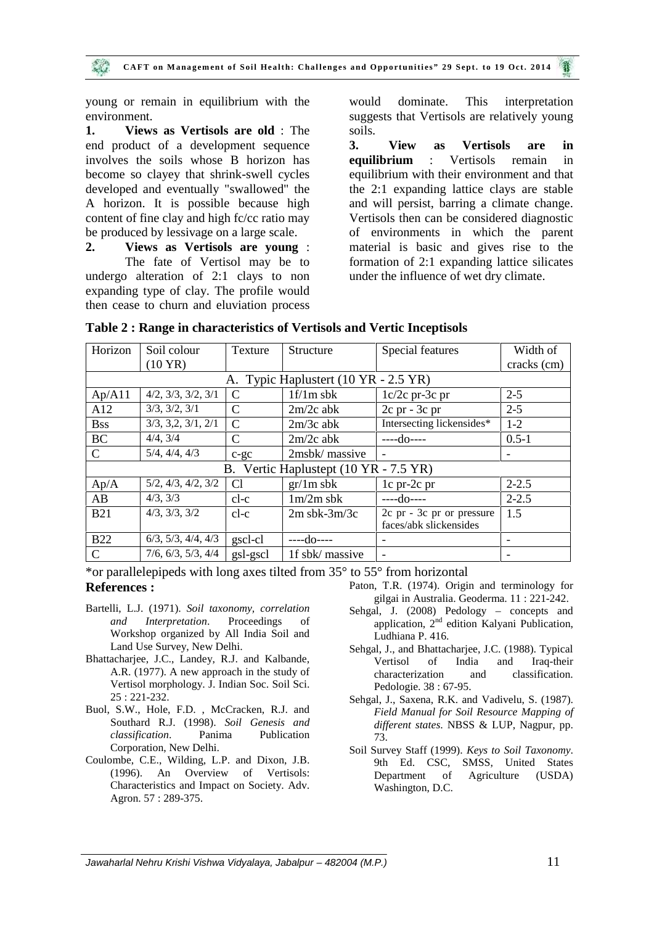young or remain in equilibrium with the environment.

**1. Views as Vertisols are old** : The end product of a development sequence 3. involves the soils whose B horizon has become so clayey that shrink-swell cycles developed and eventually "swallowed" the A horizon. It is possible because high content of fine clay and high fc/cc ratio may be produced by lessivage on a large scale.

**2. Views as Vertisols are young** : The fate of Vertisol may be to undergo alteration of 2:1 clays to non expanding type of clay. The profile would then cease to churn and eluviation process

dominate. This interpretation suggests that Vertisols are relatively young soils.

**3. View as Vertisols are in equilibrium** : Vertisols remain in equilibrium with their environment and that the 2:1 expanding lattice clays are stable and will persist, barring a climate change. Vertisols then can be considered diagnostic of environments in which the parent material is basic and gives rise to the formation of 2:1 expanding lattice silicates under the influence of wet dry climate.

| Horizon                               | Soil colour                   | Texture        | Structure                            | Special features          | Width of                 |
|---------------------------------------|-------------------------------|----------------|--------------------------------------|---------------------------|--------------------------|
|                                       | $(10 \text{ YR})$             |                |                                      |                           | cracks (cm)              |
|                                       |                               |                | A. Typic Haplustert (10 YR - 2.5 YR) |                           |                          |
| Ap/A11                                | 4/2, 3/3, 3/2, 3/1            | $\mathcal{C}$  | $1f/1m$ sbk                          | $1c/2c$ pr-3c pr          | $2 - 5$                  |
| A12                                   | 3/3, 3/2, 3/1                 | C              | $2m/2c$ abk                          | $2c$ pr - $3c$ pr         | $2 - 5$                  |
| <b>Bss</b>                            | 3/3, 3, 2, 3/1, 2/1           | C              | $2m/3c$ abk                          | Intersecting lickensides* | $1 - 2$                  |
| <b>BC</b>                             | 4/4, 3/4                      | C              | $2m/2c$ abk                          | $---do---$                | $0.5 - 1$                |
| $\mathcal{C}$                         | 5/4, 4/4, 4/3                 | $c-gc$         | 2msbk/massive                        |                           | $\overline{\phantom{a}}$ |
| B. Vertic Haplustept (10 YR - 7.5 YR) |                               |                |                                      |                           |                          |
| Ap/A                                  | 5/2, 4/3, 4/2, 3/2            | C <sub>1</sub> | $gr/1m$ sbk                          | 1c pr-2c pr               | $2 - 2.5$                |
| AB                                    | 4/3, 3/3                      | $cl-c$         | $1m/2m$ sbk                          | $---do---$                | $2 - 2.5$                |
| <b>B21</b>                            | 4/3, 3/3, 3/2                 | $cl-c$         | $2m$ sbk- $3m/3c$                    | 2c pr - 3c pr or pressure | 1.5                      |
|                                       |                               |                |                                      | faces/abk slickensides    |                          |
| <b>B22</b>                            | $6/3$ , $5/3$ , $4/4$ , $4/3$ | gscl-cl        | ----do----                           |                           |                          |
| C                                     | 7/6, 6/3, 5/3, 4/4            | gsl-gscl       | 1f sbk/ massive                      | $\overline{\phantom{a}}$  | -                        |

#### **Table 2 : Range in characteristics of Vertisols and Vertic Inceptisols**

\*or parallelepipeds with long axes tilted from 35° to 55° from horizontal **References :**

- Bartelli, L.J. (1971). *Soil taxonomy, correlation and Interpretation*. Proceedings of Workshop organized by All India Soil and Land Use Survey, New Delhi.
- Bhattacharjee, J.C., Landey, R.J. and Kalbande, A.R. (1977). A new approach in the study of Vertisol morphology. J. Indian Soc. Soil Sci. 25 : 221-232.
- Buol, S.W., Hole, F.D. , McCracken, R.J. and Southard R.J. (1998). *Soil Genesis and classification*. Panima Publication Corporation, New Delhi.
- Coulombe, C.E., Wilding, L.P. and Dixon, J.B. (1996). An Overview of Vertisols: Characteristics and Impact on Society. Adv. Agron. 57 : 289-375.
- Paton, T.R. (1974). Origin and terminology for gilgai in Australia. Geoderma. 11 : 221-242.
- Sehgal, J. (2008) Pedology concepts and application, 2<sup>nd</sup> edition Kalyani Publication, Ludhiana P. 416.
- Sehgal, J., and Bhattacharjee, J.C. (1988). Typical Vertisol of India and Iraq-their characterization and classification. Pedologie. 38 : 67-95.
- Sehgal, J., Saxena, R.K. and Vadivelu, S. (1987). *Field Manual for Soil Resource Mapping of different states*. NBSS & LUP, Nagpur, pp. 73.
- Soil Survey Staff (1999). *Keys to Soil Taxonomy*. 9th Ed. CSC, SMSS, United States Department of Agriculture (USDA) Washington, D.C.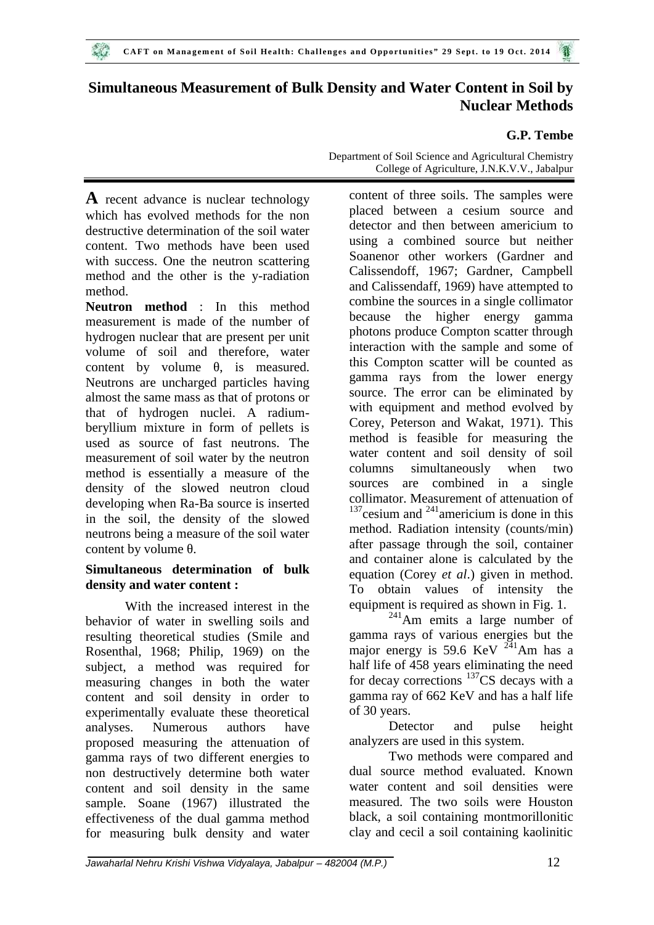# **Simultaneous Measurement of Bulk Density and Water Content in Soil by Nuclear Methods**

## **G.P. Tembe**

**A** recent advance is nuclear technology which has evolved methods for the non destructive determination of the soil water content. Two methods have been used with success. One the neutron scattering method and the other is the y-radiation method.

**Neutron method** : In this method measurement is made of the number of hydrogen nuclear that are present per unit volume of soil and therefore, water content by volume, is measured. Neutrons are uncharged particles having almost the same mass as that of protons or that of hydrogen nuclei. A radium beryllium mixture in form of pellets is used as source of fast neutrons. The measurement of soil water by the neutron<br>mathod is assembly a measure of the columns method is essentially a measure of the density of the slowed neutron cloud developing when Ra-Ba source is inserted in the soil, the density of the slowed neutrons being a measure of the soil water content by volume .

## **Simultaneous determination of bulk density and water content :**

With the increased interest in the behavior of water in swelling soils and resulting theoretical studies (Smile and Rosenthal, 1968; Philip, 1969) on the subject, a method was required for measuring changes in both the water content and soil density in order to experimentally evaluate these theoretical analyses. Numerous authors have proposed measuring the attenuation of gamma rays of two different energies to non destructively determine both water content and soil density in the same sample. Soane (1967) illustrated the effectiveness of the dual gamma method for measuring bulk density and water Department of Soil Science and Agricultural Chemistry College of Agriculture, J.N.K.V.V., Jabalpur

content of three soils. The samples were placed between a cesium source and detector and then between americium to using a combined source but neither Soanenor other workers (Gardner and Calissendoff, 1967; Gardner, Campbell and Calissendaff, 1969) have attempted to combine the sources in a single collimator because the higher energy gamma photons produce Compton scatter through interaction with the sample and some of this Compton scatter will be counted as gamma rays from the lower energy source. The error can be eliminated by with equipment and method evolved by Corey, Peterson and Wakat, 1971). This method is feasible for measuring the water content and soil density of soil simultaneously when two sources are combined in a single collimator. Measurement of attenuation of  $137$ cesium and  $241$ americium is done in this method. Radiation intensity (counts/min) after passage through the soil, container and container alone is calculated by the equation (Corey *et al*.) given in method. To obtain values of intensity the equipment is required as shown in Fig. 1.

 $241$ Am emits a large number of gamma rays of various energies but the major energy is  $59.6 \text{ KeV}^{241} \text{Am}$  has a half life of 458 years eliminating the need for decay corrections  $137CS$  decays with a gamma ray of 662 KeV and has a half life of 30 years.

Detector and pulse height analyzers are used in this system.

Two methods were compared and dual source method evaluated. Known water content and soil densities were measured. The two soils were Houston black, a soil containing montmorillonitic clay and cecil a soil containing kaolinitic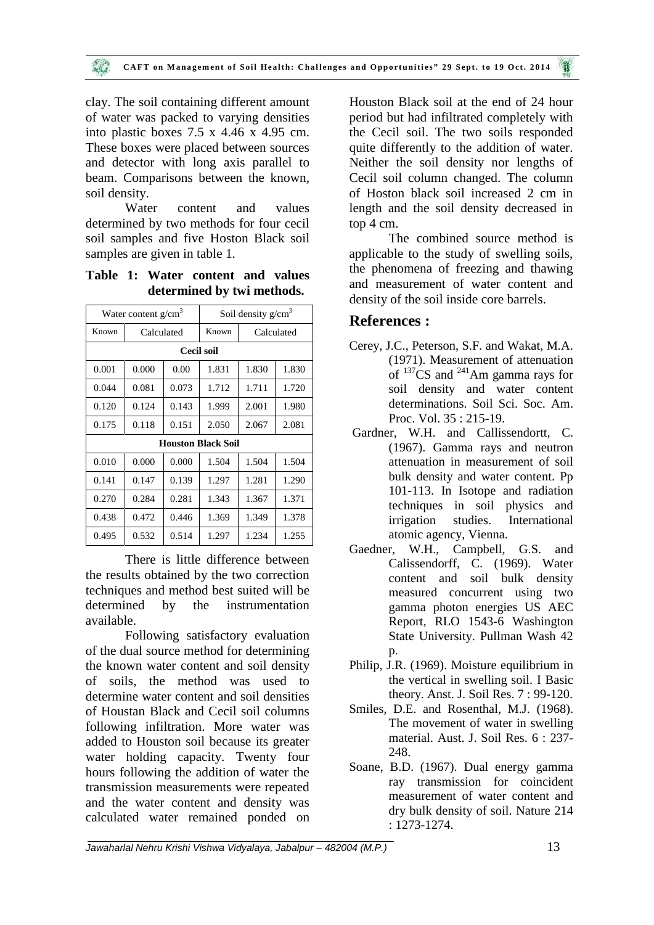clay. The soil containing different amount of water was packed to varying densities into plastic boxes 7.5 x 4.46 x 4.95 cm. These boxes were placed between sources and detector with long axis parallel to beam. Comparisons between the known, soil density.

Water content and values determined by two methods for four cecil soil samples and five Hoston Black soil samples are given in table 1.

**Table 1: Water content and values determined by twi methods.**

| Water content $g/cm3$     |                |       | Soil density $g/cm3$ |       |            |
|---------------------------|----------------|-------|----------------------|-------|------------|
| Known                     | Calculated     |       | Known                |       | Calculated |
|                           |                |       | Cecil soil           |       |            |
| 0.001                     | 0.000          | 0.00  | 1.831                | 1.830 | 1.830      |
| 0.044                     | 0.081          | 0.073 | 1.712                | 1.711 | 1.720      |
| 0.120                     | 0.124          | 0.143 | 1.999                | 2.001 | 1.980      |
| 0.175                     | 0.118<br>0.151 |       | 2.050                | 2.067 | 2.081      |
| <b>Houston Black Soil</b> |                |       |                      |       |            |
| 0.010                     | 0.000          | 0.000 | 1.504                | 1.504 | 1.504      |
| 0.141                     | 0.147          | 0.139 | 1.297                | 1.281 | 1.290      |
| 0.270                     | 0.284          | 0.281 | 1.343                | 1.367 | 1.371      |
| 0.438                     | 0.472          | 0.446 | 1.369                | 1.349 | 1.378      |
| 0.495                     | 0.532          | 0.514 | 1.297                | 1.234 | 1.255      |

There is little difference between the results obtained by the two correction techniques and method best suited will be determined by the instrumentation available.

Following satisfactory evaluation of the dual source method for determining the known water content and soil density of soils, the method was used to determine water content and soil densities of Houstan Black and Cecil soil columns following infiltration. More water was added to Houston soil because its greater water holding capacity. Twenty four hours following the addition of water the transmission measurements were repeated and the water content and density was calculated water remained ponded on

Houston Black soil at the end of 24 hour period but had infiltrated completely with the Cecil soil. The two soils responded quite differently to the addition of water. Neither the soil density nor lengths of Cecil soil column changed. The column of Hoston black soil increased 2 cm in length and the soil density decreased in top 4 cm.

The combined source method is applicable to the study of swelling soils, the phenomena of freezing and thawing and measurement of water content and density of the soil inside core barrels.

## **References :**

- Cerey, J.C., Peterson, S.F. and Wakat, M.A. (1971). Measurement of attenuation of <sup>137</sup>CS and <sup>241</sup>Am gamma rays for soil density and water content determinations. Soil Sci. Soc. Am. Proc. Vol. 35 : 215-19.
- Gardner, W.H. and Callissendortt, C. (1967). Gamma rays and neutron attenuation in measurement of soil bulk density and water content. Pp 101-113. In Isotope and radiation techniques in soil physics and irrigation studies. International atomic agency, Vienna.
- Gaedner, W.H., Campbell, G.S. and Calissendorff, C. (1969). Water content and soil bulk density measured concurrent using two gamma photon energies US AEC Report, RLO 1543-6 Washington State University. Pullman Wash 42 p.
- Philip, J.R. (1969). Moisture equilibrium in the vertical in swelling soil. I Basic theory. Anst. J. Soil Res. 7 : 99-120.
- Smiles, D.E. and Rosenthal, M.J. (1968). The movement of water in swelling material. Aust. J. Soil Res. 6 : 237- 248.
- Soane, B.D. (1967). Dual energy gamma ray transmission for coincident measurement of water content and dry bulk density of soil. Nature 214 : 1273-1274.

*Jawaharlal Nehru Krishi Vishwa Vidyalaya, Jabalpur – 482004 (M.P.)* 13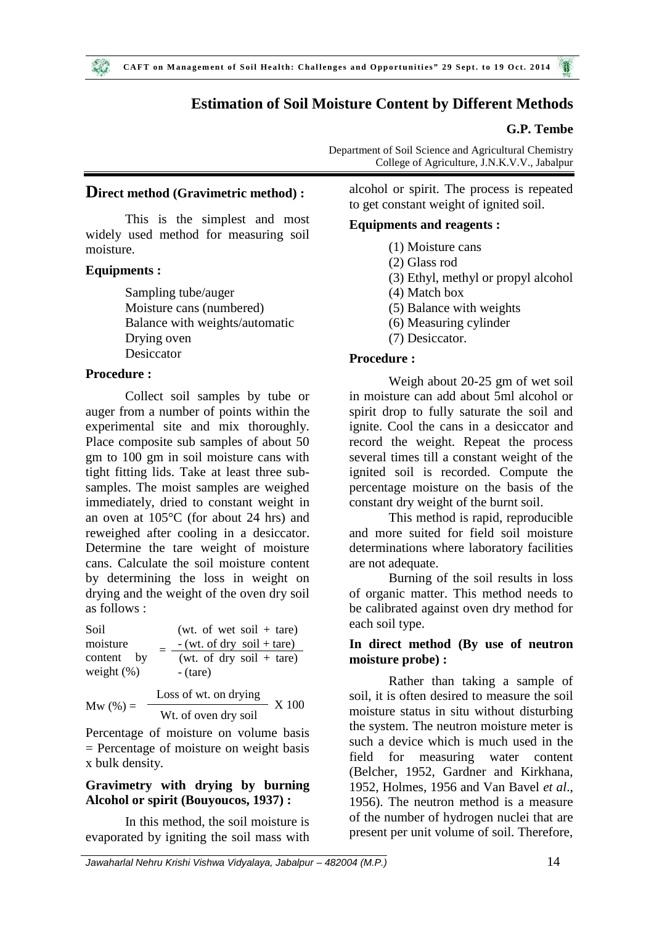# **Estimation of Soil Moisture Content by Different Methods**

## **G.P. Tembe**

Department of Soil Science and Agricultural Chemistry College of Agriculture, J.N.K.V.V., Jabalpur

### **Direct method (Gravimetric method) :**

This is the simplest and most widely used method for measuring soil moisture.

## **Equipments :**

 $\mathcal{L}$ 

Sampling tube/auger Moisture cans (numbered) Balance with weights/automatic Drying oven Desiccator

## **Procedure :**

Collect soil samples by tube or auger from a number of points within the experimental site and mix thoroughly. Place composite sub samples of about 50 gm to 100 gm in soil moisture cans with tight fitting lids. Take at least three sub samples. The moist samples are weighed immediately, dried to constant weight in an oven at 105°C (for about 24 hrs) and reweighed after cooling in a desiccator. Determine the tare weight of moisture cans. Calculate the soil moisture content by determining the loss in weight on drying and the weight of the oven dry soil as follows :

(wt. of wet soil  $+$  tare)  $=$   $-$  (wt. of dry soil + tare) Soil moisture content by  $=$   $\frac{-(\text{wt. of})}{(\text{wt. of})}$ <br>weight (%) - (tare) (wt. of dry soil  $+$  tare) - (tare) Loss of wt. on drying Mw  $(\%) = \frac{\ }{\ }$  Wt. of oven dry soil  $- X 100$ 

Percentage of moisture on volume basis = Percentage of moisture on weight basis x bulk density.

## **Gravimetry with drying by burning Alcohol or spirit (Bouyoucos, 1937) :**

In this method, the soil moisture is evaporated by igniting the soil mass with alcohol or spirit. The process is repeated to get constant weight of ignited soil.

#### **Equipments and reagents :**

- (1) Moisture cans
- (2) Glass rod
- (3) Ethyl, methyl or propyl alcohol
- (4) Match box
- (5) Balance with weights
- (6) Measuring cylinder
- (7) Desiccator.

#### **Procedure :**

Weigh about 20-25 gm of wet soil in moisture can add about 5ml alcohol or spirit drop to fully saturate the soil and ignite. Cool the cans in a desiccator and record the weight. Repeat the process several times till a constant weight of the ignited soil is recorded. Compute the percentage moisture on the basis of the constant dry weight of the burnt soil.

This method is rapid, reproducible and more suited for field soil moisture determinations where laboratory facilities are not adequate.

Burning of the soil results in loss of organic matter. This method needs to be calibrated against oven dry method for each soil type.

## **In direct method (By use of neutron moisture probe) :**

Rather than taking a sample of soil, it is often desired to measure the soil moisture status in situ without disturbing the system. The neutron moisture meter is such a device which is much used in the field for measuring water content (Belcher, 1952, Gardner and Kirkhana, 1952, Holmes, 1956 and Van Bavel *et al*., 1956). The neutron method is a measure of the number of hydrogen nuclei that are present per unit volume of soil. Therefore,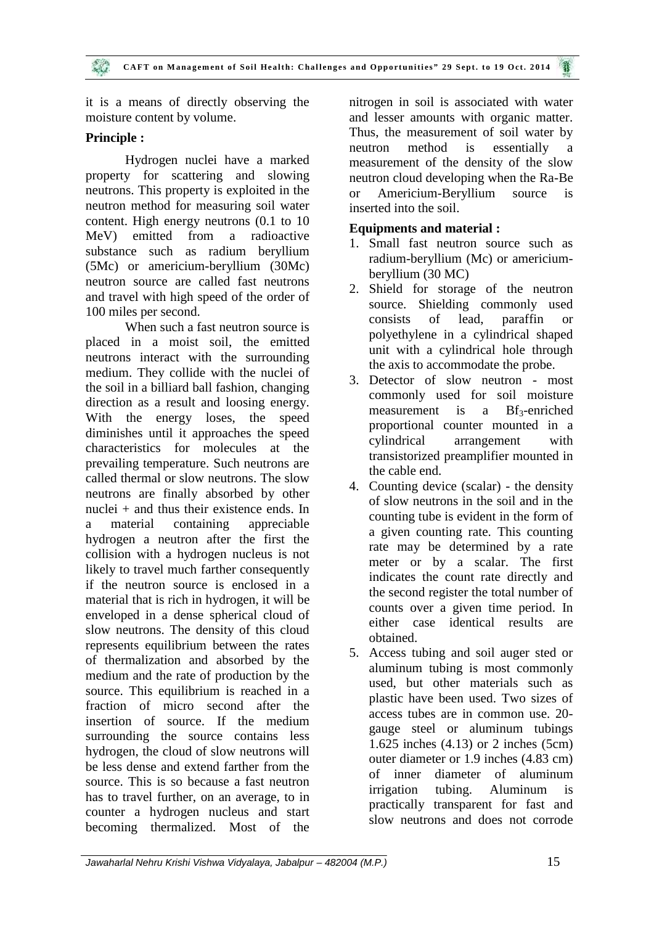it is a means of directly observing the moisture content by volume.

## **Principle :**

Hydrogen nuclei have a marked property for scattering and slowing neutrons. This property is exploited in the or neutron method for measuring soil water content. High energy neutrons (0.1 to 10 MeV) emitted from a radioactive substance such as radium beryllium (5Mc) or americium-beryllium (30Mc) neutron source are called fast neutrons and travel with high speed of the order of 100 miles per second.

When such a fast neutron source is placed in a moist soil, the emitted neutrons interact with the surrounding medium. They collide with the nuclei of the soil in a billiard ball fashion, changing direction as a result and loosing energy. With the energy loses, the speed diminishes until it approaches the speed characteristics for molecules at the prevailing temperature. Such neutrons are called thermal or slow neutrons. The slow neutrons are finally absorbed by other nuclei + and thus their existence ends. In a material containing appreciable hydrogen a neutron after the first the collision with a hydrogen nucleus is not likely to travel much farther consequently if the neutron source is enclosed in a material that is rich in hydrogen, it will be enveloped in a dense spherical cloud of slow neutrons. The density of this cloud represents equilibrium between the rates of thermalization and absorbed by the medium and the rate of production by the source. This equilibrium is reached in a fraction of micro second after the insertion of source. If the medium surrounding the source contains less hydrogen, the cloud of slow neutrons will be less dense and extend farther from the source. This is so because a fast neutron has to travel further, on an average, to in counter a hydrogen nucleus and start becoming thermalized. Most of the

nitrogen in soil is associated with water and lesser amounts with organic matter. Thus, the measurement of soil water by neutron method is essentially a measurement of the density of the slow neutron cloud developing when the Ra-Be Americium-Beryllium source is inserted into the soil.

## **Equipments and material :**

- 1. Small fast neutron source such as radium-beryllium (Mc) or americium beryllium (30 MC)
- 2. Shield for storage of the neutron source. Shielding commonly used consists of lead, paraffin or polyethylene in a cylindrical shaped unit with a cylindrical hole through the axis to accommodate the probe.
- 3. Detector of slow neutron most commonly used for soil moisture measurement is a  $Bf_3$ -enriched proportional counter mounted in a cylindrical arrangement with transistorized preamplifier mounted in the cable end.
- 4. Counting device (scalar) the density of slow neutrons in the soil and in the counting tube is evident in the form of a given counting rate. This counting rate may be determined by a rate meter or by a scalar. The first indicates the count rate directly and the second register the total number of counts over a given time period. In either case identical results are obtained.
- 5. Access tubing and soil auger sted or aluminum tubing is most commonly used, but other materials such as plastic have been used. Two sizes of access tubes are in common use. 20 gauge steel or aluminum tubings 1.625 inches (4.13) or 2 inches (5cm) outer diameter or 1.9 inches (4.83 cm) of inner diameter of aluminum irrigation tubing. Aluminum is practically transparent for fast and slow neutrons and does not corrode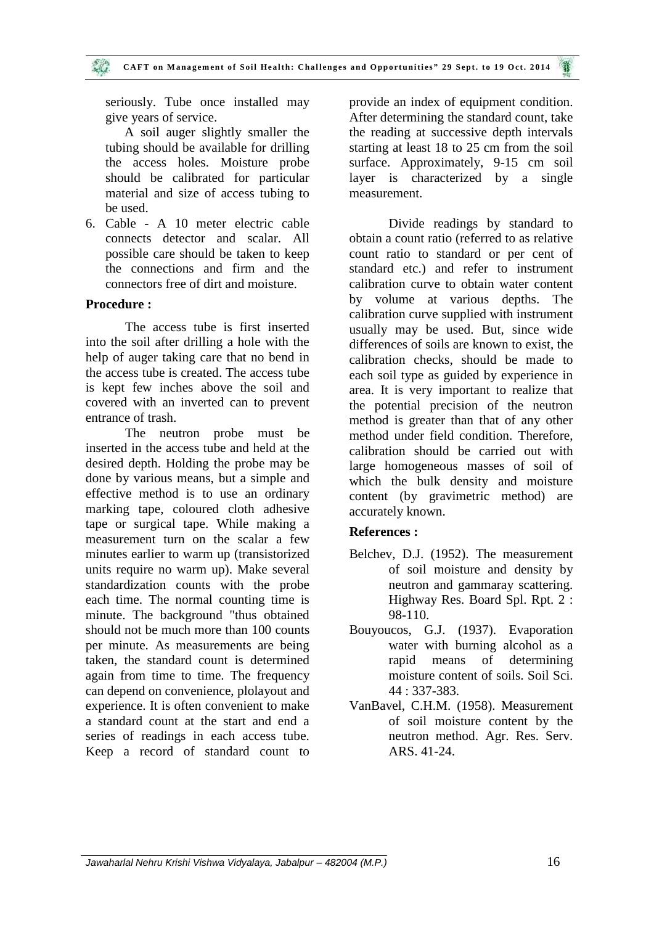seriously. Tube once installed may give years of service.

A soil auger slightly smaller the tubing should be available for drilling the access holes. Moisture probe should be calibrated for particular material and size of access tubing to be used.

6. Cable - A 10 meter electric cable connects detector and scalar. All possible care should be taken to keep the connections and firm and the connectors free of dirt and moisture.

## **Procedure :**

The access tube is first inserted into the soil after drilling a hole with the help of auger taking care that no bend in the access tube is created. The access tube is kept few inches above the soil and covered with an inverted can to prevent entrance of trash.

The neutron probe must be inserted in the access tube and held at the desired depth. Holding the probe may be done by various means, but a simple and effective method is to use an ordinary marking tape, coloured cloth adhesive tape or surgical tape. While making a measurement turn on the scalar a few minutes earlier to warm up (transistorized units require no warm up). Make several standardization counts with the probe each time. The normal counting time is minute. The background "thus obtained should not be much more than 100 counts per minute. As measurements are being taken, the standard count is determined again from time to time. The frequency can depend on convenience, plolayout and experience. It is often convenient to make a standard count at the start and end a series of readings in each access tube. Keep a record of standard count to provide an index of equipment condition. After determining the standard count, take the reading at successive depth intervals starting at least 18 to 25 cm from the soil surface. Approximately, 9-15 cm soil layer is characterized by a single measurement.

Divide readings by standard to obtain a count ratio (referred to as relative count ratio to standard or per cent of standard etc.) and refer to instrument calibration curve to obtain water content by volume at various depths. The calibration curve supplied with instrument usually may be used. But, since wide differences of soils are known to exist, the calibration checks, should be made to each soil type as guided by experience in area. It is very important to realize that the potential precision of the neutron method is greater than that of any other method under field condition. Therefore, calibration should be carried out with large homogeneous masses of soil of which the bulk density and moisture content (by gravimetric method) are accurately known.

#### **References :**

- Belchev, D.J. (1952). The measurement of soil moisture and density by neutron and gammaray scattering. Highway Res. Board Spl. Rpt. 2 : 98-110.
- Bouyoucos, G.J. (1937). Evaporation water with burning alcohol as a rapid means of determining moisture content of soils. Soil Sci. 44 : 337-383.
- VanBavel, C.H.M. (1958). Measurement of soil moisture content by the neutron method. Agr. Res. Serv. ARS. 41-24.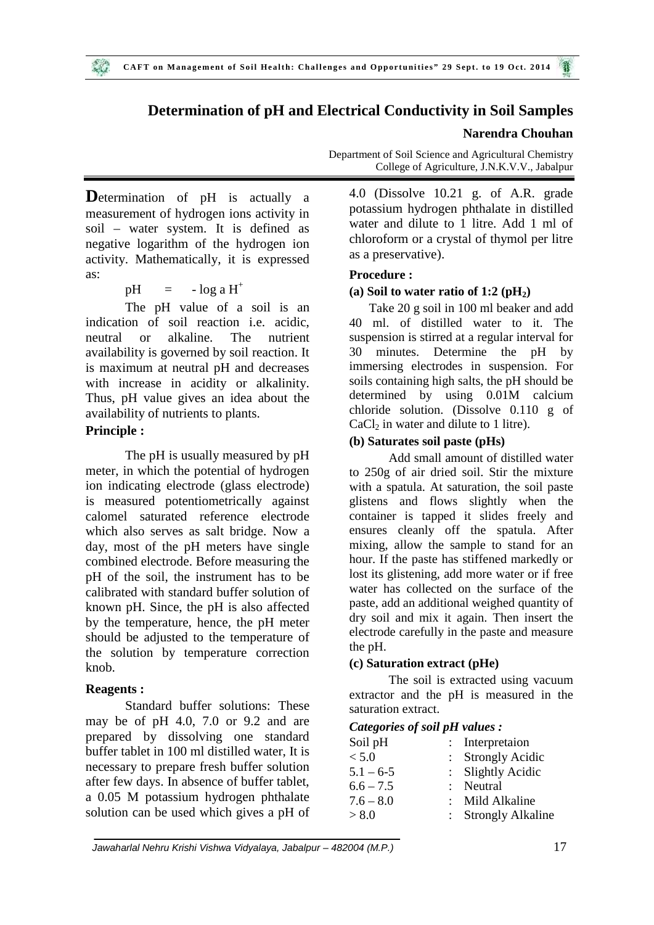## **Determination of pH and Electrical Conductivity in Soil Samples**

#### **Narendra Chouhan**

**D**etermination of pH is actually a measurement of hydrogen ions activity in soil – water system. It is defined as negative logarithm of the hydrogen ion activity. Mathematically, it is expressed as:

$$
pH = -\log a H^+
$$

The pH value of a soil is an indication of soil reaction i.e. acidic, neutral or alkaline. The nutrient availability is governed by soil reaction. It is maximum at neutral pH and decreases with increase in acidity or alkalinity. Thus, pH value gives an idea about the availability of nutrients to plants.

#### **Principle :**

The pH is usually measured by pH meter, in which the potential of hydrogen ion indicating electrode (glass electrode) is measured potentiometrically against calomel saturated reference electrode which also serves as salt bridge. Now a day, most of the pH meters have single combined electrode. Before measuring the pH of the soil, the instrument has to be calibrated with standard buffer solution of known pH. Since, the pH is also affected by the temperature, hence, the pH meter should be adjusted to the temperature of the solution by temperature correction knob.

#### **Reagents :**

Standard buffer solutions: These may be of pH 4.0, 7.0 or 9.2 and are prepared by dissolving one standard buffer tablet in 100 ml distilled water, It is necessary to prepare fresh buffer solution after few days. In absence of buffer tablet, a 0.05 M potassium hydrogen phthalate solution can be used which gives a pH of

Department of Soil Science and Agricultural Chemistry College of Agriculture, J.N.K.V.V., Jabalpur

4.0 (Dissolve 10.21 g. of A.R. grade potassium hydrogen phthalate in distilled water and dilute to 1 litre. Add 1 ml of chloroform or a crystal of thymol per litre as a preservative).

#### **Procedure :**

#### (a) Soil to water ratio of  $1:2 \text{ (pH}_2)$

Take 20 g soil in 100 ml beaker and add 40 ml. of distilled water to it. The suspension is stirred at a regular interval for 30 minutes. Determine the pH by immersing electrodes in suspension. For soils containing high salts, the pH should be determined by using 0.01M calcium chloride solution. (Dissolve 0.110 g of  $CaCl<sub>2</sub>$  in water and dilute to 1 litre).

#### **(b) Saturates soil paste (pHs)**

Add small amount of distilled water to 250g of air dried soil. Stir the mixture with a spatula. At saturation, the soil paste glistens and flows slightly when the container is tapped it slides freely and ensures cleanly off the spatula. After mixing, allow the sample to stand for an hour. If the paste has stiffened markedly or lost its glistening, add more water or if free water has collected on the surface of the paste, add an additional weighed quantity of dry soil and mix it again. Then insert the electrode carefully in the paste and measure the pH.

#### **(c) Saturation extract (pHe)**

The soil is extracted using vacuum extractor and the pH is measured in the saturation extract.

#### *Categories of soil pH values :*

| Soil pH     | : Interpretaion     |
|-------------|---------------------|
| < 5.0       | : Strongly Acidic   |
| $5.1 - 6.5$ | : Slightly Acidic   |
| $6.6 - 7.5$ | : Neutral           |
| $7.6 - 8.0$ | : Mild Alkaline     |
| > 8.0       | : Strongly Alkaline |
|             |                     |

*Jawaharlal Nehru Krishi Vishwa Vidyalaya, Jabalpur – 482004 (M.P.)* 17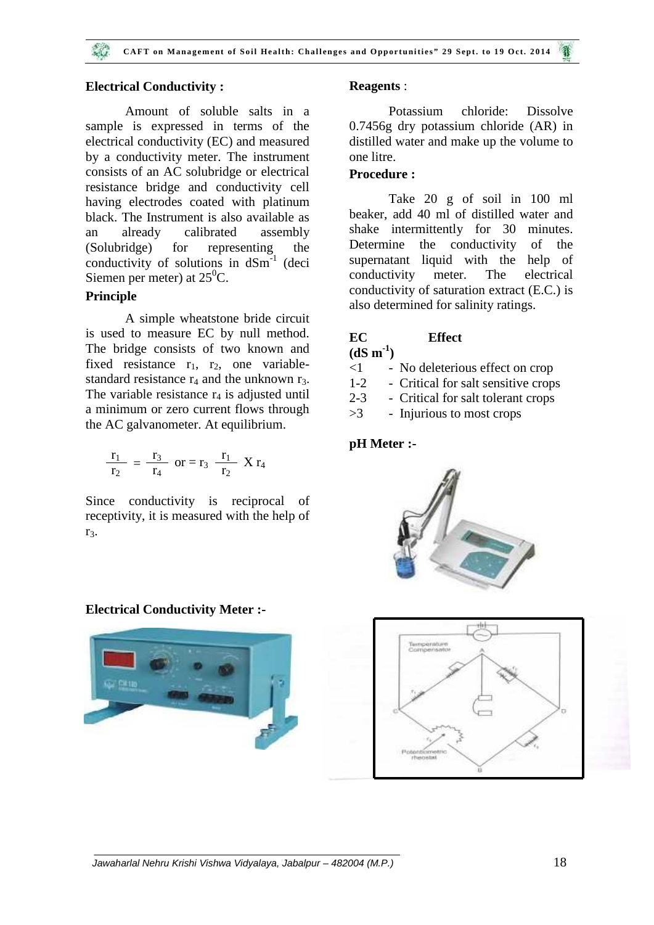#### **Electrical Conductivity :**

Amount of soluble salts in a sample is expressed in terms of the electrical conductivity (EC) and measured by a conductivity meter. The instrument consists of an AC solubridge or electrical resistance bridge and conductivity cell having electrodes coated with platinum black. The Instrument is also available as an already calibrated assembly (Solubridge) for representing the conductivity of solutions in  $dSm^{-1}$  (deci Siemen per meter) at  $25^{\circ}$ C.

## **Principle**

A simple wheatstone bride circuit is used to measure EC by null method. The bridge consists of two known and fixed resistance  $r_1$ ,  $r_2$ , one variablestandard resistance  $r_4$  and the unknown  $r_3$ . The variable resistance  $r_4$  is adjusted until a minimum or zero current flows through  $>3$ the AC galvanometer. At equilibrium.

$$
\frac{r_1}{r_2} = \frac{r_3}{r_4} \text{ or } = r_3 \frac{r_1}{r_2} X r_4
$$

Since conductivity is reciprocal of receptivity, it is measured with the help of r<sub>3</sub>.

**Electrical Conductivity Meter :-**



#### **Reagents** :

Potassium chloride: Dissolve 0.7456g dry potassium chloride (AR) in distilled water and make up the volume to one litre.

## **Procedure :**

Take 20 g of soil in 100 ml beaker, add 40 ml of distilled water and shake intermittently for 30 minutes. Determine the conductivity of the supernatant liquid with the help of conductivity meter. The electrical conductivity of saturation extract (E.C.) is also determined for salinity ratings.

## **EC Effect**

 $(dS \, m^{-1})$ 

- <1 No deleterious effect on crop
- 1-2 Critical for salt sensitive crops
- 2-3 Critical for salt tolerant crops
- >3 Injurious to most crops

#### **pH Meter :-**



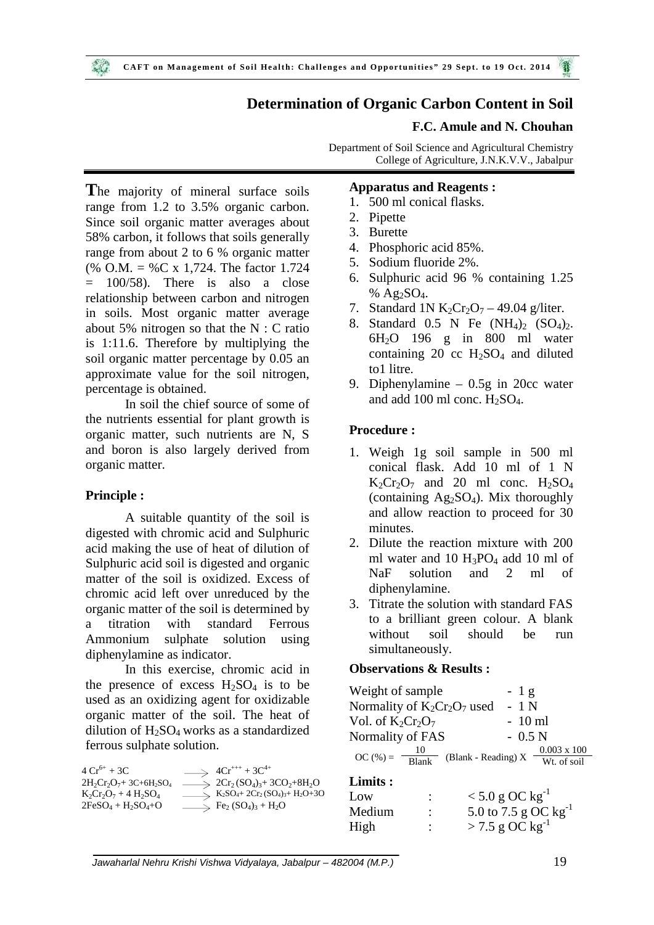## **Determination of Organic Carbon Content in Soil**

#### **F.C. Amule and N. Chouhan**

Department of Soil Science and Agricultural Chemistry College of Agriculture, J.N.K.V.V., Jabalpur

**T**he majority of mineral surface soils range from 1.2 to 3.5% organic carbon. Since soil organic matter averages about 58% carbon, it follows that soils generally range from about 2 to 6 % organic matter (% O.M. = %C x 1,724. The factor 1.724  $= 100/58$ . There is also a close relationship between carbon and nitrogen in soils. Most organic matter average about 5% nitrogen so that the  $N : C$  ratio is 1:11.6. Therefore by multiplying the soil organic matter percentage by 0.05 an approximate value for the soil nitrogen, percentage is obtained.

In soil the chief source of some of the nutrients essential for plant growth is organic matter, such nutrients are N, S and boron is also largely derived from organic matter.

#### **Principle :**

A suitable quantity of the soil is digested with chromic acid and Sulphuric acid making the use of heat of dilution of Sulphuric acid soil is digested and organic matter of the soil is oxidized. Excess of chromic acid left over unreduced by the organic matter of the soil is determined by a titration with standard Ferrous Ammonium sulphate solution using diphenylamine as indicator.

In this exercise, chromic acid in the presence of excess  $H_2SO_4$  is to be used as an oxidizing agent for oxidizable organic matter of the soil. The heat of dilution of  $H_2SO_4$  works as a standardized ferrous sulphate solution.

| $4Cr^{6+} + 3C$                                   | $\implies$ 4Cr <sup>+++</sup> + 3C <sup>4+</sup>                                                    |     |
|---------------------------------------------------|-----------------------------------------------------------------------------------------------------|-----|
| $2H_2Cr_2O_7$ +3C+6H <sub>2</sub> SO <sub>4</sub> | $\Rightarrow$ 2Cr <sub>2</sub> (SO <sub>4</sub> ) <sub>3</sub> +3CO <sub>2</sub> +8H <sub>2</sub> O | Lim |
| $K_2Cr_2O_7 + 4 H_2SO_4$                          | $\Rightarrow K_2SO_4+2Cr_2(SO_4)_3+H_2O+3O$                                                         | Low |
| $2FeSO_4 + H_2SO_4 + O$                           | $\Rightarrow$ Fe <sub>2</sub> (SO <sub>4</sub> ) <sub>3</sub> + H <sub>2</sub> O                    | Med |

#### **Apparatus and Reagents :**

- 1. 500 ml conical flasks.
- 2. Pipette
- 3. Burette
- 4. Phosphoric acid 85%.
- 5. Sodium fluoride 2%.
- 6. Sulphuric acid 96 % containing 1.25 % Ag2SO4.
- 7. Standard 1N  $K_2Cr_2O_7 49.04$  g/liter.
- 8. Standard 0.5 N Fe  $(NH_4)$ <sup>2</sup>  $(SO_4)$ <sup>2</sup>. 6H2O 196 g in 800 ml water containing 20 cc  $H_2SO_4$  and diluted to1 litre.
- 9. Diphenylamine 0.5g in 20cc water and add 100 ml conc.  $H<sub>2</sub>SO<sub>4</sub>$ .

#### **Procedure :**

- 1. Weigh 1g soil sample in 500 ml conical flask. Add 10 ml of 1 N  $K_2Cr_2O_7$  and 20 ml conc.  $H_2SO_4$ (containing  $Ag_2SO_4$ ). Mix thoroughly and allow reaction to proceed for 30 minutes.
- 2. Dilute the reaction mixture with 200 ml water and 10  $H_3PO_4$  add 10 ml of NaF solution and 2 ml of diphenylamine.
- 3. Titrate the solution with standard FAS to a brilliant green colour. A blank without soil should be run simultaneously.

#### **Observations & Results :**

| Weight of sample               |                | $-1$ g                                                                                               |
|--------------------------------|----------------|------------------------------------------------------------------------------------------------------|
| Normality of $K_2Cr_2O_7$ used |                | - 1 N                                                                                                |
| Vol. of $K_2Cr_2O_7$           |                | $-10$ ml                                                                                             |
| Normality of FAS               |                | $-0.5 N$                                                                                             |
|                                |                | OC (%) = $\frac{10}{\text{Blank}}$ (Blank - Reading) X $\frac{0.003 \times 100}{\text{Wt. of soil}}$ |
| Limits :                       |                |                                                                                                      |
| Low                            | $\ddot{\cdot}$ | $<$ 5.0 g OC kg <sup>-1</sup><br>5.0 to 7.5 g OC kg <sup>-1</sup>                                    |
| Medium                         | $\ddot{\cdot}$ |                                                                                                      |

High :  $> 7.5 \text{ g } O\text{C kg}^{-1}$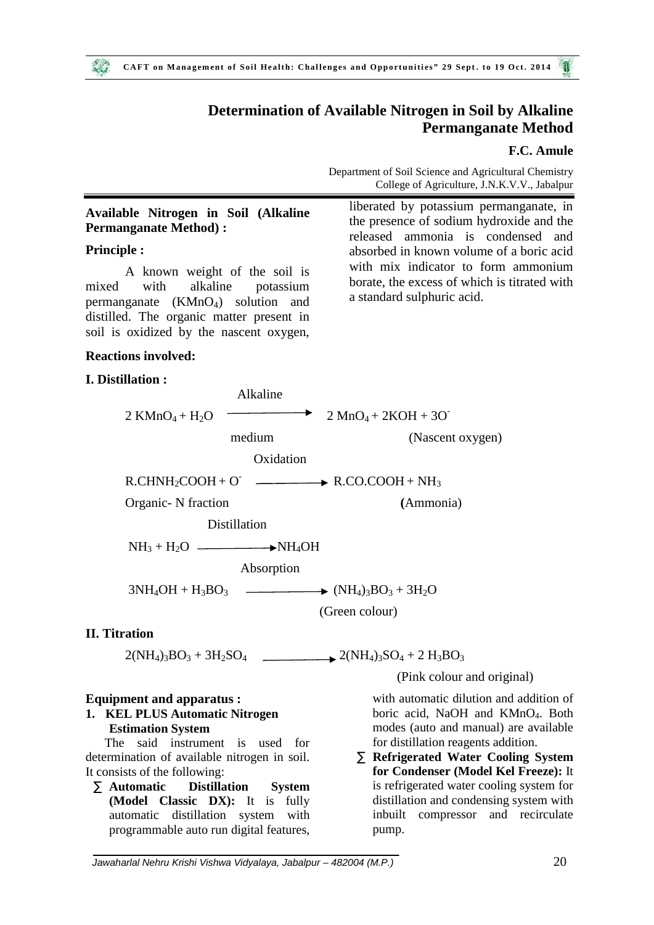## **Determination of Available Nitrogen in Soil by Alkaline Permanganate Method**

#### **F.C. Amule**

Department of Soil Science and Agricultural Chemistry College of Agriculture, J.N.K.V.V., Jabalpur

a standard sulphuric acid.

liberated by potassium permanganate, in the presence of sodium hydroxide and the released ammonia is condensed and absorbed in known volume of a boric acid with mix indicator to form ammonium borate, the excess of which is titrated with

## **Available Nitrogen in Soil (Alkaline Permanganate Method) :**

#### **Principle :**

 $20$ 

A known weight of the soil is mixed with alkaline potassium permanganate (KMnO4) solution and distilled. The organic matter present in soil is oxidized by the nascent oxygen,

#### **Reactions involved:**

#### **I. Distillation :**

Alkaline 2 KMnO<sub>4</sub> + H<sub>2</sub>O  $\longrightarrow$  2 MnO<sub>4</sub> + 2KOH + 3O<sup>-</sup> medium (Nascent oxygen) **Oxidation**  $R.CHNH<sub>2</sub>COOH + O \longrightarrow R.CO.COOH + NH<sub>3</sub>$ Organic- N fraction **(**Ammonia) Distillation  $NH<sub>3</sub> + H<sub>2</sub>O$   $\longrightarrow NH<sub>4</sub>OH$ Absorption  $3NH_4OH + H_3BO_3$   $\longrightarrow$   $(NH_4)_3BO_3 + 3H_2O$ (Green colour)

#### **II. Titration**

 $2(NH_4)_3BO_3 + 3H_2SO_4$  2(NH<sub>4</sub>)<sub>3</sub>SO<sub>4</sub> + 2 H<sub>3</sub>BO<sub>3</sub>

#### **Equipment and apparatus :**

#### **1. KEL PLUS Automatic Nitrogen Estimation System**

 The said instrument is used for determination of available nitrogen in soil. It consists of the following:

 **Automatic Distillation System (Model Classic DX):** It is fully automatic distillation system with programmable auto run digital features, (Pink colour and original)

with automatic dilution and addition of boric acid, NaOH and KMnO<sub>4</sub>. Both modes (auto and manual) are available for distillation reagents addition.

 **Refrigerated Water Cooling System for Condenser (Model Kel Freeze):** It is refrigerated water cooling system for distillation and condensing system with inbuilt compressor and recirculate pump.

*Jawaharlal Nehru Krishi Vishwa Vidyalaya, Jabalpur – 482004 (M.P.)* 20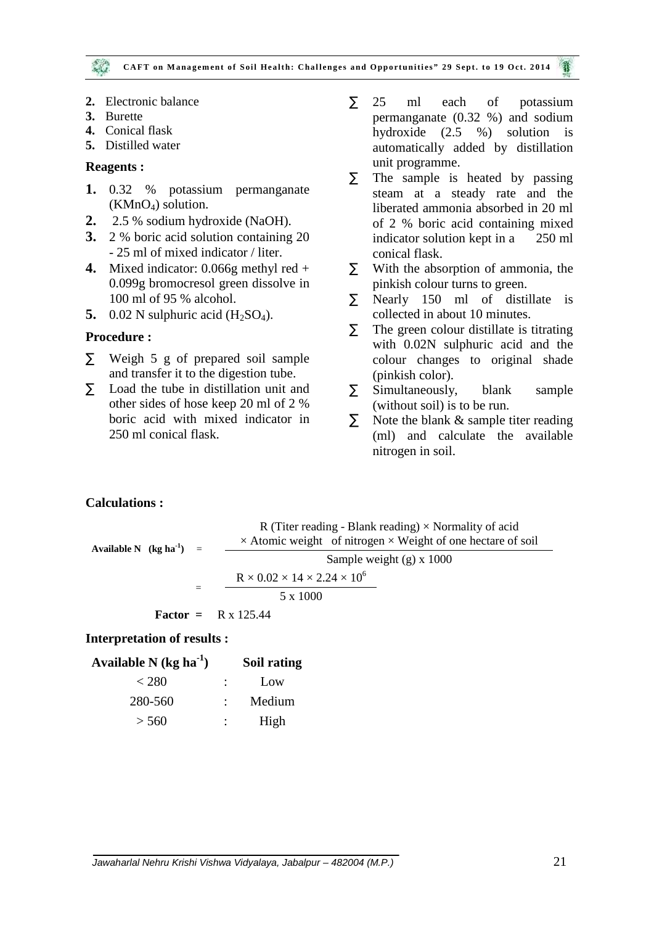- **2.** Electronic balance
- **3.** Burette
- **4.** Conical flask
- **5.** Distilled water

#### **Reagents :**

- **1.** 0.32 % potassium permanganate  $(KMnO<sub>4</sub>)$  solution.
- **2.** 2.5 % sodium hydroxide (NaOH).
- **3.** 2 % boric acid solution containing 20 - 25 ml of mixed indicator / liter.
- **4.** Mixed indicator: 0.066g methyl red + 0.099g bromocresol green dissolve in 100 ml of 95 % alcohol.
- 5. 0.02 N sulphuric acid  $(H_2SO_4)$ .

#### **Procedure :**

- $\tilde{N}$  Weigh 5 g of prepared soil sample and transfer it to the digestion tube.
- $\tilde{N}$  Load the tube in distillation unit and  $\tilde{N}$ other sides of hose keep 20 ml of 2 % boric acid with mixed indicator in  $\tilde{N}$ 250 ml conical flask.
- 25 ml each of potassium permanganate (0.32 %) and sodium hydroxide (2.5 %) solution is automatically added by distillation unit programme.
- $\tilde{N}$  The sample is heated by passing steam at a steady rate and the liberated ammonia absorbed in 20 ml of 2 % boric acid containing mixed indicator solution kept in a 250 ml conical flask.
- With the absorption of ammonia, the pinkish colour turns to green.
- Nearly 150 ml of distillate is collected in about 10 minutes.
- $\tilde{N}$  The green colour distillate is titrating with 0.02N sulphuric acid and the colour changes to original shade (pinkish color).
- Simultaneously, blank sample (without soil) is to be run.
- Note the blank & sample titer reading (ml) and calculate the available nitrogen in soil.

#### **Calculations :**

| Available N $(\text{kg ha}^{-1})$ = | R (Titer reading - Blank reading) $\times$ Normality of acid<br>$\times$ Atomic weight of nitrogen $\times$ Weight of one hectare of soil |  |
|-------------------------------------|-------------------------------------------------------------------------------------------------------------------------------------------|--|
|                                     | Sample weight $(g)$ x 1000                                                                                                                |  |
|                                     | $R \times 0.02 \times 14 \times 2.24 \times 10^6$                                                                                         |  |
|                                     | 5 x 1000                                                                                                                                  |  |
|                                     | <b>Factor</b> = $R \times 125.44$                                                                                                         |  |

#### **Interpretation of results :**

| Available N $(kg ha^{-1})$ | Soil rating |  |
|----------------------------|-------------|--|
| < 280                      | Low         |  |
| 280-560                    | Medium      |  |
| > 560                      | High        |  |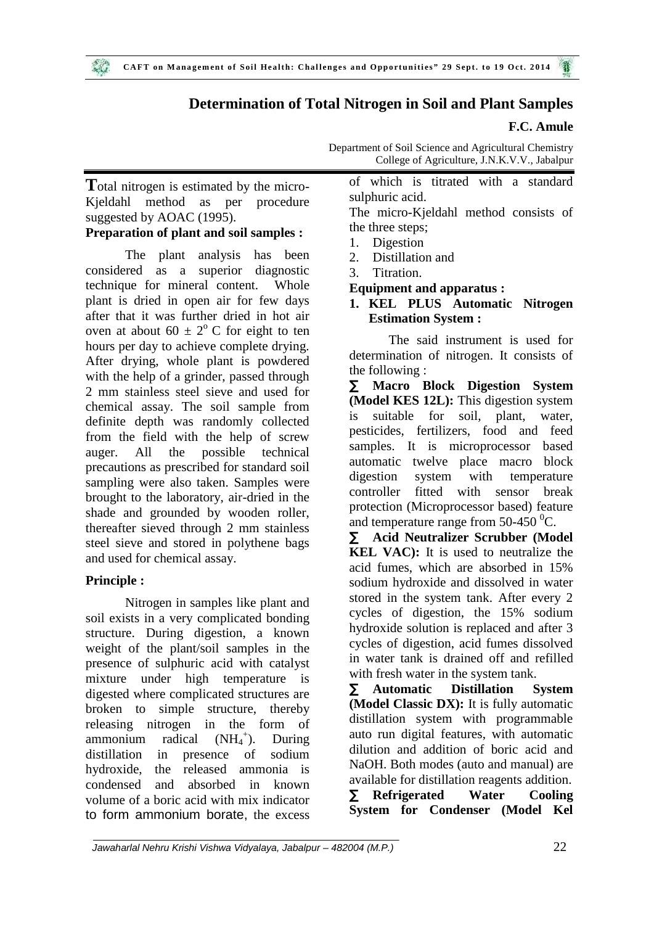# **Determination of Total Nitrogen in Soil and Plant Samples**

## **F.C. Amule**

Department of Soil Science and Agricultural Chemistry College of Agriculture, J.N.K.V.V., Jabalpur

Total nitrogen is estimated by the micro-Kjeldahl method as per procedure suggested by AOAC (1995).

## **Preparation of plant and soil samples :**

The plant analysis has been 2 considered as a superior diagnostic technique for mineral content. Whole plant is dried in open air for few days after that it was further dried in hot air oven at about 60  $\pm$  2<sup>o</sup> C for eight to ten hours per day to achieve complete drying. After drying, whole plant is powdered with the help of a grinder, passed through  $\overrightarrow{N}$ 2 mm stainless steel sieve and used for chemical assay. The soil sample from  $\frac{dN}{ds}$ definite depth was randomly collected from the field with the help of screw auger. All the possible technical precautions as prescribed for standard soil sampling were also taken. Samples were digestion brought to the laboratory, air-dried in the shade and grounded by wooden roller, thereafter sieved through 2 mm stainless steel sieve and stored in polythene bags and used for chemical assay.

## **Principle :**

Nitrogen in samples like plant and soil exists in a very complicated bonding structure. During digestion, a known weight of the plant/soil samples in the presence of sulphuric acid with catalyst mixture under high temperature is digested where complicated structures are broken to simple structure, thereby releasing nitrogen in the form of ammonium radical  $(NH_4^+)$ . ). During distillation in presence of sodium hydroxide, the released ammonia is condensed and absorbed in known  $\tilde{N}$ volume of a boric acid with mix indicator to form ammonium borate, the excess

of which is titrated with a standard sulphuric acid.

The micro-Kjeldahl method consists of the three steps;

- 1. Digestion
- Distillation and
- Titration.

## **Equipment and apparatus :**

## **1. KEL PLUS Automatic Nitrogen Estimation System :**

The said instrument is used for determination of nitrogen. It consists of the following :

 **Macro Block Digestion System (Model KES 12L):** This digestion system suitable for soil, plant, water, pesticides, fertilizers, food and feed samples. It is microprocessor based automatic twelve place macro block system with temperature controller fitted with sensor break protection (Microprocessor based) feature and temperature range from  $50-450$  °C.

 **Acid Neutralizer Scrubber (Model KEL VAC):** It is used to neutralize the acid fumes, which are absorbed in 15% sodium hydroxide and dissolved in water stored in the system tank. After every 2 cycles of digestion, the 15% sodium hydroxide solution is replaced and after 3 cycles of digestion, acid fumes dissolved in water tank is drained off and refilled with fresh water in the system tank.

 **Automatic Distillation System (Model Classic DX):** It is fully automatic distillation system with programmable auto run digital features, with automatic dilution and addition of boric acid and NaOH. Both modes (auto and manual) are available for distillation reagents addition. **Refrigerated Water Cooling System for Condenser (Model Kel**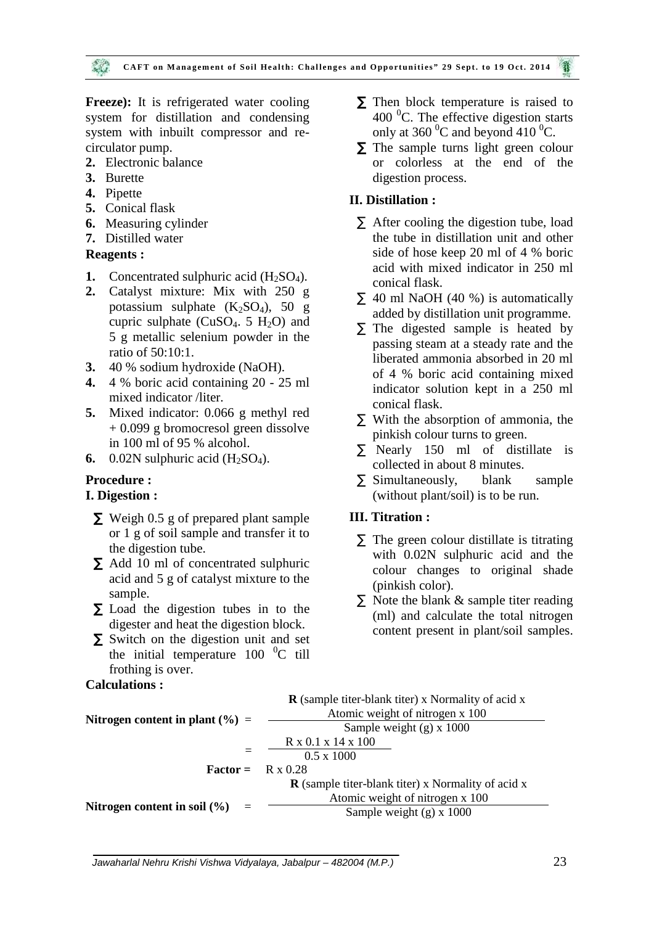Freeze): It is refrigerated water cooling system for distillation and condensing system with inbuilt compressor and re circulator pump.

- **2.** Electronic balance
- **3.** Burette
- **4.** Pipette
- **5.** Conical flask
- **6.** Measuring cylinder
- **7.** Distilled water

## **Reagents :**

- **1.** Concentrated sulphuric acid  $(H_2SO_4)$ .
- **2.** Catalyst mixture: Mix with 250 g potassium sulphate  $(K_2SO_4)$ , 50 g cupric sulphate ( $CuSO<sub>4</sub>$ . 5 H<sub>2</sub>O) and 5 g metallic selenium powder in the ratio of 50:10:1.
- **3.** 40 % sodium hydroxide (NaOH).
- **4.** 4 % boric acid containing 20 25 ml mixed indicator /liter.
- **5.** Mixed indicator: 0.066 g methyl red + 0.099 g bromocresol green dissolve in 100 ml of 95 % alcohol.
- **6.** 0.02N sulphuric acid  $(H_2SO_4)$ .

## **Procedure :**

#### **I. Digestion :**

- N Weigh 0.5 g of prepared plant sample or 1 g of soil sample and transfer it to the digestion tube.
- $\tilde{N}$  Add 10 ml of concentrated sulphuric acid and 5 g of catalyst mixture to the sample.
- $\tilde{N}$  Load the digestion tubes in to the digester and heat the digestion block.
- $\tilde{N}$  Switch on the digestion unit and set the initial temperature  $100 \degree$ C till frothing is over.

### **Calculations :**

- $\tilde{N}$  Then block temperature is raised to 400 $\mathrm{^{0}C}$ . The effective digestion starts only at 360 $\mathrm{^{0}C}$  and beyond 410 $\mathrm{^{0}C}$ .
- $\tilde{N}$  The sample turns light green colour or colorless at the end of the digestion process.

## **II. Distillation :**

- $\tilde{N}$  After cooling the digestion tube, load the tube in distillation unit and other side of hose keep 20 ml of 4 % boric acid with mixed indicator in 250 ml conical flask.
- $\tilde{N}$  40 ml NaOH (40 %) is automatically added by distillation unit programme.
- $\tilde{N}$  The digested sample is heated by passing steam at a steady rate and the liberated ammonia absorbed in 20 ml of 4 % boric acid containing mixed indicator solution kept in a 250 ml conical flask.
- $\tilde{N}$  With the absorption of ammonia, the pinkish colour turns to green.
- Nearly 150 ml of distillate is collected in about 8 minutes.
- $\tilde{N}$  Simultaneously, blank sample (without plant/soil) is to be run.

## **III. Titration :**

- $\tilde{N}$  The green colour distillate is titrating with 0.02N sulphuric acid and the colour changes to original shade (pinkish color).
- $\tilde{N}$  Note the blank  $\&$  sample titer reading (ml) and calculate the total nitrogen content present in plant/soil samples.

|                                     | <b>R</b> (sample titer-blank titer) x Normality of acid x |
|-------------------------------------|-----------------------------------------------------------|
| Nitrogen content in plant $(\% )$ = | Atomic weight of nitrogen x 100                           |
|                                     | Sample weight $(g)$ x 1000                                |
|                                     | R x 0.1 x 14 x 100                                        |
|                                     | $0.5 \times 1000$                                         |
| $Factor =$                          | $R \times 0.28$                                           |
|                                     | $\bf{R}$ (sample titer-blank titer) x Normality of acid x |
|                                     | Atomic weight of nitrogen x 100                           |
| Nitrogen content in soil $(\% )$    | Sample weight $(g)$ x 1000                                |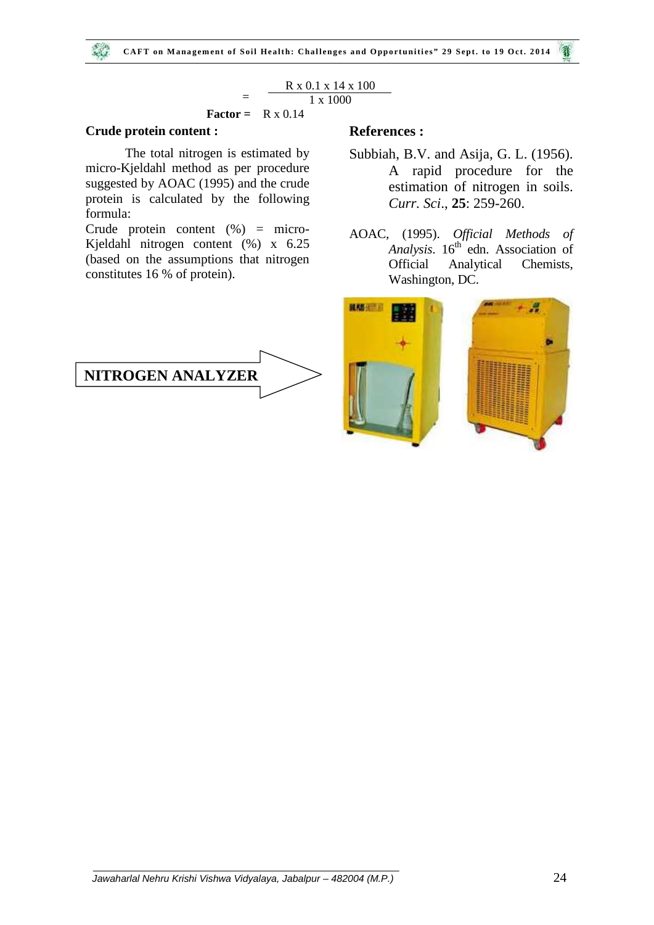# $\frac{R \times 0.1 \times 14 \times 100}{1 \times 1000}$

#### **Factor =** R x 0.14

#### **Crude protein content :**

 $\sim 1.1$ 

The total nitrogen is estimated by micro-Kjeldahl method as per procedure suggested by AOAC (1995) and the crude protein is calculated by the following formula:

Crude protein content (%) = micro- Kjeldahl nitrogen content (%) x 6.25 (based on the assumptions that nitrogen constitutes 16 % of protein).



### **References :**

- Subbiah, B.V. and Asija, G. L. (1956). A rapid procedure for the estimation of nitrogen in soils. *Curr. Sci*., **25**: 259-260.
- AOAC, (1995). *Official Methods of Analysis*. 16<sup>th</sup> edn. Association of Official Analytical Chemists, Washington, DC.

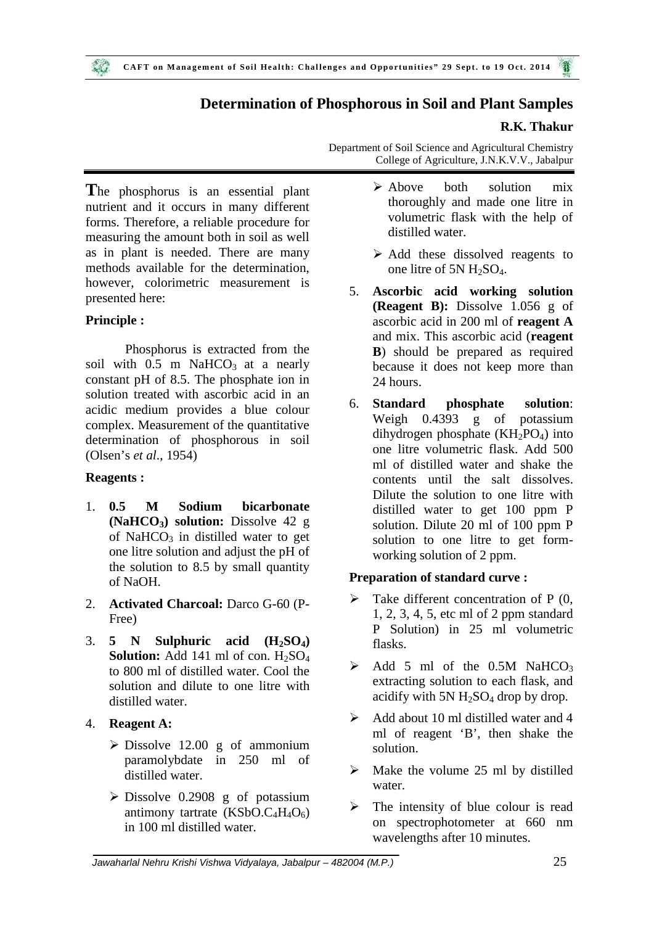# **Determination of Phosphorous in Soil and Plant Samples**

## **R.K. Thakur**

**T**he phosphorus is an essential plant nutrient and it occurs in many different forms. Therefore, a reliable procedure for measuring the amount both in soil as well as in plant is needed. There are many methods available for the determination, however, colorimetric measurement is presented here:

## **Principle :**

Phosphorus is extracted from the soil with  $0.5$  m NaHCO<sub>3</sub> at a nearly constant pH of 8.5. The phosphate ion in solution treated with ascorbic acid in an acidic medium provides a blue colour complex. Measurement of the quantitative determination of phosphorous in soil (Olsen's *et al*., 1954)

## **Reagents :**

- 1. **0.5 M Sodium bicarbonate (NaHCO3) solution:** Dissolve 42 g of NaHCO<sub>3</sub> in distilled water to get one litre solution and adjust the pH of the solution to 8.5 by small quantity of NaOH.
- 2. **Activated Charcoal:** Darco G-60 (P- Free)
- 3. **5 N Sulphuric acid (H2SO4) Solution:** Add 141 ml of con.  $H_2SO_4$ to 800 ml of distilled water. Cool the solution and dilute to one litre with distilled water.
- 4. **Reagent A:**
	- $\triangleright$  Dissolve 12.00 g of ammonium paramolybdate in 250 ml of distilled water.
	- $\triangleright$  Dissolve 0.2908 g of potassium antimony tartrate  $(KSbO.C<sub>4</sub>H<sub>4</sub>O<sub>6</sub>)$ in 100 ml distilled water.
- Department of Soil Science and Agricultural Chemistry College of Agriculture, J.N.K.V.V., Jabalpur
	- $\triangleright$  Above both solution mix thoroughly and made one litre in volumetric flask with the help of distilled water.
	- $\triangleright$  Add these dissolved reagents to one litre of 5N H2SO4.
	- 5. **Ascorbic acid working solution (Reagent B):** Dissolve 1.056 g of ascorbic acid in 200 ml of **reagent A** and mix. This ascorbic acid (**reagent B**) should be prepared as required because it does not keep more than 24 hours.
	- 6. **Standard phosphate solution**: Weigh 0.4393 g of potassium dihydrogen phosphate  $(KH_2PO_4)$  into one litre volumetric flask. Add 500 ml of distilled water and shake the contents until the salt dissolves. Dilute the solution to one litre with distilled water to get 100 ppm P solution. Dilute 20 ml of 100 ppm P solution to one litre to get form working solution of 2 ppm.

## **Preparation of standard curve :**

- $\triangleright$  Take different concentration of P (0, 1, 2, 3, 4, 5, etc ml of 2 ppm standard P Solution) in 25 ml volumetric flasks.
- $\triangleright$  Add 5 ml of the 0.5M NaHCO<sub>3</sub> extracting solution to each flask, and acidify with 5N  $H_2SO_4$  drop by drop.
- $\triangleright$  Add about 10 ml distilled water and 4 ml of reagent 'B', then shake the solution.
- $\triangleright$  Make the volume 25 ml by distilled water.
- The intensity of blue colour is read on spectrophotometer at 660 nm wavelengths after 10 minutes.

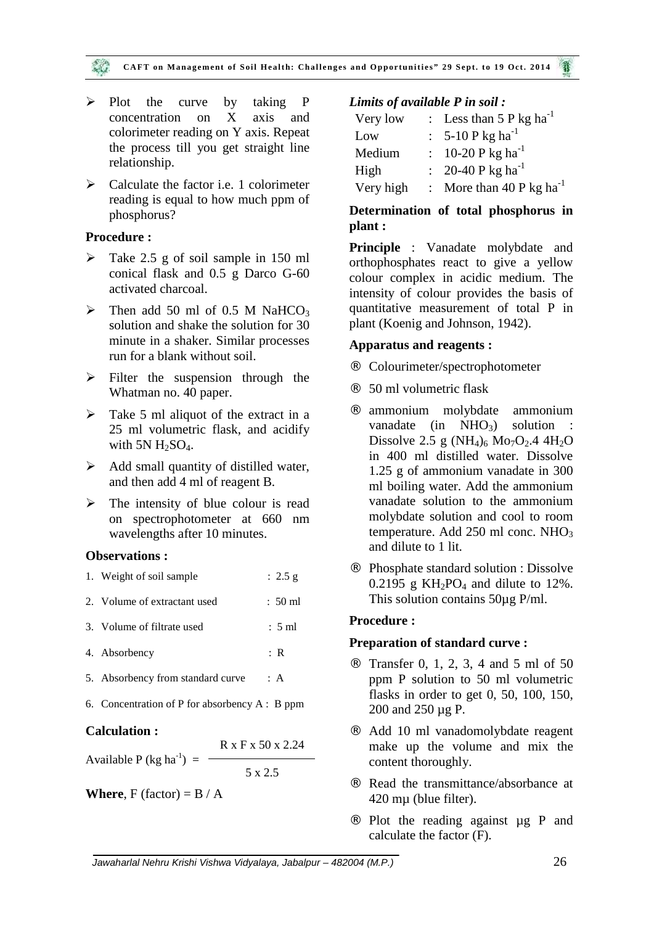#### CAFT on Management of Soil Health: Challenges and Opportunities" 29 Sept. to 19 Oct. 2014

- Plot the curve by taking P concentration on X axis and colorimeter reading on Y axis. Repeat the process till you get straight line relationship.
- $\triangleright$  Calculate the factor i.e. 1 colorimeter reading is equal to how much ppm of phosphorus?

## **Procedure :**

- Take 2.5 g of soil sample in 150 ml conical flask and 0.5 g Darco G-60 activated charcoal.
- $\triangleright$  Then add 50 ml of 0.5 M NaHCO<sub>3</sub> solution and shake the solution for 30 minute in a shaker. Similar processes run for a blank without soil.
- $\triangleright$  Filter the suspension through the Whatman no. 40 paper.
- $\triangleright$  Take 5 ml aliquot of the extract in a 25 ml volumetric flask, and acidify with  $5N H_2SO_4$ .
- $\triangleright$  Add small quantity of distilled water, and then add 4 ml of reagent B.
- $\triangleright$  The intensity of blue colour is read on spectrophotometer at 660 nm wavelengths after 10 minutes.

## **Observations :**

| the control of the control of the control of the control of the control of the control of the control of the control of the control of the control of the control of the control of the control of the control of the control | R x F x 50 x 2.24 |                   |     |
|-------------------------------------------------------------------------------------------------------------------------------------------------------------------------------------------------------------------------------|-------------------|-------------------|-----|
| <b>Calculation:</b>                                                                                                                                                                                                           |                   |                   |     |
| 6. Concentration of P for absorbency $A : B$ ppm                                                                                                                                                                              |                   |                   |     |
| 5. Absorbency from standard curve                                                                                                                                                                                             |                   | : A               |     |
| 4. Absorbency                                                                                                                                                                                                                 |                   | : R               | Pro |
| 3. Volume of filtrate used                                                                                                                                                                                                    |                   | $: 5 \text{ ml}$  | Pro |
| 2. Volume of extractant used                                                                                                                                                                                                  |                   | $: 50 \text{ ml}$ |     |
| 1. Weight of soil sample                                                                                                                                                                                                      |                   | : $2.5 g$         | А   |

| Available P (kg ha <sup>-1</sup> ) = |         |  |
|--------------------------------------|---------|--|
|                                      |         |  |
|                                      | 5 x 2.5 |  |

**Where**,  $F$  (factor) =  $B / A$ 

## *Limits of available P in soil :*

| Very low  | : Less than $5 P kg ha^{-1}$   |
|-----------|--------------------------------|
| Low       | : $5-10$ P kg ha <sup>-1</sup> |
| Medium    | : 10-20 P kg ha <sup>-1</sup>  |
| High      | : 20-40 P kg ha <sup>-1</sup>  |
| Very high | : More than 40 P kg $ha^{-1}$  |

## **Determination of total phosphorus in plant :**

**Principle** : Vanadate molybdate and orthophosphates react to give a yellow colour complex in acidic medium. The intensity of colour provides the basis of quantitative measurement of total P in plant (Koenig and Johnson, 1942).

## **Apparatus and reagents :**

- Colourimeter/spectrophotometer
- 50 ml volumetric flask
- ammonium molybdate ammonium vanadate (in  $NHO<sub>3</sub>$ ) solution Dissolve 2.5 g  $(NH_4)$ <sub>6</sub> Mo<sub>7</sub>O<sub>2</sub>.4 4H<sub>2</sub>O in 400 ml distilled water. Dissolve 1.25 g of ammonium vanadate in 300 ml boiling water. Add the ammonium vanadate solution to the ammonium molybdate solution and cool to room temperature. Add 250 ml conc. NHO<sub>3</sub> and dilute to 1 lit.
- Phosphate standard solution : Dissolve 0.2195 g  $KH_2PO_4$  and dilute to 12%. This solution contains 50µg P/ml.

## **Procedure :**

## **Preparation of standard curve :**

- $\hat{A}$  Transfer 0, 1, 2, 3, 4 and 5 ml of 50 ppm P solution to 50 ml volumetric flasks in order to get 0, 50, 100, 150, 200 and 250 µg P.
- Add 10 ml vanadomolybdate reagent make up the volume and mix the content thoroughly.
- Read the transmittance/absorbance at 420 mµ (blue filter).
- $\overline{A}$  Plot the reading against  $\mu$ g P and calculate the factor (F).

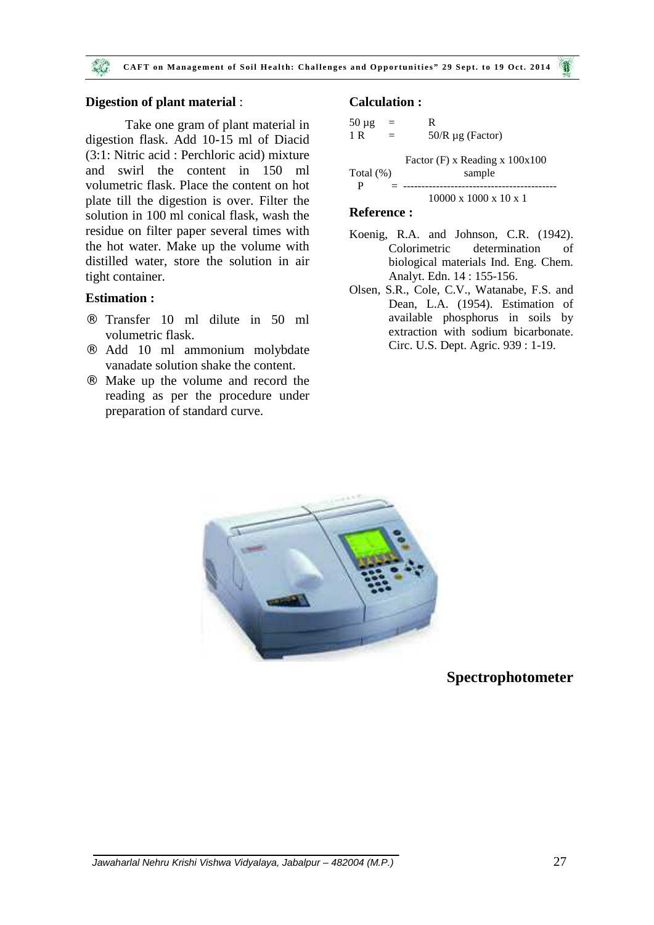#### **Digestion of plant material** :

Take one gram of plant material in digestion flask. Add 10-15 ml of Diacid (3:1: Nitric acid : Perchloric acid) mixture and swirl the content in 150 ml volumetric flask. Place the content on hot plate till the digestion is over. Filter the solution in 100 ml conical flask, wash the residue on filter paper several times with the hot water. Make up the volume with distilled water, store the solution in air tight container.

#### **Estimation :**

- Transfer 10 ml dilute in 50 ml volumetric flask.
- Add 10 ml ammonium molybdate vanadate solution shake the content.
- Make up the volume and record the reading as per the procedure under preparation of standard curve.

## **Calculation :**

$$
50 \mu g = R
$$
  
\n
$$
1 R = 50/R \mu g (Factor)
$$
  
\nFactor (F) x Reading x 100x100  
\nTotal (%)   
\n
$$
P = 10000 \times 1000 \times 10 \times 1
$$

#### **Reference :**

- Koenig, R.A. and Johnson, C.R. (1942). Colorimetric determination of biological materials Ind. Eng. Chem. Analyt. Edn. 14 : 155-156.
- Olsen, S.R., Cole, C.V., Watanabe, F.S. and Dean, L.A. (1954). Estimation of available phosphorus in soils by extraction with sodium bicarbonate. Circ. U.S. Dept. Agric. 939 : 1-19.



**Spectrophotometer**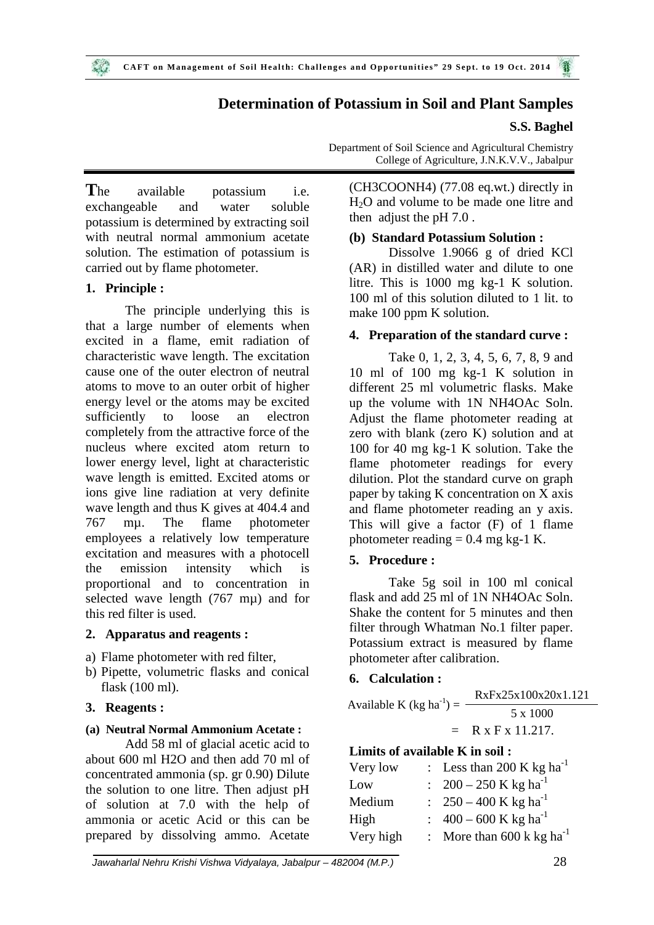## **Determination of Potassium in Soil and Plant Samples**

## **S.S. Baghel**

**T**he available potassium i.e. exchangeable and water soluble potassium is determined by extracting soil with neutral normal ammonium acetate solution. The estimation of potassium is carried out by flame photometer.

## **1. Principle :**

The principle underlying this is that a large number of elements when excited in a flame, emit radiation of characteristic wave length. The excitation cause one of the outer electron of neutral atoms to move to an outer orbit of higher energy level or the atoms may be excited sufficiently to loose an electron completely from the attractive force of the nucleus where excited atom return to lower energy level, light at characteristic wave length is emitted. Excited atoms or ions give line radiation at very definite wave length and thus K gives at 404.4 and 767 mµ. The flame photometer employees a relatively low temperature excitation and measures with a photocell the emission intensity which is proportional and to concentration in selected wave length (767 mµ) and for this red filter is used.

## **2. Apparatus and reagents :**

- a) Flame photometer with red filter,
- b) Pipette, volumetric flasks and conical flask (100 ml).

## **3. Reagents :**

## **(a) Neutral Normal Ammonium Acetate :**

Add 58 ml of glacial acetic acid to about 600 ml H2O and then add 70 ml of concentrated ammonia (sp. gr 0.90) Dilute the solution to one litre. Then adjust pH of solution at 7.0 with the help of ammonia or acetic Acid or this can be prepared by dissolving ammo. Acetate

Department of Soil Science and Agricultural Chemistry College of Agriculture, J.N.K.V.V., Jabalpur

(CH3COONH4) (77.08 eq.wt.) directly in H2O and volume to be made one litre and then adjust the pH 7.0 .

## **(b) Standard Potassium Solution :**

Dissolve 1.9066 g of dried KCl (AR) in distilled water and dilute to one litre. This is 1000 mg kg-1 K solution. 100 ml of this solution diluted to 1 lit. to make 100 ppm K solution.

## **4. Preparation of the standard curve :**

Take 0, 1, 2, 3, 4, 5, 6, 7, 8, 9 and 10 ml of 100 mg kg-1 K solution in different 25 ml volumetric flasks. Make up the volume with 1N NH4OAc Soln. Adjust the flame photometer reading at zero with blank (zero K) solution and at 100 for 40 mg kg-1 K solution. Take the flame photometer readings for every dilution. Plot the standard curve on graph paper by taking K concentration on X axis and flame photometer reading an y axis. This will give a factor (F) of 1 flame photometer reading  $= 0.4$  mg kg-1 K.

## **5. Procedure :**

Take 5g soil in 100 ml conical flask and add 25 ml of 1N NH4OAc Soln. Shake the content for 5 minutes and then filter through Whatman No.1 filter paper. Potassium extract is measured by flame photometer after calibration.

## **6. Calculation :**

|                                      | RxFx25x100x20x1.121 |
|--------------------------------------|---------------------|
| Available K (kg ha <sup>-1</sup> ) = | 5 x 1000            |
|                                      | $=$ R x F x 11.217. |

# **Limits of available K in soil :**

| Very low  | : Less than 200 K kg ha <sup>-1</sup>  |
|-----------|----------------------------------------|
| Low       | : $200 - 250$ K kg ha <sup>-1</sup>    |
| Medium    | : $250 - 400$ K kg ha <sup>-1</sup>    |
| High      | : $400 - 600$ K kg ha <sup>-1</sup>    |
| Very high | : More than $600 \text{ k kg ha}^{-1}$ |

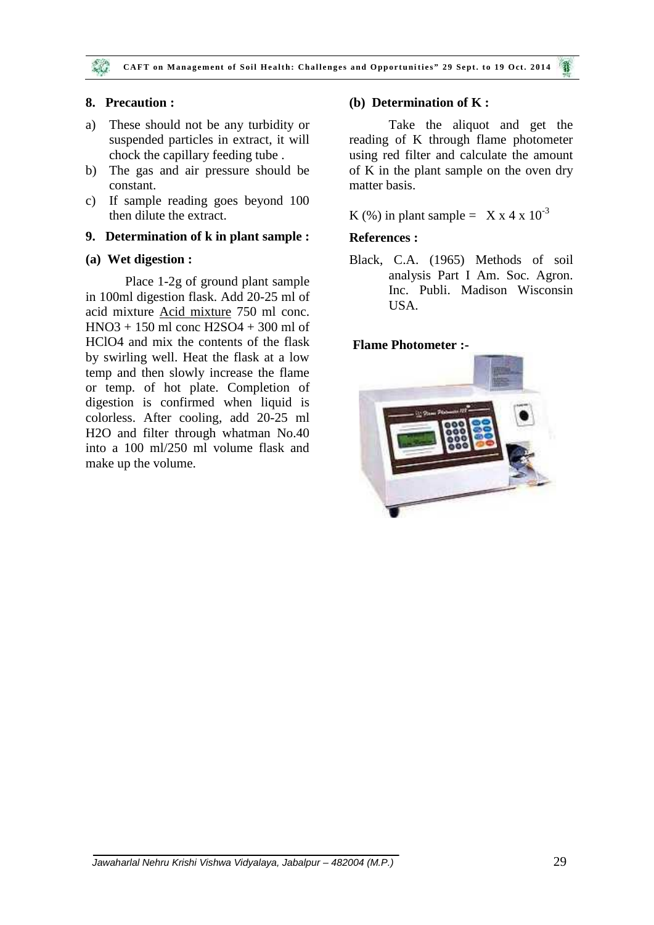## **8. Precaution :**

- a) These should not be any turbidity or suspended particles in extract, it will chock the capillary feeding tube .
- b) The gas and air pressure should be constant.
- c) If sample reading goes beyond 100 then dilute the extract.

### **9. Determination of k in plant sample :**

## **(a) Wet digestion :**

Place 1-2g of ground plant sample in 100ml digestion flask. Add 20-25 ml of acid mixture Acid mixture 750 ml conc. HNO3 + 150 ml conc H2SO4 + 300 ml of HClO4 and mix the contents of the flask by swirling well. Heat the flask at a low temp and then slowly increase the flame or temp. of hot plate. Completion of digestion is confirmed when liquid is colorless. After cooling, add 20-25 ml H2O and filter through whatman No.40 into a 100 ml/250 ml volume flask and make up the volume.

## **(b) Determination of K :**

Take the aliquot and get the reading of K through flame photometer using red filter and calculate the amount of K in the plant sample on the oven dry matter basis.

K (%) in plant sample =  $X \times 4 \times 10^{-3}$ 

## **References :**

Black, C.A. (1965) Methods of soil analysis Part I Am. Soc. Agron. Inc. Publi. Madison Wisconsin USA.

## **Flame Photometer :-**

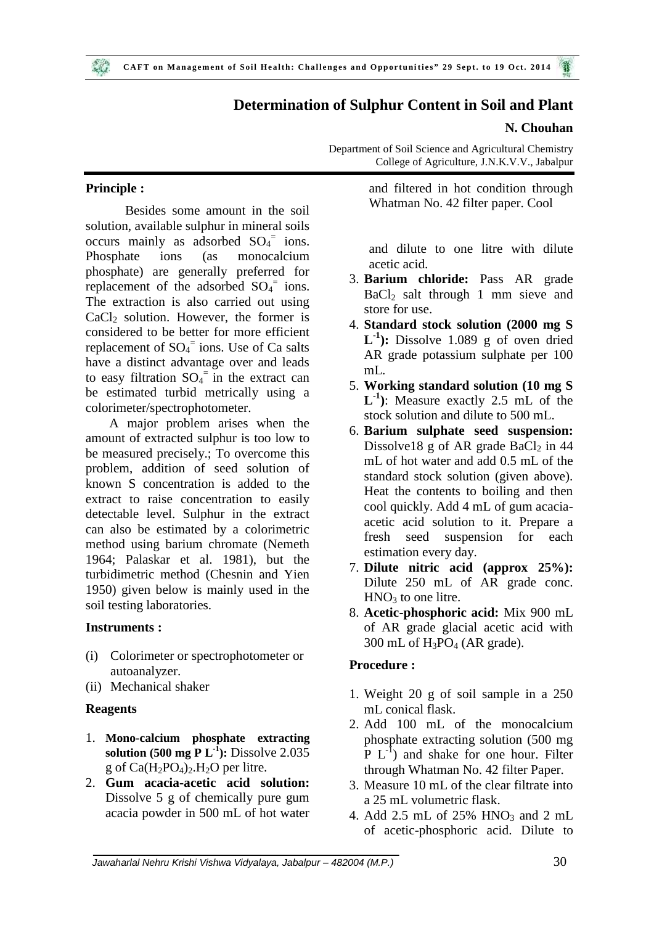## **Determination of Sulphur Content in Soil and Plant**

#### **N. Chouhan**

Department of Soil Science and Agricultural Chemistry College of Agriculture, J.N.K.V.V., Jabalpur

## **Principle :**

Besides some amount in the soil solution, available sulphur in mineral soils occurs mainly as adsorbed  $SO_4$ <sup>=</sup> ions. Phosphate ions (as monocalcium phosphate) are generally preferred for replacement of the adsorbed  $SO_4$ <sup>=</sup> ions. The extraction is also carried out using  $CaCl<sub>2</sub>$  solution. However, the former is considered to be better for more efficient replacement of  $SO_4$ <sup>=</sup> ions. Use of Ca salts have a distinct advantage over and leads to easy filtration  $SO_4$ <sup>=</sup> in the extract can be estimated turbid metrically using a colorimeter/spectrophotometer.

A major problem arises when the amount of extracted sulphur is too low to be measured precisely.; To overcome this problem, addition of seed solution of known S concentration is added to the extract to raise concentration to easily detectable level. Sulphur in the extract can also be estimated by a colorimetric method using barium chromate (Nemeth 1964; Palaskar et al. 1981), but the turbidimetric method (Chesnin and Yien 1950) given below is mainly used in the soil testing laboratories.

## **Instruments :**

- (i) Colorimeter or spectrophotometer or autoanalyzer.
- (ii) Mechanical shaker

## **Reagents**

- 1. **Mono-calcium phosphate extracting solution (500 mg P L<sup>-1</sup>): Dissolve 2.035** g of  $Ca(H_2PO_4)_2.H_2O$  per litre.
- 2. **Gum acacia-acetic acid solution:** Dissolve 5 g of chemically pure gum acacia powder in 500 mL of hot water

and filtered in hot condition through Whatman No. 42 filter paper. Cool

and dilute to one litre with dilute acetic acid.

- 3. **Barium chloride:** Pass AR grade  $BaCl<sub>2</sub>$  salt through 1 mm sieve and store for use.
- 4. **Standard stock solution (2000 mg S**  $L^{-1}$ ): Dissolve 1.089 g of oven dried AR grade potassium sulphate per 100 mL.
- 5. **Working standard solution (10 mg S L -1 )**: Measure exactly 2.5 mL of the stock solution and dilute to 500 mL.
- 6. **Barium sulphate seed suspension:** Dissolve18 g of AR grade  $BaCl<sub>2</sub>$  in 44 mL of hot water and add 0.5 mL of the standard stock solution (given above). Heat the contents to boiling and then cool quickly. Add 4 mL of gum acacia acetic acid solution to it. Prepare a fresh seed suspension for each estimation every day.
- 7. **Dilute nitric acid (approx 25%):** Dilute 250 mL of AR grade conc.  $HNO<sub>3</sub>$  to one litre.
- 8. **Acetic-phosphoric acid:** Mix 900 mL of AR grade glacial acetic acid with  $300$  mL of  $H_3PO_4$  (AR grade).

## **Procedure :**

- 1. Weight 20 g of soil sample in a 250 mL conical flask.
- 2. Add 100 mL of the monocalcium phosphate extracting solution (500 mg  $\overline{P} L^{-1}$ ) and shake for one hour. Filter through Whatman No. 42 filter Paper.
- 3. Measure 10 mL of the clear filtrate into a 25 mL volumetric flask.
- 4. Add 2.5 mL of 25% HNO<sub>3</sub> and 2 mL of acetic-phosphoric acid. Dilute to

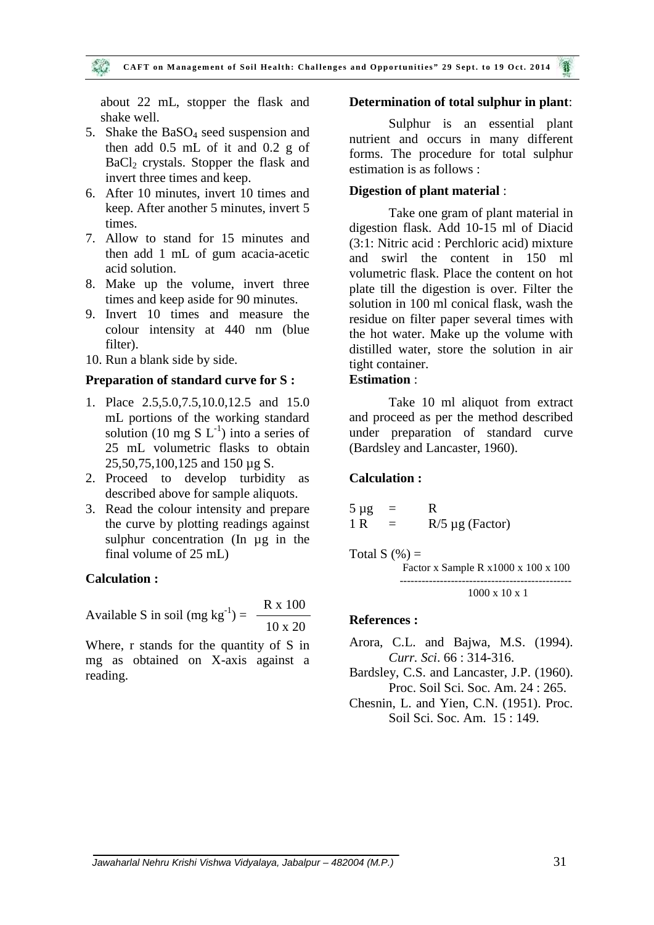about 22 mL, stopper the flask and shake well.

- 5. Shake the BaSO<sub>4</sub> seed suspension and then add 0.5 mL of it and 0.2 g of BaCl<sub>2</sub> crystals. Stopper the flask and invert three times and keep.
- 6. After 10 minutes, invert 10 times and keep. After another 5 minutes, invert 5 times.
- 7. Allow to stand for 15 minutes and then add 1 mL of gum acacia-acetic acid solution.
- 8. Make up the volume, invert three times and keep aside for 90 minutes.
- 9. Invert 10 times and measure the colour intensity at 440 nm (blue filter).
- 10. Run a blank side by side.

#### **Preparation of standard curve for S :**

- 1. Place 2.5,5.0,7.5,10.0,12.5 and 15.0 mL portions of the working standard solution (10 mg S  $L^{-1}$ ) into a series of 25 mL volumetric flasks to obtain 25,50,75,100,125 and 150 µg S.
- 2. Proceed to develop turbidity as described above for sample aliquots.
- 3. Read the colour intensity and prepare the curve by plotting readings against sulphur concentration (In µg in the final volume of 25 mL)

#### **Calculation :**

Available S in soil (mg kg<sup>-1</sup>) =  $\frac{R \times 100}{R}$ 10 x 20

Where, r stands for the quantity of S in mg as obtained on X-axis against a reading.

#### **Determination of total sulphur in plant**:

Sulphur is an essential plant nutrient and occurs in many different forms. The procedure for total sulphur estimation is as follows :

#### **Digestion of plant material** :

Take one gram of plant material in digestion flask. Add 10-15 ml of Diacid (3:1: Nitric acid : Perchloric acid) mixture and swirl the content in 150 ml volumetric flask. Place the content on hot plate till the digestion is over. Filter the solution in 100 ml conical flask, wash the residue on filter paper several times with the hot water. Make up the volume with distilled water, store the solution in air tight container.

#### **Estimation** :

Take 10 ml aliquot from extract and proceed as per the method described under preparation of standard curve (Bardsley and Lancaster, 1960).

#### **Calculation :**

$$
5 \mu g = R
$$
  
1 R = R/5 \mu g (Factor)

Total  $S(\%) =$  Factor x Sample R x1000 x 100 x 100 ----------------------------------------------- 1000 x 10 x 1

#### **References :**

Arora, C.L. and Bajwa, M.S. (1994). *Curr. Sci*. 66 : 314-316.

Bardsley, C.S. and Lancaster, J.P. (1960). Proc. Soil Sci. Soc. Am. 24 : 265.

Chesnin, L. and Yien, C.N. (1951). Proc. Soil Sci. Soc. Am. 15 : 149.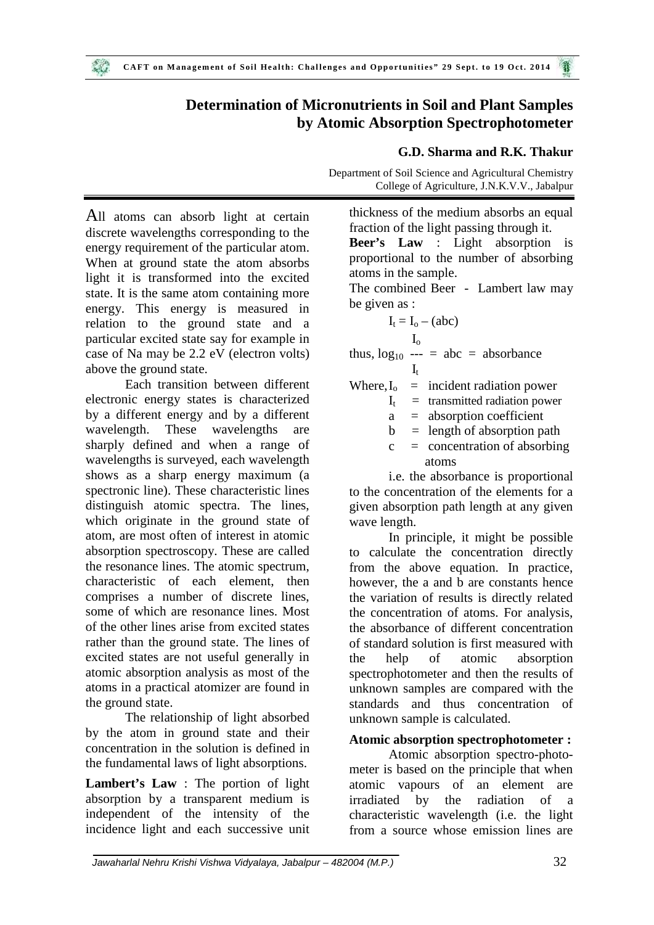# **Determination of Micronutrients in Soil and Plant Samples by Atomic Absorption Spectrophotometer**

## All atoms can absorb light at certain discrete wavelengths corresponding to the energy requirement of the particular atom. When at ground state the atom absorbs light it is transformed into the excited state. It is the same atom containing more energy. This energy is measured in relation to the ground state and a particular excited state say for example in case of Na may be 2.2 eV (electron volts) above the ground state.

Each transition between different electronic energy states is characterized by a different energy and by a different wavelength. These wavelengths are sharply defined and when a range of wavelengths is surveyed, each wavelength shows as a sharp energy maximum (a spectronic line). These characteristic lines distinguish atomic spectra. The lines, which originate in the ground state of atom, are most often of interest in atomic absorption spectroscopy. These are called the resonance lines. The atomic spectrum, characteristic of each element, then comprises a number of discrete lines, some of which are resonance lines. Most of the other lines arise from excited states rather than the ground state. The lines of excited states are not useful generally in atomic absorption analysis as most of the atoms in a practical atomizer are found in the ground state.

The relationship of light absorbed by the atom in ground state and their concentration in the solution is defined in the fundamental laws of light absorptions.

**Lambert's Law** : The portion of light absorption by a transparent medium is independent of the intensity of the incidence light and each successive unit

### **G.D. Sharma and R.K. Thakur**

Department of Soil Science and Agricultural Chemistry College of Agriculture, J.N.K.V.V., Jabalpur

thickness of the medium absorbs an equal fraction of the light passing through it. **Beer's Law** : Light absorption is proportional to the number of absorbing atoms in the sample. The combined Beer - Lambert law may be given as :

$$
I_t = I_o - (abc)
$$

$$
\mathrm{I}_\mathrm{o}
$$

thus,  $log_{10}$  --- = abc = absorbance

$$
\mathbf{I}_t
$$

Where,  $I_0$  = incident radiation power

 $I_t$  = transmitted radiation power

a = absorption coefficient

 $b =$  length of absorption path

 $c =$  concentration of absorbing atoms

i.e. the absorbance is proportional to the concentration of the elements for a given absorption path length at any given wave length.

In principle, it might be possible to calculate the concentration directly from the above equation. In practice, however, the a and b are constants hence the variation of results is directly related the concentration of atoms. For analysis, the absorbance of different concentration of standard solution is first measured with help of atomic absorption spectrophotometer and then the results of unknown samples are compared with the standards and thus concentration of unknown sample is calculated.

## **Atomic absorption spectrophotometer :**

Atomic absorption spectro-photo meter is based on the principle that when atomic vapours of an element are irradiated by the radiation of a characteristic wavelength (i.e. the light from a source whose emission lines are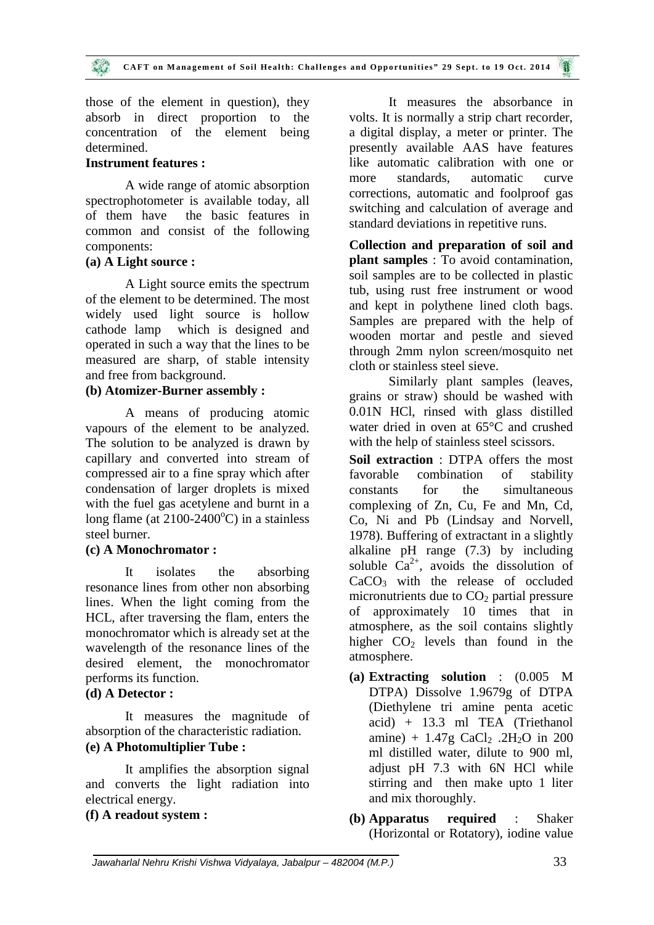those of the element in question), they absorb in direct proportion to the concentration of the element being determined.

### **Instrument features :**

A wide range of atomic absorption more spectrophotometer is available today, all of them have the basic features in common and consist of the following components:

## **(a) A Light source :**

A Light source emits the spectrum of the element to be determined. The most widely used light source is hollow cathode lamp which is designed and operated in such a way that the lines to be measured are sharp, of stable intensity and free from background.

## **(b) Atomizer-Burner assembly :**

A means of producing atomic vapours of the element to be analyzed. The solution to be analyzed is drawn by capillary and converted into stream of compressed air to a fine spray which after condensation of larger droplets is mixed with the fuel gas acetylene and burnt in a long flame (at  $2100-2400^{\circ}$ C) in a stainless steel burner.

#### **(c) A Monochromator :**

It isolates the absorbing resonance lines from other non absorbing lines. When the light coming from the HCL, after traversing the flam, enters the monochromator which is already set at the wavelength of the resonance lines of the desired element, the monochromator performs its function.

#### **(d) A Detector :**

It measures the magnitude of absorption of the characteristic radiation. **(e) A Photomultiplier Tube :**

It amplifies the absorption signal and converts the light radiation into electrical energy.

## **(f) A readout system :**

It measures the absorbance in volts. It is normally a strip chart recorder, a digital display, a meter or printer. The presently available AAS have features like automatic calibration with one or standards, automatic curve corrections, automatic and foolproof gas switching and calculation of average and standard deviations in repetitive runs.

**Collection and preparation of soil and plant samples** : To avoid contamination, soil samples are to be collected in plastic tub, using rust free instrument or wood and kept in polythene lined cloth bags. Samples are prepared with the help of wooden mortar and pestle and sieved through 2mm nylon screen/mosquito net cloth or stainless steel sieve.

Similarly plant samples (leaves, grains or straw) should be washed with 0.01N HCl, rinsed with glass distilled water dried in oven at 65°C and crushed with the help of stainless steel scissors.

**Soil extraction** : DTPA offers the most favorable combination of stability for the simultaneous complexing of Zn, Cu, Fe and Mn, Cd, Co, Ni and Pb (Lindsay and Norvell, 1978). Buffering of extractant in a slightly alkaline pH range (7.3) by including soluble  $Ca^{2+}$ , avoids the dissolution of CaCO<sub>3</sub> with the release of occluded micronutrients due to  $CO<sub>2</sub>$  partial pressure of approximately 10 times that in atmosphere, as the soil contains slightly higher  $CO<sub>2</sub>$  levels than found in the atmosphere.

- **(a) Extracting solution** : (0.005 M DTPA) Dissolve 1.9679g of DTPA (Diethylene tri amine penta acetic acid) + 13.3 ml TEA (Triethanol amine) +  $1.47g$  CaCl<sub>2</sub> .2H<sub>2</sub>O in 200 ml distilled water, dilute to 900 ml, adjust pH 7.3 with 6N HCl while stirring and then make upto 1 liter and mix thoroughly.
- **(b) Apparatus required** : Shaker (Horizontal or Rotatory), iodine value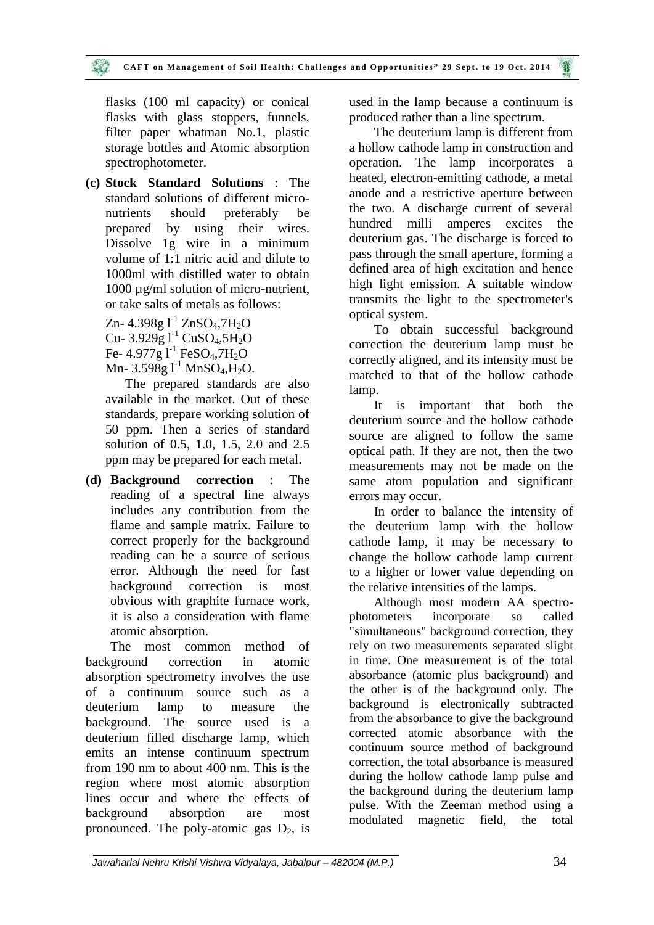flasks (100 ml capacity) or conical flasks with glass stoppers, funnels, filter paper whatman No.1, plastic storage bottles and Atomic absorption spectrophotometer.

**(c) Stock Standard Solutions** : The standard solutions of different micro nutrients should preferably be prepared by using their wires. Dissolve 1g wire in a minimum volume of 1:1 nitric acid and dilute to 1000ml with distilled water to obtain 1000 µg/ml solution of micro-nutrient, or take salts of metals as follows:

 $Zn-4.398g1^{-1}ZnSO_4,7H_2O$ Cu-  $3.929g1^1$  CuSO<sub>4</sub>,5H<sub>2</sub>O Fe-  $4.977g$   $l^{-1}$  FeSO<sub>4</sub>,7H<sub>2</sub>O Mn-  $3.598g1^{-1}$  MnSO<sub>4</sub>,H<sub>2</sub>O.

The prepared standards are also available in the market. Out of these standards, prepare working solution of 50 ppm. Then a series of standard solution of 0.5, 1.0, 1.5, 2.0 and 2.5 ppm may be prepared for each metal.

**(d) Background correction** : The reading of a spectral line always includes any contribution from the flame and sample matrix. Failure to correct properly for the background reading can be a source of serious error. Although the need for fast background correction is most obvious with graphite furnace work, it is also a consideration with flame atomic absorption.

The most common method of background correction in atomic absorption spectrometry involves the use of a continuum source such as a deuterium lamp to measure the background. The source used is a deuterium filled discharge lamp, which emits an intense continuum spectrum from 190 nm to about 400 nm. This is the region where most atomic absorption lines occur and where the effects of background absorption are most pronounced. The poly-atomic gas  $D_2$ , is

used in the lamp because a continuum is produced rather than a line spectrum.

The deuterium lamp is different from a hollow cathode lamp in construction and operation. The lamp incorporates a heated, electron-emitting cathode, a metal anode and a restrictive aperture between the two. A discharge current of several hundred milli amperes excites the deuterium gas. The discharge is forced to pass through the small aperture, forming a defined area of high excitation and hence high light emission. A suitable window transmits the light to the spectrometer's optical system.

To obtain successful background correction the deuterium lamp must be correctly aligned, and its intensity must be matched to that of the hollow cathode lamp.

It is important that both the deuterium source and the hollow cathode source are aligned to follow the same optical path. If they are not, then the two measurements may not be made on the same atom population and significant errors may occur.

In order to balance the intensity of the deuterium lamp with the hollow cathode lamp, it may be necessary to change the hollow cathode lamp current to a higher or lower value depending on the relative intensities of the lamps.

Although most modern AA spectro photometers incorporate so called "simultaneous" background correction, they rely on two measurements separated slight in time. One measurement is of the total absorbance (atomic plus background) and the other is of the background only. The background is electronically subtracted from the absorbance to give the background corrected atomic absorbance with the continuum source method of background correction, the total absorbance is measured during the hollow cathode lamp pulse and the background during the deuterium lamp pulse. With the Zeeman method using a modulated magnetic field, the total

*Jawaharlal Nehru Krishi Vishwa Vidyalaya, Jabalpur – 482004 (M.P.)* 34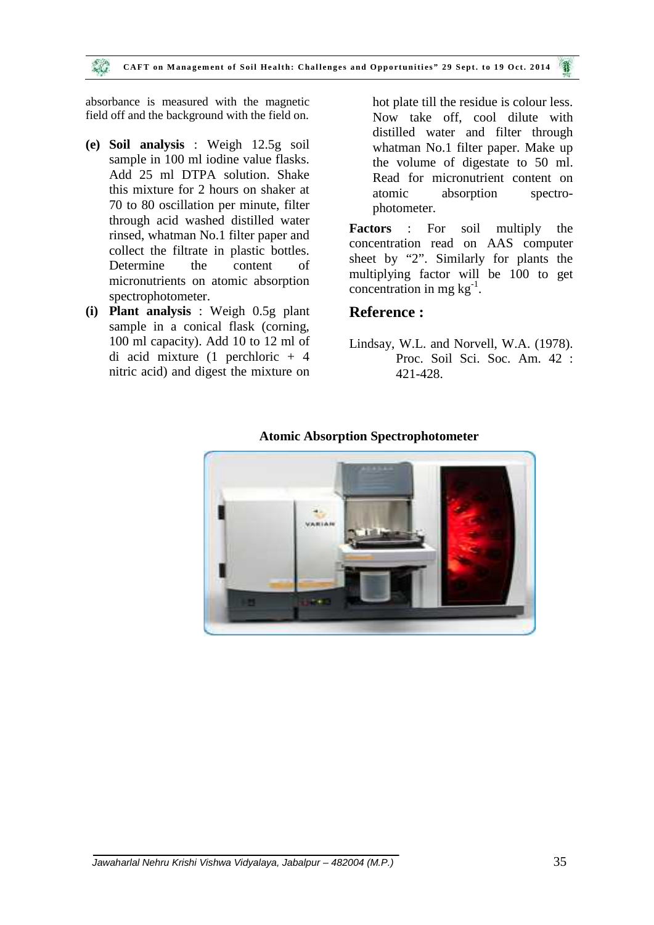absorbance is measured with the magnetic field off and the background with the field on.

- **(e) Soil analysis** : Weigh 12.5g soil sample in 100 ml iodine value flasks. Add 25 ml DTPA solution. Shake this mixture for 2 hours on shaker at 70 to 80 oscillation per minute, filter through acid washed distilled water rinsed, whatman No.1 filter paper and **Factors** collect the filtrate in plastic bottles. Determine the content of micronutrients on atomic absorption spectrophotometer.
- **(i) Plant analysis** : Weigh 0.5g plant sample in a conical flask (corning, 100 ml capacity). Add 10 to 12 ml of di acid mixture (1 perchloric + 4 nitric acid) and digest the mixture on

hot plate till the residue is colour less. Now take off, cool dilute with distilled water and filter through whatman No.1 filter paper. Make up the volume of digestate to 50 ml. Read for micronutrient content on atomic absorption spectro photometer.

**Factors** : For soil multiply the concentration read on AAS computer sheet by "2". Similarly for plants the multiplying factor will be 100 to get concentration in mg  $kg^{-1}$ .

## **Reference :**

Lindsay, W.L. and Norvell, W.A. (1978). Proc. Soil Sci. Soc. Am. 42 : 421-428.



#### **Atomic Absorption Spectrophotometer**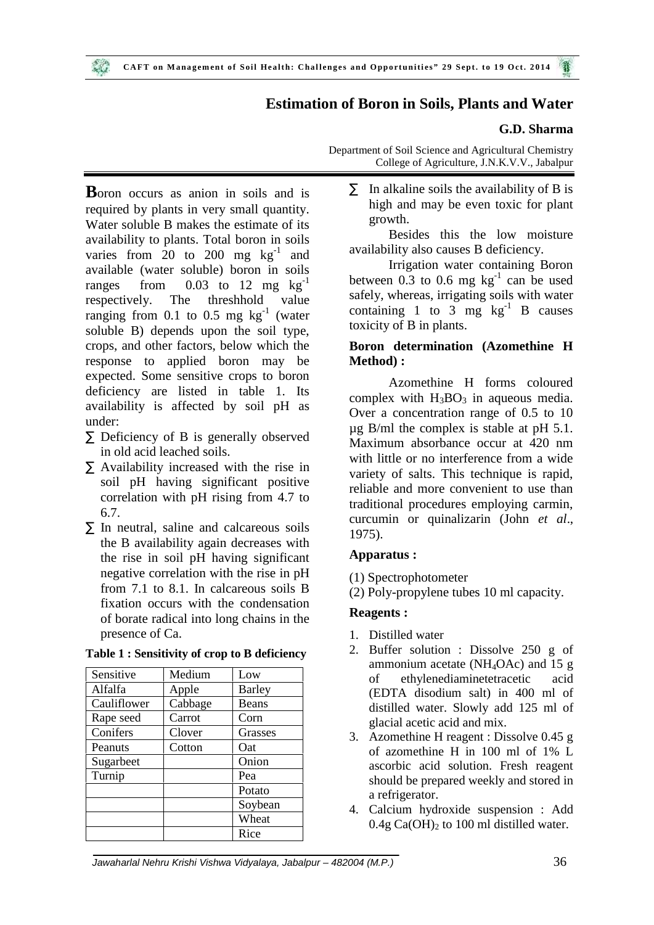## **Estimation of Boron in Soils, Plants and Water**

#### **G.D. Sharma**

Department of Soil Science and Agricultural Chemistry College of Agriculture, J.N.K.V.V., Jabalpur

**B**oron occurs as anion in soils and is required by plants in very small quantity. Water soluble B makes the estimate of its availability to plants. Total boron in soils varies from  $20$  to  $200$  mg  $\text{kg}^{-1}$  and  $a^{v}$ available (water soluble) boron in soils ranges from  $0.03$  to 12 mg  $kg^{-1}$ respectively. The threshhold value ranging from 0.1 to 0.5 mg  $kg^{-1}$  (water soluble B) depends upon the soil type, crops, and other factors, below which the response to applied boron may be expected. Some sensitive crops to boron deficiency are listed in table 1. Its availability is affected by soil pH as under:

- $\tilde{N}$  Deficiency of B is generally observed in old acid leached soils.
- $\tilde{N}$  Availability increased with the rise in soil pH having significant positive correlation with pH rising from 4.7 to 6.7.
- $\tilde{N}$  In neutral, saline and calcareous soils the B availability again decreases with the rise in soil pH having significant negative correlation with the rise in pH from 7.1 to 8.1. In calcareous soils B fixation occurs with the condensation of borate radical into long chains in the presence of Ca.

| Sensitive   | Medium  | Low           |
|-------------|---------|---------------|
| Alfalfa     | Apple   | <b>Barley</b> |
| Cauliflower | Cabbage | Beans         |
| Rape seed   | Carrot  | Corn          |
| Conifers    | Clover  | Grasses       |
| Peanuts     | Cotton  | Oat           |
| Sugarbeet   |         | Onion         |
| Turnip      |         | Pea           |
|             |         | Potato        |
|             |         | Soybean       |
|             |         | Wheat         |
|             |         | Rice          |

#### **Table 1 : Sensitivity of crop to B deficiency**

 $\tilde{N}$  In alkaline soils the availability of B is high and may be even toxic for plant growth.

Besides this the low moisture availability also causes B deficiency.

Irrigation water containing Boron between  $0.3$  to  $0.6$  mg  $\text{kg}^{-1}$  can be used safely, whereas, irrigating soils with water containing 1 to 3 mg  $\text{kg}^{-1}$  B causes toxicity of B in plants.

## **Boron determination (Azomethine H Method) :**

Azomethine H forms coloured complex with  $H_3BO_3$  in aqueous media. Over a concentration range of 0.5 to 10 µg B/ml the complex is stable at pH 5.1. Maximum absorbance occur at 420 nm with little or no interference from a wide variety of salts. This technique is rapid, reliable and more convenient to use than traditional procedures employing carmin, curcumin or quinalizarin (John *et al*., 1975).

#### **Apparatus :**

- (1) Spectrophotometer
- (2) Poly-propylene tubes 10 ml capacity.

#### **Reagents :**

- 1. Distilled water
- 2. Buffer solution : Dissolve 250 g of ammonium acetate (NH<sub>4</sub>OAc) and 15 g of ethylenediaminetetracetic acid (EDTA disodium salt) in 400 ml of distilled water. Slowly add 125 ml of glacial acetic acid and mix.
- 3. Azomethine H reagent : Dissolve 0.45 g of azomethine H in 100 ml of 1% L ascorbic acid solution. Fresh reagent should be prepared weekly and stored in a refrigerator.
- 4. Calcium hydroxide suspension : Add  $0.4g$  Ca(OH)<sub>2</sub> to 100 ml distilled water.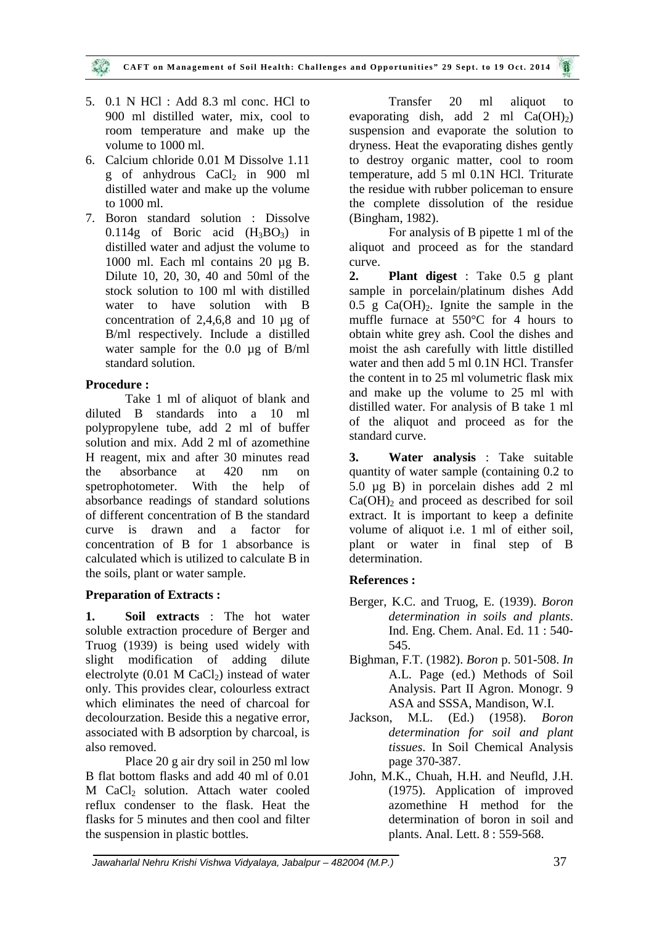- 5. 0.1 N HCl : Add 8.3 ml conc. HCl to 900 ml distilled water, mix, cool to room temperature and make up the volume to 1000 ml.
- 6. Calcium chloride 0.01 M Dissolve 1.11 g of anhydrous  $CaCl<sub>2</sub>$  in 900 ml distilled water and make up the volume to 1000 ml.
- 7. Boron standard solution : Dissolve 0.114g of Boric acid  $(H_3BO_3)$  in distilled water and adjust the volume to 1000 ml. Each ml contains 20 µg B. Dilute 10, 20, 30, 40 and 50ml of the 2. stock solution to 100 ml with distilled water to have solution with B concentration of 2,4,6,8 and 10 µg of B/ml respectively. Include a distilled water sample for the 0.0 µg of B/ml standard solution.

## **Procedure :**

Take 1 ml of aliquot of blank and diluted B standards into a 10 ml polypropylene tube, add 2 ml of buffer solution and mix. Add 2 ml of azomethine H reagent, mix and after 30 minutes read the absorbance at 420 nm on spetrophotometer. With the help of absorbance readings of standard solutions of different concentration of B the standard curve is drawn and a factor for concentration of B for 1 absorbance is calculated which is utilized to calculate B in the soils, plant or water sample.

#### **Preparation of Extracts :**

**1. Soil extracts** : The hot water soluble extraction procedure of Berger and Truog (1939) is being used widely with slight modification of adding dilute electrolyte  $(0.01 \text{ M } CaCl<sub>2</sub>)$  instead of water only. This provides clear, colourless extract which eliminates the need of charcoal for decolourzation. Beside this a negative error, associated with B adsorption by charcoal, is also removed.

Place 20 g air dry soil in 250 ml low B flat bottom flasks and add 40 ml of 0.01 M CaCl<sub>2</sub> solution. Attach water cooled reflux condenser to the flask. Heat the flasks for 5 minutes and then cool and filter the suspension in plastic bottles.

Transfer 20 ml aliquot to evaporating dish, add 2 ml  $Ca(OH_2)$ suspension and evaporate the solution to dryness. Heat the evaporating dishes gently to destroy organic matter, cool to room temperature, add 5 ml 0.1N HCl. Triturate the residue with rubber policeman to ensure the complete dissolution of the residue (Bingham, 1982).

For analysis of B pipette 1 ml of the aliquot and proceed as for the standard curve.

**2. Plant digest** : Take 0.5 g plant sample in porcelain/platinum dishes Add 0.5 g  $Ca(OH)_{2}$ . Ignite the sample in the muffle furnace at 550°C for 4 hours to obtain white grey ash. Cool the dishes and moist the ash carefully with little distilled water and then add 5 ml 0.1N HCl. Transfer the content in to 25 ml volumetric flask mix and make up the volume to 25 ml with distilled water. For analysis of B take 1 ml of the aliquot and proceed as for the standard curve.

**3. Water analysis** : Take suitable quantity of water sample (containing 0.2 to 5.0 µg B) in porcelain dishes add 2 ml  $Ca(OH)$ <sub>2</sub> and proceed as described for soil extract. It is important to keep a definite volume of aliquot i.e. 1 ml of either soil, plant or water in final step of B determination.

## **References :**

- Berger, K.C. and Truog, E. (1939). *Boron determination in soils and plants*. Ind. Eng. Chem. Anal. Ed. 11 : 540- 545.
- Bighman, F.T. (1982). *Boron* p. 501-508. *In* A.L. Page (ed.) Methods of Soil Analysis. Part II Agron. Monogr. 9 ASA and SSSA, Mandison, W.I.
- Jackson, M.L. (Ed.) (1958). *Boron determination for soil and plant tissues*. In Soil Chemical Analysis page 370-387.
- John, M.K., Chuah, H.H. and Neufld, J.H. (1975). Application of improved azomethine H method for the determination of boron in soil and plants. Anal. Lett. 8 : 559-568.

*Jawaharlal Nehru Krishi Vishwa Vidyalaya, Jabalpur – 482004 (M.P.)* 37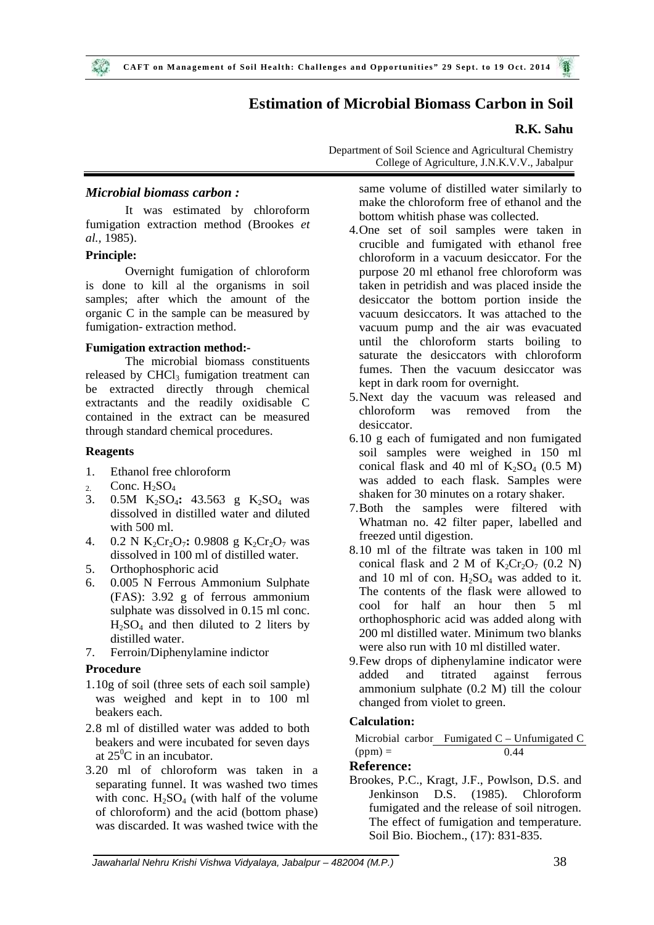## **Estimation of Microbial Biomass Carbon in Soil**

### **R.K. Sahu**

Department of Soil Science and Agricultural Chemistry College of Agriculture, J.N.K.V.V., Jabalpur

#### *Microbial biomass carbon :*

It was estimated by chloroform fumigation extraction method (Brookes *et al.,* 1985).

#### **Principle:**

Overnight fumigation of chloroform is done to kill al the organisms in soil samples; after which the amount of the organic C in the sample can be measured by fumigation- extraction method.

#### **Fumigation extraction method:-**

The microbial biomass constituents released by CHCl<sub>3</sub> fumigation treatment can be extracted directly through chemical extractants and the readily oxidisable C contained in the extract can be measured through standard chemical procedures.

### **Reagents**

- 1. Ethanol free chloroform
- 2. Conc.  $H_2SO_4$ <br>3. 0.5M  $K_2SO_4$
- 0.5M K<sub>2</sub>SO<sub>4</sub>: 43.563 g K<sub>2</sub>SO<sub>4</sub> was dissolved in distilled water and diluted with 500 ml.
- 4. 0.2 N K<sub>2</sub>Cr<sub>2</sub>O<sub>7</sub>: 0.9808 g K<sub>2</sub>Cr<sub>2</sub>O<sub>7</sub> was dissolved in 100 ml of distilled water.
- 5. Orthophosphoric acid
- 6. 0.005 N Ferrous Ammonium Sulphate (FAS): 3.92 g of ferrous ammonium sulphate was dissolved in 0.15 ml conc.  $H_2SO_4$  and then diluted to 2 liters by distilled water.
- 7. Ferroin/Diphenylamine indictor

#### **Procedure**

- 1.10g of soil (three sets of each soil sample) was weighed and kept in to 100 ml beakers each.
- 2.8 ml of distilled water was added to both beakers and were incubated for seven days at  $25^{\circ}$ C in an incubator.
- 3.20 ml of chloroform was taken in a separating funnel. It was washed two times with conc.  $H_2SO_4$  (with half of the volume of chloroform) and the acid (bottom phase) was discarded. It was washed twice with the

same volume of distilled water similarly to make the chloroform free of ethanol and the bottom whitish phase was collected.

- 4.One set of soil samples were taken in crucible and fumigated with ethanol free chloroform in a vacuum desiccator. For the purpose 20 ml ethanol free chloroform was taken in petridish and was placed inside the desiccator the bottom portion inside the vacuum desiccators. It was attached to the vacuum pump and the air was evacuated until the chloroform starts boiling to saturate the desiccators with chloroform fumes. Then the vacuum desiccator was kept in dark room for overnight.
- 5.Next day the vacuum was released and chloroform was removed from the desiccator.
- 6.10 g each of fumigated and non fumigated soil samples were weighed in 150 ml conical flask and 40 ml of  $K_2SO_4$  (0.5 M) was added to each flask. Samples were shaken for 30 minutes on a rotary shaker.
- 7.Both the samples were filtered with Whatman no. 42 filter paper, labelled and freezed until digestion.
- 8.10 ml of the filtrate was taken in 100 ml conical flask and 2 M of  $K_2Cr_2O_7$  (0.2 N) and 10 ml of con.  $H_2SO_4$  was added to it. The contents of the flask were allowed to cool for half an hour then 5 ml orthophosphoric acid was added along with 200 ml distilled water. Minimum two blanks were also run with 10 ml distilled water.
- 9.Few drops of diphenylamine indicator were added and titrated against ferrous ammonium sulphate (0.2 M) till the colour changed from violet to green.

#### **Calculation:**

Microbial carbon Fumigated  $C - Unfumigated C$  $(ppm) = 0.44$ 

#### **Reference:**

Brookes, P.C., Kragt, J.F., Powlson, D.S. and Jenkinson D.S. (1985). Chloroform fumigated and the release of soil nitrogen. The effect of fumigation and temperature. Soil Bio. Biochem., (17): 831-835.

*Jawaharlal Nehru Krishi Vishwa Vidyalaya, Jabalpur – 482004 (M.P.)* 38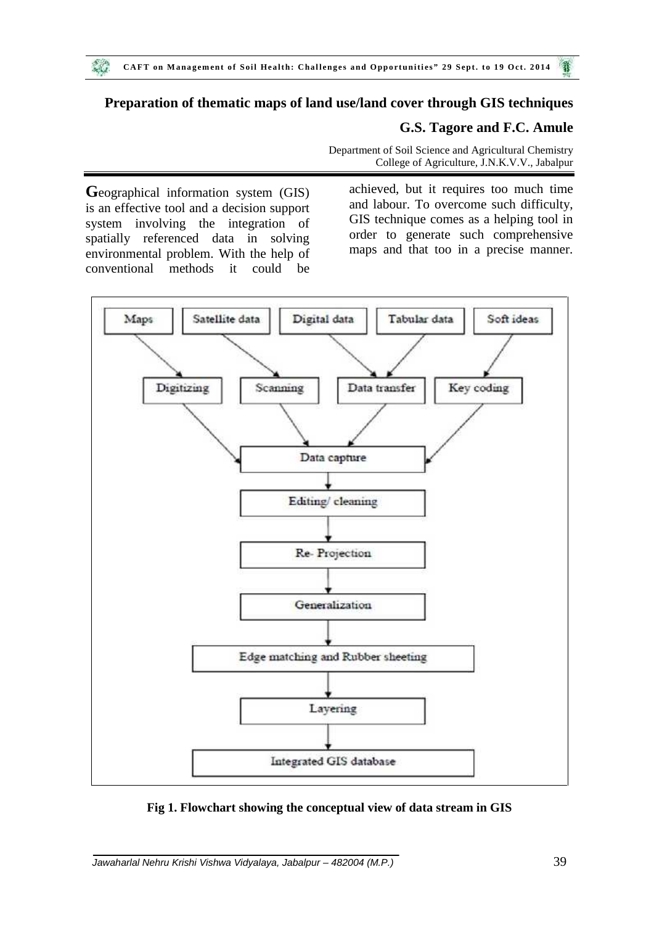## **Preparation of thematic maps of land use/land cover through GIS techniques**

## **G.S. Tagore and F.C. Amule**

Department of Soil Science and Agricultural Chemistry College of Agriculture, J.N.K.V.V., Jabalpur

**G**eographical information system (GIS) is an effective tool and a decision support system involving the integration of spatially referenced data in solving environmental problem. With the help of conventional methods it could be

achieved, but it requires too much time and labour. To overcome such difficulty, GIS technique comes as a helping tool in order to generate such comprehensive maps and that too in a precise manner.



**Fig 1. Flowchart showing the conceptual view of data stream in GIS**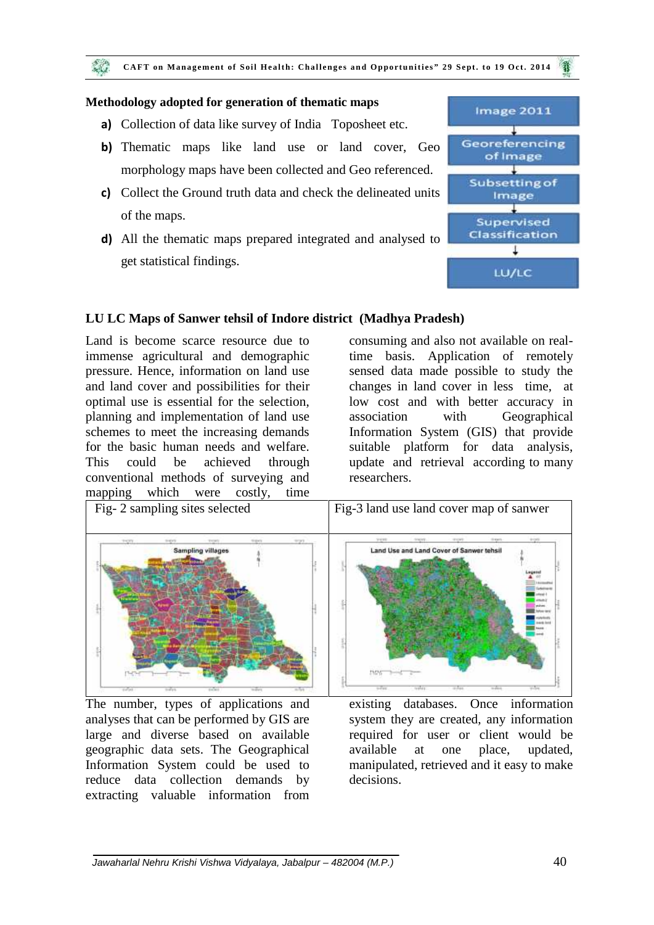#### **Methodology adopted for generation of thematic maps**

- **a)** Collection of data like survey of India Toposheet etc.
- **b)** Thematic maps like land use or land cover, Geo **Georgeneing** morphology maps have been collected and Geo referenced.
- **c)** Collect the Ground truth data and check the delineated units<br>**c** collect the Ground truth data and check the delineated units of the maps.
- **d)** All the thematic maps prepared integrated and analysed to **Classification** get statistical findings.



## **LU LC Maps of Sanwer tehsil of Indore district (Madhya Pradesh)**

Land is become scarce resource due to immense agricultural and demographic pressure. Hence, information on land use and land cover and possibilities for their optimal use is essential for the selection, planning and implementation of land use schemes to meet the increasing demands for the basic human needs and welfare. This could be achieved through conventional methods of surveying and mapping which were costly, time

consuming and also not available on realtime basis. Application of remotely sensed data made possible to study the changes in land cover in less time, at low cost and with better accuracy in with Geographical Information System (GIS) that provide suitable platform for data analysis, update and retrieval according to many researchers.



The number, types of applications and existing analyses that can be performed by GIS are large and diverse based on available geographic data sets. The Geographical Information System could be used to reduce data collection demands by extracting valuable information from

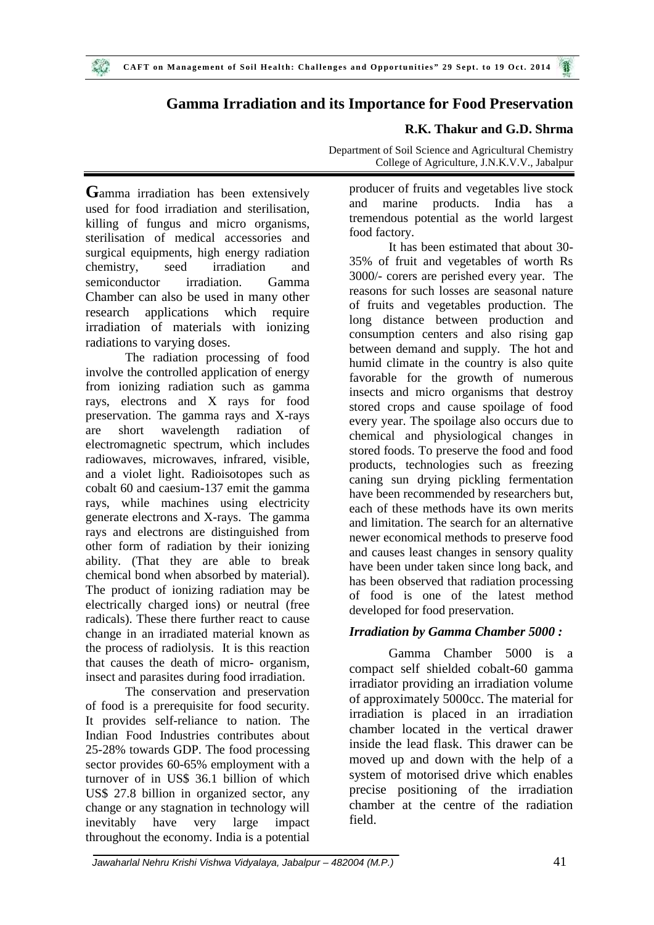# **Gamma Irradiation and its Importance for Food Preservation**

## **R.K. Thakur and G.D. Shrma**

Department of Soil Science and Agricultural Chemistry College of Agriculture, J.N.K.V.V., Jabalpur

**G**amma irradiation has been extensively prod used for food irradiation and sterilisation, killing of fungus and micro organisms, sterilisation of medical accessories and surgical equipments, high energy radiation chemistry, seed irradiation and semiconductor irradiation. Gamma Chamber can also be used in many other research applications which require irradiation of materials with ionizing radiations to varying doses.

The radiation processing of food involve the controlled application of energy from ionizing radiation such as gamma rays, electrons and X rays for food preservation. The gamma rays and X-rays are short wavelength radiation of electromagnetic spectrum, which includes radiowaves, microwaves, infrared, visible, and a violet light. Radioisotopes such as cobalt 60 and caesium-137 emit the gamma rays, while machines using electricity generate electrons and X-rays. The gamma rays and electrons are distinguished from other form of radiation by their ionizing ability. (That they are able to break chemical bond when absorbed by material). The product of ionizing radiation may be electrically charged ions) or neutral (free radicals). These there further react to cause change in an irradiated material known as the process of radiolysis. It is this reaction that causes the death of micro- organism, insect and parasites during food irradiation.

The conservation and preservation of food is a prerequisite for food security. It provides self-reliance to nation. The Indian Food Industries contributes about 25-28% towards GDP. The food processing sector provides 60-65% employment with a turnover of in US\$ 36.1 billion of which US\$ 27.8 billion in organized sector, any change or any stagnation in technology will inevitably have very large impact throughout the economy. India is a potential

producer of fruits and vegetables live stock marine products. India has a tremendous potential as the world largest food factory.

It has been estimated that about 30- 35% of fruit and vegetables of worth Rs 3000/- corers are perished every year. The reasons for such losses are seasonal nature of fruits and vegetables production. The long distance between production and consumption centers and also rising gap between demand and supply. The hot and humid climate in the country is also quite favorable for the growth of numerous insects and micro organisms that destroy stored crops and cause spoilage of food every year. The spoilage also occurs due to chemical and physiological changes in stored foods. To preserve the food and food products, technologies such as freezing caning sun drying pickling fermentation have been recommended by researchers but, each of these methods have its own merits and limitation. The search for an alternative newer economical methods to preserve food and causes least changes in sensory quality have been under taken since long back, and has been observed that radiation processing of food is one of the latest method developed for food preservation.

## *Irradiation by Gamma Chamber 5000 :*

Gamma Chamber 5000 is a compact self shielded cobalt-60 gamma irradiator providing an irradiation volume of approximately 5000cc. The material for irradiation is placed in an irradiation chamber located in the vertical drawer inside the lead flask. This drawer can be moved up and down with the help of a system of motorised drive which enables precise positioning of the irradiation chamber at the centre of the radiation field.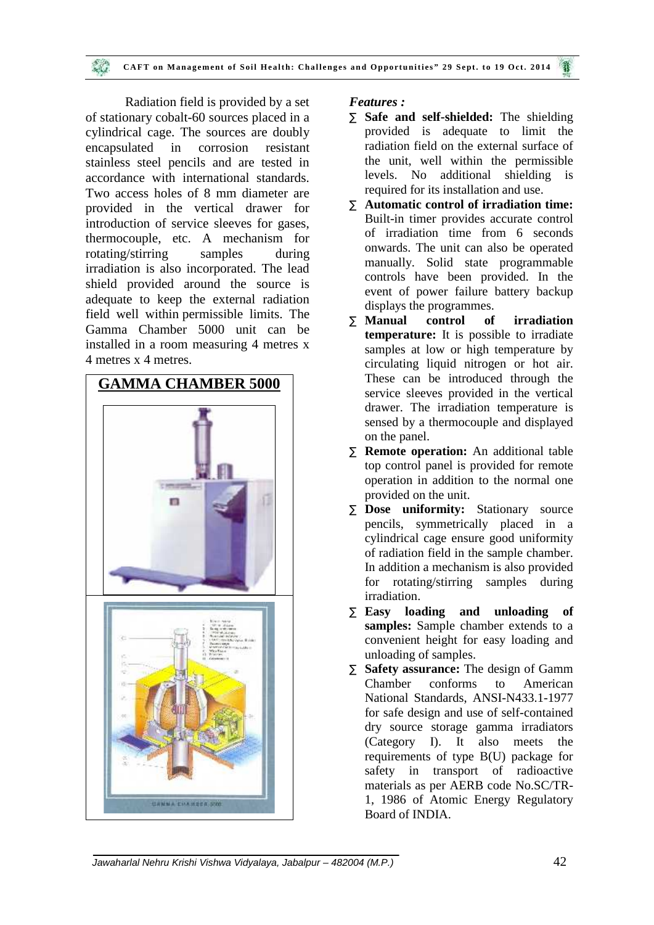Radiation field is provided by a set of stationary cobalt-60 sources placed in a cylindrical cage. The sources are doubly encapsulated in corrosion resistant stainless steel pencils and are tested in accordance with international standards. Two access holes of 8 mm diameter are provided in the vertical drawer for introduction of service sleeves for gases, thermocouple, etc. A mechanism for rotating/stirring samples during irradiation is also incorporated. The lead shield provided around the source is adequate to keep the external radiation field well within permissible limits. The  $\overline{\text{N}}$  Manual Gamma Chamber 5000 unit can be installed in a room measuring 4 metres x 4 metres x 4 metres.



## *Features :*

- **Safe and self-shielded:** The shielding provided is adequate to limit the radiation field on the external surface of the unit, well within the permissible levels. No additional shielding is required for its installation and use.
- **Automatic control of irradiation time:** Built-in timer provides accurate control of irradiation time from 6 seconds onwards. The unit can also be operated manually. Solid state programmable controls have been provided. In the event of power failure battery backup displays the programmes.
- **Control of irradiation temperature:** It is possible to irradiate samples at low or high temperature by circulating liquid nitrogen or hot air. These can be introduced through the service sleeves provided in the vertical drawer. The irradiation temperature is sensed by a thermocouple and displayed on the panel.
- **Remote operation:** An additional table top control panel is provided for remote operation in addition to the normal one provided on the unit.
- **Dose uniformity:** Stationary source pencils, symmetrically placed in a cylindrical cage ensure good uniformity of radiation field in the sample chamber. In addition a mechanism is also provided for rotating/stirring samples during irradiation.
- **Easy loading and unloading of samples:** Sample chamber extends to a convenient height for easy loading and unloading of samples.
- **Safety assurance:** The design of Gamm Chamber conforms to American National Standards, ANSI-N433.1-1977 for safe design and use of self-contained dry source storage gamma irradiators (Category I). It also meets the requirements of type B(U) package for safety in transport of radioactive materials as per AERB code No.SC/TR- 1, 1986 of Atomic Energy Regulatory Board of INDIA.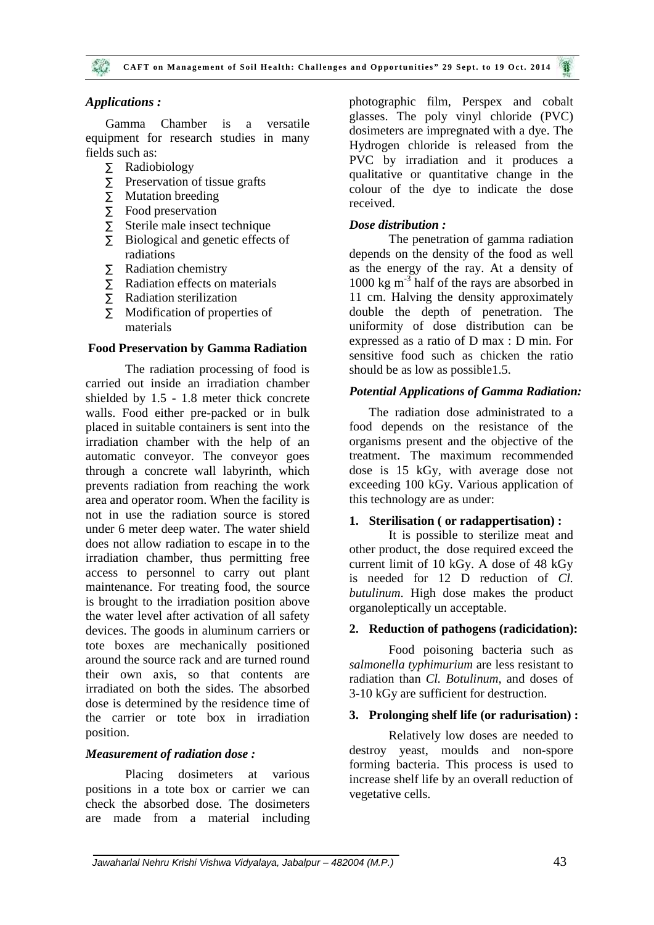#### *Applications :*

Gamma Chamber is a versatile equipment for research studies in many fields such as:

- Radiobiology
- $\tilde{N}$  Preservation of tissue grafts
- $\tilde{N}$  Mutation breeding
- $\tilde{N}$  Food preservation
- $\tilde{N}$  Sterile male insect technique
- $\tilde{N}$  Biological and genetic effects of radiations
- Radiation chemistry
- $\tilde{N}$  Radiation effects on materials
- Radiation sterilization
- $\tilde{N}$  Modification of properties of materials

#### **Food Preservation by Gamma Radiation**

The radiation processing of food is carried out inside an irradiation chamber shielded by 1.5 - 1.8 meter thick concrete walls. Food either pre-packed or in bulk placed in suitable containers is sent into the irradiation chamber with the help of an automatic conveyor. The conveyor goes through a concrete wall labyrinth, which prevents radiation from reaching the work area and operator room. When the facility is not in use the radiation source is stored under 6 meter deep water. The water shield does not allow radiation to escape in to the irradiation chamber, thus permitting free access to personnel to carry out plant maintenance. For treating food, the source is brought to the irradiation position above the water level after activation of all safety devices. The goods in aluminum carriers or tote boxes are mechanically positioned around the source rack and are turned round their own axis, so that contents are irradiated on both the sides. The absorbed dose is determined by the residence time of the carrier or tote box in irradiation position.

#### *Measurement of radiation dose :*

Placing dosimeters at various positions in a tote box or carrier we can check the absorbed dose. The dosimeters are made from a material including photographic film, Perspex and cobalt glasses. The poly vinyl chloride (PVC) dosimeters are impregnated with a dye. The Hydrogen chloride is released from the PVC by irradiation and it produces a qualitative or quantitative change in the colour of the dye to indicate the dose received.

#### *Dose distribution :*

The penetration of gamma radiation depends on the density of the food as well as the energy of the ray. At a density of 1000 kg m-3 half of the rays are absorbed in 11 cm. Halving the density approximately double the depth of penetration. The uniformity of dose distribution can be expressed as a ratio of D max : D min. For sensitive food such as chicken the ratio should be as low as possible1.5.

#### *Potential Applications of Gamma Radiation:*

The radiation dose administrated to a food depends on the resistance of the organisms present and the objective of the treatment. The maximum recommended dose is 15 kGy, with average dose not exceeding 100 kGy. Various application of this technology are as under:

#### **1. Sterilisation ( or radappertisation) :**

It is possible to sterilize meat and other product, the dose required exceed the current limit of 10 kGy. A dose of 48 kGy is needed for 12 D reduction of *Cl. butulinum*. High dose makes the product organoleptically un acceptable.

#### **2. Reduction of pathogens (radicidation):**

Food poisoning bacteria such as *salmonella typhimurium* are less resistant to radiation than *Cl. Botulinum*, and doses of 3-10 kGy are sufficient for destruction.

#### **3. Prolonging shelf life (or radurisation) :**

Relatively low doses are needed to destroy yeast, moulds and non-spore forming bacteria. This process is used to increase shelf life by an overall reduction of vegetative cells.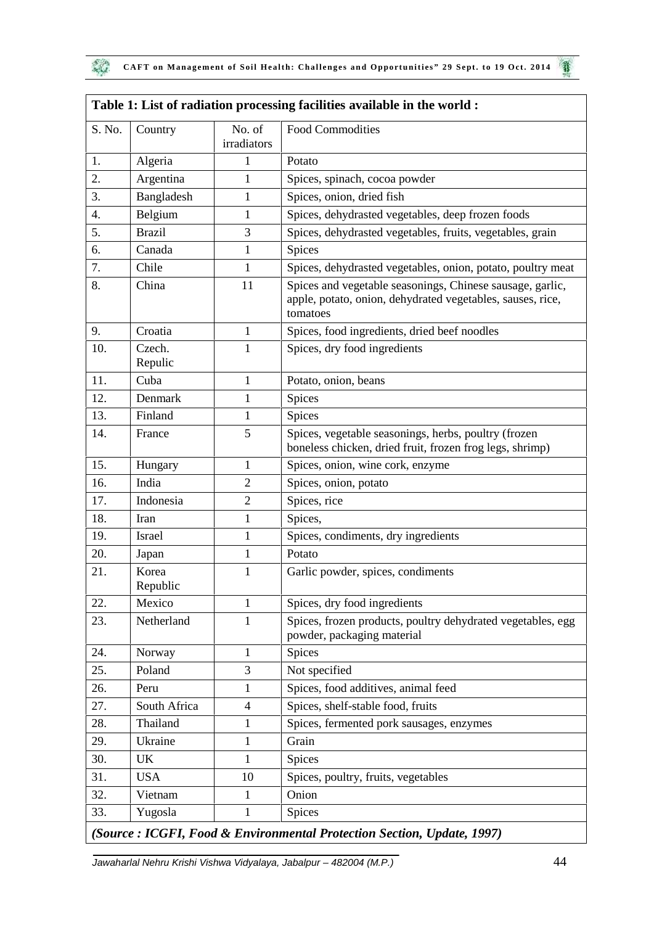| S. No. | Country           | No. of<br>irradiators | <b>Food Commodities</b>                                                                                                             |
|--------|-------------------|-----------------------|-------------------------------------------------------------------------------------------------------------------------------------|
| 1.     | Algeria           | 1                     | Potato                                                                                                                              |
| 2.     | Argentina         | $\mathbf{1}$          | Spices, spinach, cocoa powder                                                                                                       |
| 3.     | Bangladesh        | $\mathbf{1}$          | Spices, onion, dried fish                                                                                                           |
| 4.     | Belgium           | $\mathbf 1$           | Spices, dehydrasted vegetables, deep frozen foods                                                                                   |
| 5.     | <b>Brazil</b>     | 3                     | Spices, dehydrasted vegetables, fruits, vegetables, grain                                                                           |
| 6.     | Canada            | 1                     | Spices                                                                                                                              |
| 7.     | Chile             | $\mathbf{1}$          | Spices, dehydrasted vegetables, onion, potato, poultry meat                                                                         |
| 8.     | China             | 11                    | Spices and vegetable seasonings, Chinese sausage, garlic,<br>apple, potato, onion, dehydrated vegetables, sauses, rice,<br>tomatoes |
| 9.     | Croatia           | $\mathbf{1}$          | Spices, food ingredients, dried beef noodles                                                                                        |
| 10.    | Czech.<br>Repulic | $\mathbf{1}$          | Spices, dry food ingredients                                                                                                        |
| 11.    | Cuba              | $\mathbf{1}$          | Potato, onion, beans                                                                                                                |
| 12.    | Denmark           | $\mathbf{1}$          | Spices                                                                                                                              |
| 13.    | Finland           | $\mathbf{1}$          | Spices                                                                                                                              |
| 14.    | France            | 5                     | Spices, vegetable seasonings, herbs, poultry (frozen<br>boneless chicken, dried fruit, frozen frog legs, shrimp)                    |
| 15.    | Hungary           | $\mathbf{1}$          | Spices, onion, wine cork, enzyme                                                                                                    |
| 16.    | India             | $\overline{2}$        | Spices, onion, potato                                                                                                               |
| 17.    | Indonesia         | $\overline{2}$        | Spices, rice                                                                                                                        |
| 18.    | Iran              | $\mathbf{1}$          | Spices,                                                                                                                             |
| 19.    | Israel            | $\mathbf{1}$          | Spices, condiments, dry ingredients                                                                                                 |
| 20.    | Japan             | $\mathbf{1}$          | Potato                                                                                                                              |
| 21.    | Korea<br>Republic | 1                     | Garlic powder, spices, condiments                                                                                                   |
| 22.    | Mexico            | 1                     | Spices, dry food ingredients                                                                                                        |
| 23.    | Netherland        | 1                     | Spices, frozen products, poultry dehydrated vegetables, egg<br>powder, packaging material                                           |
| 24.    | Norway            | $\mathbf 1$           | Spices                                                                                                                              |
| 25.    | Poland            | 3                     | Not specified                                                                                                                       |
| 26.    | Peru              | 1                     | Spices, food additives, animal feed                                                                                                 |
| 27.    | South Africa      | $\overline{4}$        | Spices, shelf-stable food, fruits                                                                                                   |
| 28.    | Thailand          | $\mathbf 1$           | Spices, fermented pork sausages, enzymes                                                                                            |
| 29.    | Ukraine           | 1                     | Grain                                                                                                                               |
| 30.    | UK                | 1                     | Spices                                                                                                                              |
| 31.    | <b>USA</b>        | 10                    | Spices, poultry, fruits, vegetables                                                                                                 |
| 32.    | Vietnam           | 1                     | Onion                                                                                                                               |
| 33.    | Yugosla           | 1                     | Spices                                                                                                                              |

# **Table 1: List of radiation processing facilities available in the world :**

*Jawaharlal Nehru Krishi Vishwa Vidyalaya, Jabalpur – 482004 (M.P.)* 44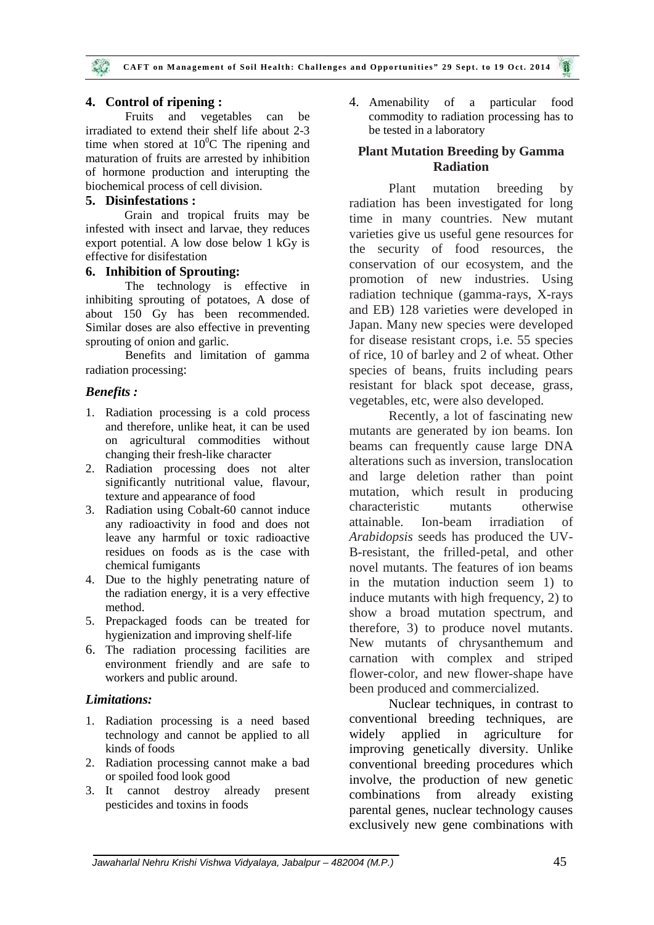#### **4. Control of ripening :**

Fruits and vegetables can be irradiated to extend their shelf life about 2-3 time when stored at  $10^{0}$ C The ripening and maturation of fruits are arrested by inhibition of hormone production and interupting the biochemical process of cell division.

#### **5. Disinfestations :**

Grain and tropical fruits may be infested with insect and larvae, they reduces export potential. A low dose below 1 kGy is effective for disifestation

#### **6. Inhibition of Sprouting:**

The technology is effective in inhibiting sprouting of potatoes, A dose of about 150 Gy has been recommended. Similar doses are also effective in preventing sprouting of onion and garlic.

Benefits and limitation of gamma radiation processing:

#### *Benefits :*

- 1. Radiation processing is a cold process and therefore, unlike heat, it can be used on agricultural commodities without changing their fresh-like character
- 2. Radiation processing does not alter significantly nutritional value, flavour, texture and appearance of food
- 3. Radiation using Cobalt-60 cannot induce<br>any radioactivity in food and does not attainable. any radioactivity in food and does not leave any harmful or toxic radioactive residues on foods as is the case with chemical fumigants
- 4. Due to the highly penetrating nature of the radiation energy, it is a very effective method.
- 5. Prepackaged foods can be treated for hygienization and improving shelf-life
- 6. The radiation processing facilities are environment friendly and are safe to workers and public around.

#### *Limitations:*

- 1. Radiation processing is a need based technology and cannot be applied to all kinds of foods
- 2. Radiation processing cannot make a bad or spoiled food look good
- 3. It cannot destroy already present pesticides and toxins in foods

4. Amenability of a particular food commodity to radiation processing has to be tested in a laboratory

## **Plant Mutation Breeding by Gamma Radiation**

Plant mutation breeding by radiation has been investigated for long time in many countries. New mutant varieties give us useful gene resources for the security of food resources, the conservation of our ecosystem, and the promotion of new industries. Using radiation technique (gamma-rays, X-rays and EB) 128 varieties were developed in Japan. Many new species were developed for disease resistant crops, i.e. 55 species of rice, 10 of barley and 2 of wheat. Other species of beans, fruits including pears resistant for black spot decease, grass, vegetables, etc, were also developed.

Recently, a lot of fascinating new mutants are generated by ion beams. Ion beams can frequently cause large DNA alterations such as inversion, translocation and large deletion rather than point mutation, which result in producing characteristic mutants otherwise Ion-beam irradiation of *Arabidopsis* seeds has produced the UV- B-resistant, the frilled-petal, and other novel mutants. The features of ion beams in the mutation induction seem 1) to induce mutants with high frequency, 2) to show a broad mutation spectrum, and therefore, 3) to produce novel mutants. New mutants of chrysanthemum and carnation with complex and striped flower-color, and new flower-shape have been produced and commercialized.

Nuclear techniques, in contrast to conventional breeding techniques, are widely applied in agriculture for improving genetically diversity. Unlike conventional breeding procedures which involve, the production of new genetic combinations from already existing parental genes, nuclear technology causes exclusively new gene combinations with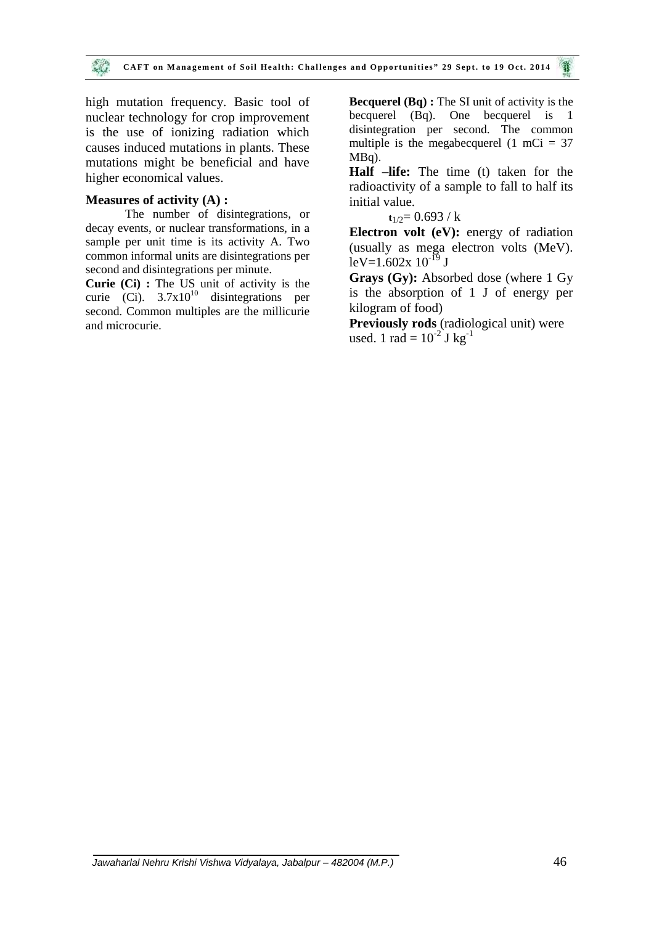high mutation frequency. Basic tool of nuclear technology for crop improvement is the use of ionizing radiation which causes induced mutations in plants. These mutations might be beneficial and have higher economical values.

#### **Measures of activity (A) :**

The number of disintegrations, or decay events, or nuclear transformations, in a sample per unit time is its activity A. Two common informal units are disintegrations per second and disintegrations per minute.

**Curie (Ci) :** The US unit of activity is the curie (Ci).  $3.7x10^{10}$  disintegrations per second. Common multiples are the millicurie and microcurie.

**Becquerel (Bq) :** The SI unit of activity is the becquerel (Bq). One becquerel is 1 disintegration per second. The common multiple is the megabecquerel  $(1 \text{ mCi} = 37)$ MBq).

**Half –life:** The time (t) taken for the radioactivity of a sample to fall to half its initial value.

 $t_{1/2}$ = 0.693 / k

**Electron volt (eV):** energy of radiation (usually as mega electron volts (MeV).  $leV=1.602x 10^{-19}$  J

**Grays (Gy):** Absorbed dose (where 1 Gy is the absorption of 1 J of energy per kilogram of food)

**Previously rods** (radiological unit) were used. 1 rad =  $10^{-2}$  J kg<sup>-1</sup>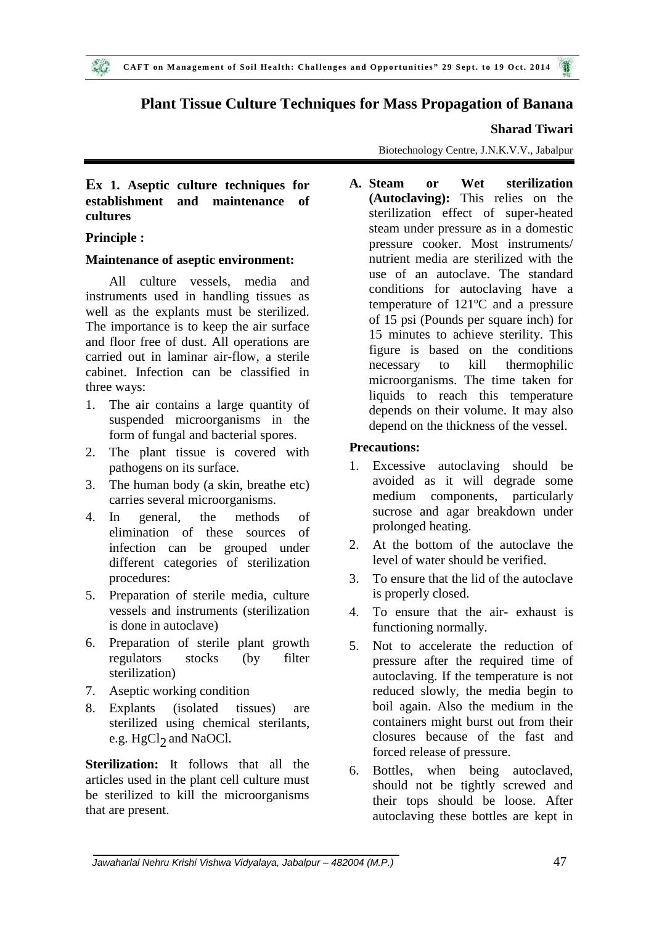## **Plant Tissue Culture Techniques for Mass Propagation of Banana**

#### **Sharad Tiwari**

Biotechnology Centre, J.N.K.V.V., Jabalpur

## **Ex 1. Aseptic culture techniques for establishment and maintenance of cultures**

## **Principle :**

#### **Maintenance of aseptic environment:**

All culture vessels, media and instruments used in handling tissues as well as the explants must be sterilized. The importance is to keep the air surface and floor free of dust. All operations are carried out in laminar air-flow, a sterile cabinet. Infection can be classified in three ways:

- 1. The air contains a large quantity of suspended microorganisms in the form of fungal and bacterial spores.
- 2. The plant tissue is covered with **Pre**  $\frac{P}{P}$ pathogens on its surface.
- 3. The human body (a skin, breathe etc) carries several microorganisms.
- 4. In general, the methods of elimination of these sources of infection can be grouped under different categories of sterilization procedures:
- 5. Preparation of sterile media, culture vessels and instruments (sterilization is done in autoclave)
- 6. Preparation of sterile plant growth regulators stocks (by filter sterilization)
- 7. Aseptic working condition
- 8. Explants (isolated tissues) are sterilized using chemical sterilants, e.g.  $\mathrm{HgCl}_2$  and NaOCl.

**Sterilization:** It follows that all the 6. articles used in the plant cell culture must be sterilized to kill the microorganisms that are present.

**A. A.** *Sterilization* **(Autoclaving):** This relies on the sterilization effect of super-heated steam under pressure as in a domestic pressure cooker. Most instruments/ nutrient media are sterilized with the use of an autoclave. The standard conditions for autoclaving have a temperature of 121ºC and a pressure of 15 psi (Pounds per square inch) for 15 minutes to achieve sterility. This figure is based on the conditions necessary to kill thermophilic microorganisms. The time taken for liquids to reach this temperature depends on their volume. It may also depend on the thickness of the vessel.

## **Precautions:**

- Excessive autoclaving should be avoided as it will degrade some medium components, particularly sucrose and agar breakdown under prolonged heating.
- 2. At the bottom of the autoclave the level of water should be verified.
- 3. To ensure that the lid of the autoclave is properly closed.
- 4. To ensure that the air- exhaust is functioning normally.
- Not to accelerate the reduction of pressure after the required time of autoclaving. If the temperature is not reduced slowly, the media begin to boil again. Also the medium in the containers might burst out from their closures because of the fast and forced release of pressure.
- Bottles, when being autoclaved, should not be tightly screwed and their tops should be loose. After autoclaving these bottles are kept in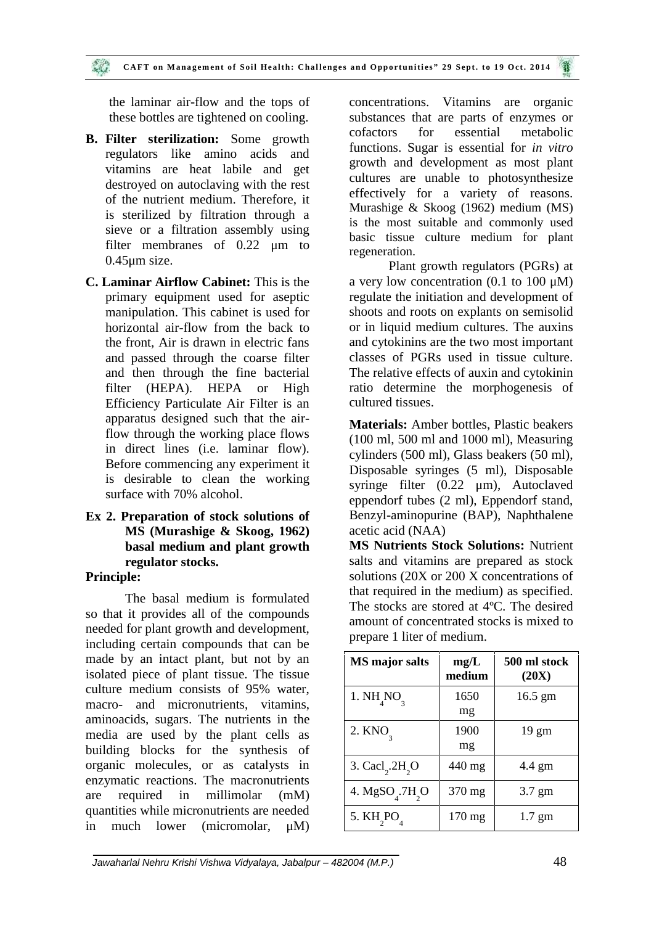the laminar air-flow and the tops of these bottles are tightened on cooling.

- **B. Filter sterilization:** Some growth regulators like amino acids and vitamins are heat labile and get destroyed on autoclaving with the rest of the nutrient medium. Therefore, it is sterilized by filtration through a sieve or a filtration assembly using filter membranes of 0.22  $\mu$ m to 0.45μm size.
- **C. Laminar Airflow Cabinet:** This is the primary equipment used for aseptic manipulation. This cabinet is used for horizontal air-flow from the back to the front, Air is drawn in electric fans and passed through the coarse filter and then through the fine bacterial filter (HEPA). HEPA or High Efficiency Particulate Air Filter is an apparatus designed such that the airflow through the working place flows in direct lines (i.e. laminar flow). Before commencing any experiment it is desirable to clean the working surface with 70% alcohol.
- **Ex 2. Preparation of stock solutions of MS (Murashige & Skoog, 1962) basal medium and plant growth regulator stocks.**

## **Principle:**

The basal medium is formulated so that it provides all of the compounds needed for plant growth and development, including certain compounds that can be made by an intact plant, but not by an isolated piece of plant tissue. The tissue culture medium consists of 95% water, macro- and micronutrients, vitamins, aminoacids, sugars. The nutrients in the media are used by the plant cells as building blocks for the synthesis of organic molecules, or as catalysts in enzymatic reactions. The macronutrients are required in millimolar (mM) quantities while micronutrients are needed in much lower (micromolar, μM)

concentrations. Vitamins are organic substances that are parts of enzymes or for essential metabolic functions. Sugar is essential for *in vitro* growth and development as most plant cultures are unable to photosynthesize effectively for a variety of reasons. Murashige & Skoog (1962) medium (MS) is the most suitable and commonly used basic tissue culture medium for plant regeneration.

Plant growth regulators (PGRs) at a very low concentration (0.1 to 100  $\mu$ M) regulate the initiation and development of shoots and roots on explants on semisolid or in liquid medium cultures. The auxins and cytokinins are the two most important classes of PGRs used in tissue culture. The relative effects of auxin and cytokinin ratio determine the morphogenesis of cultured tissues.

**Materials:** Amber bottles, Plastic beakers (100 ml, 500 ml and 1000 ml), Measuring cylinders (500 ml), Glass beakers (50 ml), Disposable syringes (5 ml), Disposable syringe filter (0.22 μm), Autoclaved eppendorf tubes (2 ml), Eppendorf stand, Benzyl-aminopurine (BAP), Naphthalene acetic acid (NAA)

**MS Nutrients Stock Solutions:** Nutrient salts and vitamins are prepared as stock solutions (20X or 200 X concentrations of that required in the medium) as specified. The stocks are stored at 4ºC. The desired amount of concentrated stocks is mixed to prepare 1 liter of medium.

| <b>MS</b> major salts         | mg/L<br>medium   | 500 ml stock<br>(20X) |
|-------------------------------|------------------|-----------------------|
| 1. $NH_{4}NO_{3}$             | 1650<br>mg       | $16.5 \text{ gm}$     |
| 2. KNO <sub>2</sub>           | 1900<br>mg       | $19 \text{ gm}$       |
| 3. $Cacl2$ .2H <sub>2</sub> O | 440 mg           | 4.4 gm                |
| 4. $MgSO4$ .7H <sub>2</sub> O | 370 mg           | $3.7 \text{ gm}$      |
| 5. KH <sub>2</sub> PO         | $170 \text{ mg}$ | $1.7 \text{ gm}$      |

*Jawaharlal Nehru Krishi Vishwa Vidyalaya, Jabalpur – 482004 (M.P.)* 48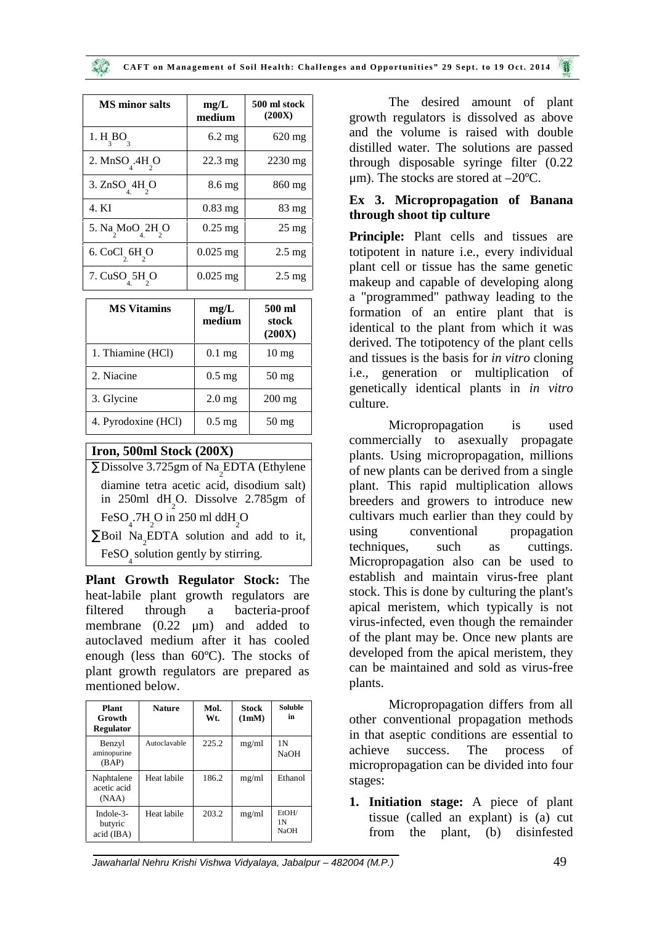| <b>MS</b> minor salts | mg/L<br>medium    | 500 ml stock<br>(200X) |
|-----------------------|-------------------|------------------------|
| 1. H BO               | $6.2 \text{ mg}$  | $620$ mg               |
| 2. MnSO .4H O         | $22.3 \text{ mg}$ | $2230$ mg              |
| 3. ZnSO 4H O          | 8.6 mg            | 860 mg                 |
| 4. KI                 | $0.83$ mg         | 83 mg                  |
| 5. Na MoO 2H O        | $0.25$ mg         | $25 \text{ mg}$        |
| 6. CoCl 6H O          | $0.025$ mg        | $2.5 \text{ mg}$       |
| 7. CuSO 5H O          | $0.025$ mg        | $2.5 \text{ mg}$       |

| <b>MS Vitamins</b>  | mg/L<br>medium   | 500 ml<br>stock<br>(200X) |
|---------------------|------------------|---------------------------|
| 1. Thiamine (HCl)   | $0.1$ mg         | $10 \text{ mg}$           |
| 2. Niacine          | $0.5 \text{ mg}$ | $50$ mg                   |
| 3. Glycine          | $2.0$ mg         | $200$ mg                  |
| 4. Pyrodoxine (HCl) | $0.5 \text{ mg}$ | $50 \,\mathrm{mg}$        |

## **Iron, 500ml Stock (200X)**

 $\overline{N}$ Dissolve 3.725gm of  $\overline{N}a$ <sub>2</sub>EDTA (Ethylene diamine tetra acetic acid, disodium salt) in 250ml dH<sub>2</sub>O. Dissolve 2.785gm of FeSO<sub>4</sub>.7H<sub>2</sub>O in 250 ml ddH<sub>2</sub>O  $N$ Boil  $Na<sub>2</sub>$ EDTA solution and add to it,

FeSO <sup>4</sup> solution gently by stirring.

**Plant Growth Regulator Stock:** The heat-labile plant growth regulators are filtered through a bacteria-proof membrane (0.22 μm) and added to autoclaved medium after it has cooled enough (less than 60ºC). The stocks of plant growth regulators are prepared as mentioned below.

| Plant<br>Growth<br>Regulator            | <b>Nature</b> | Mol.<br>Wt. | Stock<br>(1mM) | <b>Soluble</b><br>in                   |
|-----------------------------------------|---------------|-------------|----------------|----------------------------------------|
| Benzyl<br>aminopurine<br>(BAP)          | Autoclavable  | 225.2       | mg/ml          | 1 <sup>N</sup><br><b>NaOH</b>          |
| Naphtalene<br>acetic acid<br>(NAA)      | Heat labile   | 186.2       | mg/ml          | Ethanol                                |
| Indole- $3-$<br>butyric<br>$acid$ (IBA) | Heat labile   | 203.2       | mg/ml          | EtOH/<br>1 <sup>N</sup><br><b>NaOH</b> |

The desired amount of plant growth regulators is dissolved as above and the volume is raised with double distilled water. The solutions are passed through disposable syringe filter (0.22 μm). The stocks are stored at –20ºC.

## **Ex 3. Micropropagation of Banana through shoot tip culture**

**Principle:** Plant cells and tissues are totipotent in nature i.e., every individual plant cell or tissue has the same genetic makeup and capable of developing along a "programmed" pathway leading to the formation of an entire plant that is identical to the plant from which it was derived. The totipotency of the plant cells and tissues is the basis for *in vitro* cloning i.e., generation or multiplication of genetically identical plants in *in vitro* culture.

Micropropagation is used commercially to asexually propagate plants. Using micropropagation, millions of new plants can be derived from a single plant. This rapid multiplication allows breeders and growers to introduce new cultivars much earlier than they could by using conventional propagation techniques, such as cuttings. Micropropagation also can be used to establish and maintain virus-free plant stock. This is done by culturing the plant's apical meristem, which typically is not virus-infected, even though the remainder of the plant may be. Once new plants are developed from the apical meristem, they can be maintained and sold as virus-free plants.

Micropropagation differs from all other conventional propagation methods in that aseptic conditions are essential to achieve success. The process of micropropagation can be divided into four stages:

**1. Initiation stage:** A piece of plant tissue (called an explant) is (a) cut from the plant, (b) disinfested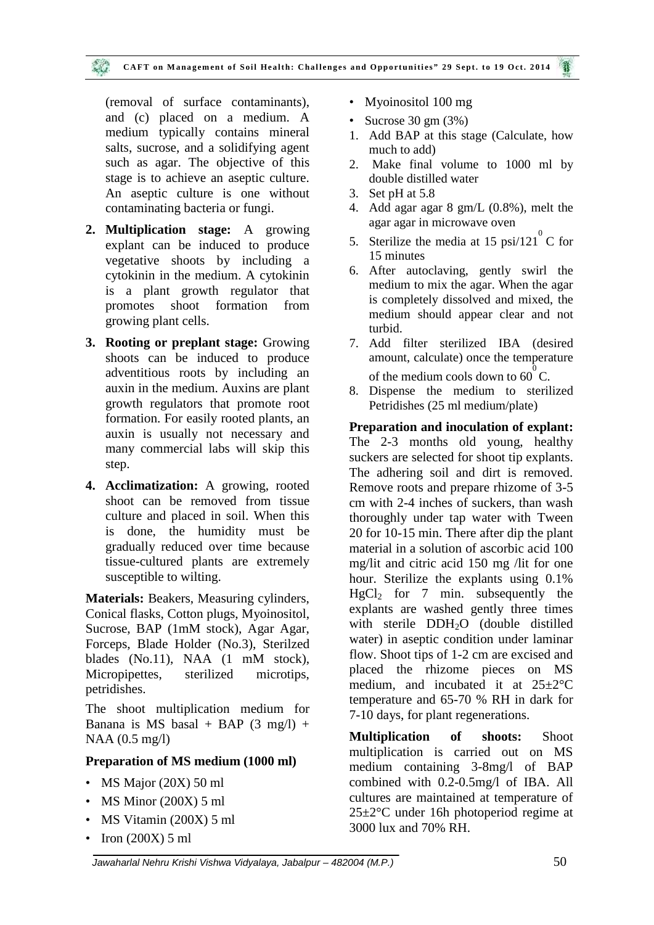#### CAFT on Management of Soil Health: Challenges and Opportunities" 29 Sept. to 19 Oct. 2014

(removal of surface contaminants), and (c) placed on a medium. A medium typically contains mineral salts, sucrose, and a solidifying agent such as agar. The objective of this stage is to achieve an aseptic culture. An aseptic culture is one without contaminating bacteria or fungi.

- **2. Multiplication stage:** A growing explant can be induced to produce vegetative shoots by including a cytokinin in the medium. A cytokinin is a plant growth regulator that promotes shoot formation from growing plant cells.
- **3. Rooting or preplant stage:** Growing shoots can be induced to produce adventitious roots by including an auxin in the medium. Auxins are plant growth regulators that promote root formation. For easily rooted plants, an auxin is usually not necessary and many commercial labs will skip this step.
- **4. Acclimatization:** A growing, rooted shoot can be removed from tissue culture and placed in soil. When this is done, the humidity must be gradually reduced over time because tissue-cultured plants are extremely susceptible to wilting.

**Materials:** Beakers, Measuring cylinders, Conical flasks, Cotton plugs, Myoinositol, Sucrose, BAP (1mM stock), Agar Agar, Forceps, Blade Holder (No.3), Sterilzed blades (No.11), NAA (1 mM stock), Micropipettes, sterilized microtips, petridishes.

The shoot multiplication medium for Banana is MS basal + BAP  $(3 \text{ mg/l})$  + NAA (0.5 mg/l)

#### **Preparation of MS medium (1000 ml)**

- MS Major (20X) 50 ml
- MS Minor (200X) 5 ml
- MS Vitamin (200X) 5 ml
- Iron (200X) 5 ml
- Myoinositol 100 mg
- Sucrose  $30 \text{ gm} (3\%)$
- 1. Add BAP at this stage (Calculate, how much to add)
- 2. Make final volume to 1000 ml by double distilled water
- 3. Set pH at 5.8
- 4. Add agar agar 8 gm/L (0.8%), melt the agar agar in microwave oven
- 5. Sterilize the media at 15  $psi/121^{\circ}$ C for 15 minutes
- 6. After autoclaving, gently swirl the medium to mix the agar. When the agar is completely dissolved and mixed, the medium should appear clear and not turbid.
- 7. Add filter sterilized IBA (desired amount, calculate) once the temperature of the medium cools down to  $60^{\circ}$ C.
- 8. Dispense the medium to sterilized Petridishes (25 ml medium/plate)

**Preparation and inoculation of explant:** The 2-3 months old young, healthy suckers are selected for shoot tip explants. The adhering soil and dirt is removed. Remove roots and prepare rhizome of 3-5 cm with 2-4 inches of suckers, than wash thoroughly under tap water with Tween 20 for 10-15 min. There after dip the plant material in a solution of ascorbic acid 100 mg/lit and citric acid 150 mg /lit for one hour. Sterilize the explants using 0.1%  $HgCl<sub>2</sub>$  for 7 min. subsequently the explants are washed gently three times with sterile DDH<sub>2</sub>O (double distilled water) in aseptic condition under laminar flow. Shoot tips of 1-2 cm are excised and placed the rhizome pieces on MS medium, and incubated it at  $25 \pm 2$ °C temperature and 65-70 % RH in dark for 7-10 days, for plant regenerations.

**Multiplication of shoots:** Shoot multiplication is carried out on MS medium containing 3-8mg/l of BAP combined with 0.2-0.5mg/l of IBA. All cultures are maintained at temperature of 25±2°C under 16h photoperiod regime at 3000 lux and 70% RH.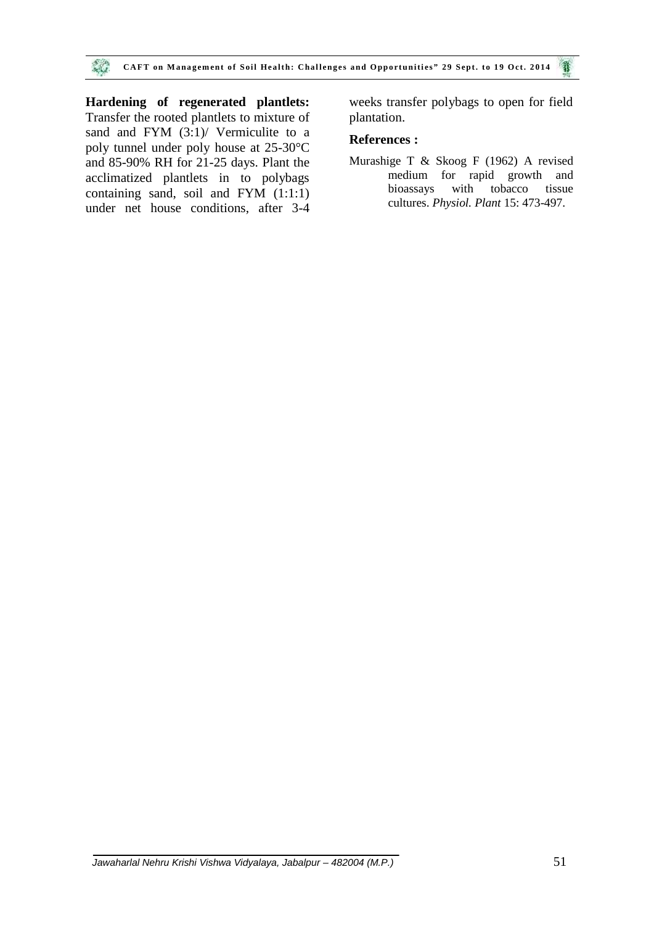**Hardening of regenerated plantlets:** Transfer the rooted plantlets to mixture of sand and FYM (3:1)/ Vermiculite to a poly tunnel under poly house at 25-30°C and 85-90% RH for 21-25 days. Plant the acclimatized plantlets in to polybags containing sand, soil and FYM (1:1:1) under net house conditions, after 3-4 weeks transfer polybags to open for field plantation.

#### **References :**

Murashige T & Skoog F (1962) A revised medium for rapid growth and bioassays with tobacco tissue cultures. *Physiol. Plant* 15: 473-497.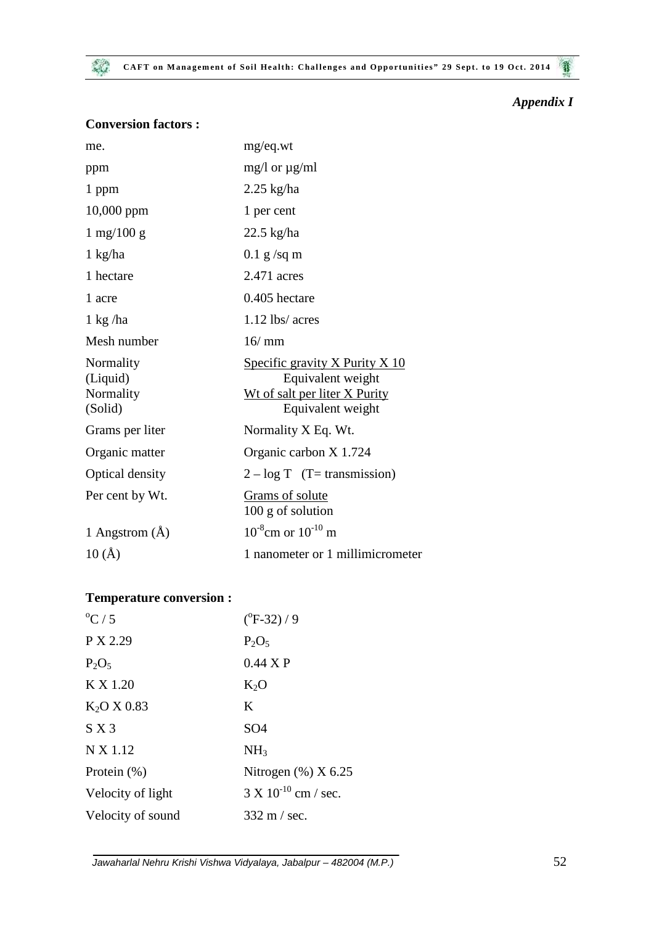**CAFT** on Management of Soil Health: Challenges and Opportunities" 29 Sept. to 19 Oct. 2014 

*Appendix I*

| <b>Conversion factors:</b> |  |  |
|----------------------------|--|--|
|----------------------------|--|--|

| me.                                           | mg/eq.wt                                                                                                  |
|-----------------------------------------------|-----------------------------------------------------------------------------------------------------------|
| ppm                                           | mg/l or $\mu$ g/ml                                                                                        |
| 1 ppm                                         | $2.25$ kg/ha                                                                                              |
| 10,000 ppm                                    | 1 per cent                                                                                                |
| $1 \text{ mg}/100 \text{ g}$                  | $22.5$ kg/ha                                                                                              |
| 1 kg/ha                                       | $0.1$ g/sq m                                                                                              |
| 1 hectare                                     | 2.471 acres                                                                                               |
| 1 acre                                        | 0.405 hectare                                                                                             |
| $1 \text{ kg}$ /ha                            | $1.12$ lbs/ acres                                                                                         |
| Mesh number                                   | 16/mm                                                                                                     |
| Normality<br>(Liquid)<br>Normality<br>(Solid) | Specific gravity X Purity X 10<br>Equivalent weight<br>Wt of salt per liter X Purity<br>Equivalent weight |
| Grams per liter                               | Normality X Eq. Wt.                                                                                       |
| Organic matter                                | Organic carbon X 1.724                                                                                    |
| Optical density                               | $2 - log T$ (T= transmission)                                                                             |
| Per cent by Wt.                               | Grams of solute<br>100 g of solution                                                                      |
| 1 Angstrom (Å)                                | $10^{-8}$ cm or $10^{-10}$ m                                                                              |
| 10(A)                                         | 1 nanometer or 1 millimicrometer                                                                          |

## **Temperature conversion :**

| $\mathrm{^0C}/5$        | $(^{o}F-32)/9$                |
|-------------------------|-------------------------------|
| P X 2.29                | $P_2O_5$                      |
| $P_2O_5$                | $0.44 \times P$               |
| K X 1.20                | $K_2O$                        |
| K <sub>2</sub> O X 0.83 | K                             |
| S X 3                   | SO <sub>4</sub>               |
| N X 1.12                | NH <sub>3</sub>               |
| Protein $(\%)$          | Nitrogen $(\%)$ X 6.25        |
| Velocity of light       | $3 \times 10^{-10}$ cm / sec. |
| Velocity of sound       | $332 \text{ m}$ / sec.        |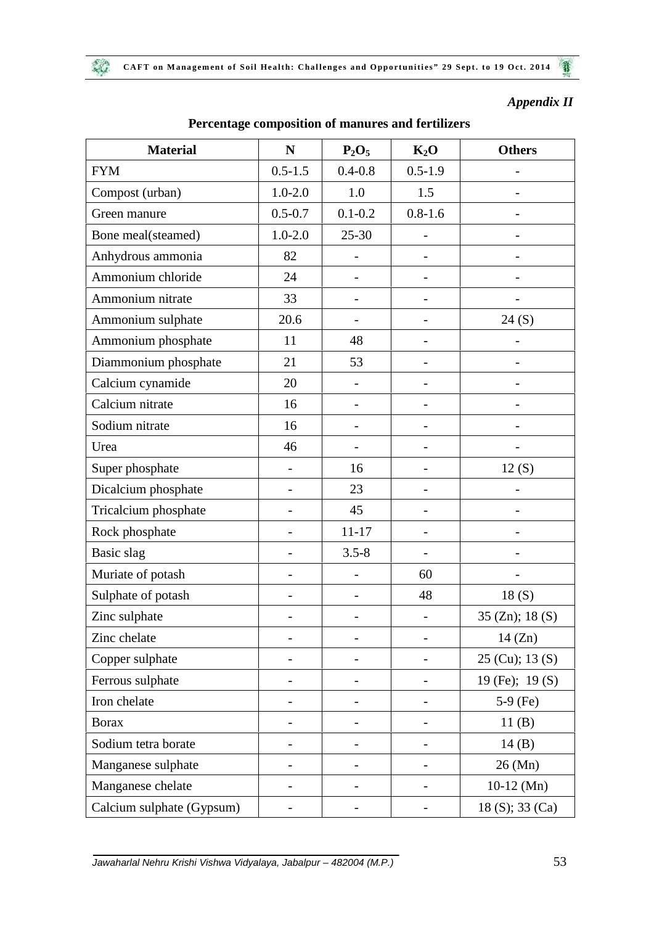魏

## *Appendix II*

| <b>Material</b>           | N                        | $P_2O_5$                 | $K_2O$                   | <b>Others</b>            |
|---------------------------|--------------------------|--------------------------|--------------------------|--------------------------|
| <b>FYM</b>                | $0.5 - 1.5$              | $0.4 - 0.8$              | $0.5 - 1.9$              |                          |
| Compost (urban)           | $1.0 - 2.0$              | 1.0                      | 1.5                      | $\overline{\phantom{0}}$ |
| Green manure              | $0.5 - 0.7$              | $0.1 - 0.2$              | $0.8 - 1.6$              |                          |
| Bone meal(steamed)        | $1.0 - 2.0$              | $25 - 30$                |                          |                          |
| Anhydrous ammonia         | 82                       | -                        |                          |                          |
| Ammonium chloride         | 24                       | $\overline{\phantom{0}}$ |                          |                          |
| Ammonium nitrate          | 33                       | $\overline{\phantom{0}}$ | $\overline{\phantom{0}}$ |                          |
| Ammonium sulphate         | 20.6                     |                          |                          | 24(S)                    |
| Ammonium phosphate        | 11                       | 48                       |                          |                          |
| Diammonium phosphate      | 21                       | 53                       | $\overline{\phantom{0}}$ |                          |
| Calcium cynamide          | 20                       | $\overline{\phantom{0}}$ | -                        |                          |
| Calcium nitrate           | 16                       | $\overline{\phantom{0}}$ |                          |                          |
| Sodium nitrate            | 16                       |                          |                          |                          |
| Urea                      | 46                       |                          |                          |                          |
| Super phosphate           | $\qquad \qquad -$        | 16                       | -                        | 12(S)                    |
| Dicalcium phosphate       | $\qquad \qquad -$        | 23                       | -                        |                          |
| Tricalcium phosphate      | $\overline{\phantom{a}}$ | 45                       | $\overline{a}$           |                          |
| Rock phosphate            |                          | $11 - 17$                | -                        |                          |
| Basic slag                |                          | $3.5 - 8$                |                          |                          |
| Muriate of potash         | $\overline{\phantom{0}}$ | -                        | 60                       |                          |
| Sulphate of potash        | $\overline{\phantom{0}}$ | -                        | 48                       | 18(S)                    |
| Zinc sulphate             |                          |                          |                          | 35 (Zn); $18(S)$         |
| Zinc chelate              |                          |                          |                          | $14$ (Zn)                |
| Copper sulphate           |                          |                          |                          | $25$ (Cu); 13 (S)        |
| Ferrous sulphate          | -                        |                          |                          | 19 (Fe); 19 (S)          |
| Iron chelate              | $\overline{\phantom{0}}$ |                          |                          | $5-9$ (Fe)               |
| <b>Borax</b>              |                          |                          |                          | 11(B)                    |
| Sodium tetra borate       |                          |                          |                          | 14(B)                    |
| Manganese sulphate        | $\overline{\phantom{0}}$ | -                        |                          | 26 (Mn)                  |
| Manganese chelate         | -                        |                          | -                        | $10-12$ (Mn)             |
| Calcium sulphate (Gypsum) |                          |                          |                          | 18 (S); 33 (Ca)          |

## **Percentage composition of manures and fertilizers**

*Jawaharlal Nehru Krishi Vishwa Vidyalaya, Jabalpur – 482004 (M.P.)* 53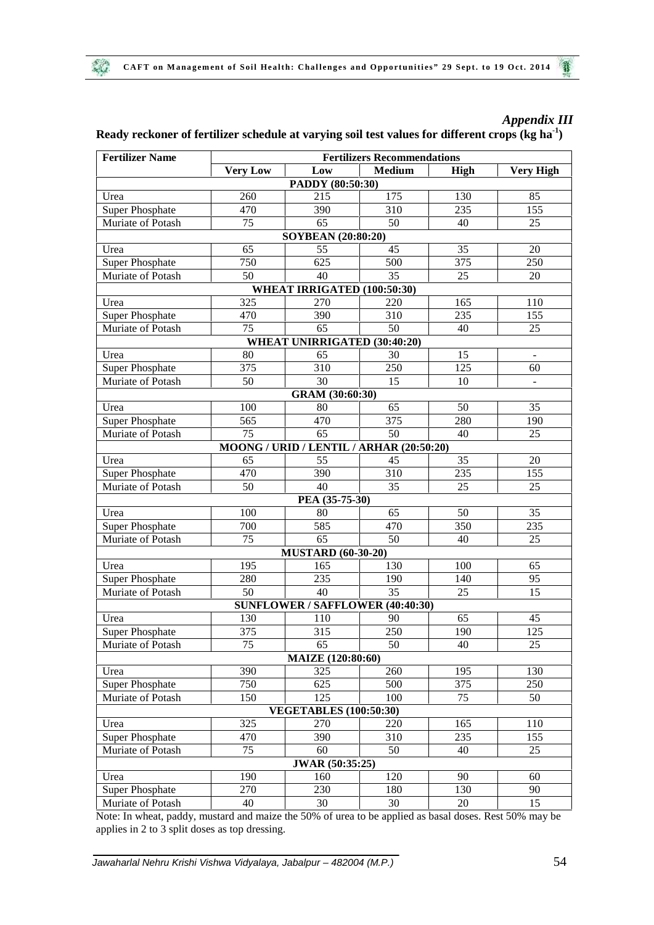**ALL** 

## *Appendix III*

## **Ready reckoner of fertilizer schedule at varying soil test values for different crops (kg ha-1)**

| <b>Fertilizer Name</b> | <b>Fertilizers Recommendations</b> |                                          |               |      |                  |
|------------------------|------------------------------------|------------------------------------------|---------------|------|------------------|
|                        | <b>Very Low</b>                    | Low                                      | <b>Medium</b> | High | <b>Very High</b> |
|                        |                                    | PADDY (80:50:30)                         |               |      |                  |
| Urea                   | 260                                | 215                                      | 175           | 130  | 85               |
| <b>Super Phosphate</b> | 470                                | 390                                      | 310           | 235  | 155              |
| Muriate of Potash      | 75                                 | 65                                       | 50            | 40   | 25               |
|                        |                                    | SOYBEAN (20:80:20)                       |               |      |                  |
| Urea                   | 65                                 | 55                                       | 45            | 35   | 20               |
| <b>Super Phosphate</b> | 750                                | 625                                      | 500           | 375  | 250              |
| Muriate of Potash      | 50                                 | 40                                       | 35            | 25   | 20               |
|                        |                                    | WHEAT IRRIGATED (100:50:30)              |               |      |                  |
| Urea                   | 325                                | 270                                      | 220           | 165  | 110              |
| <b>Super Phosphate</b> | 470                                | 390                                      | 310           | 235  | 155              |
| Muriate of Potash      | 75                                 | 65                                       | 50            | 40   | 25               |
|                        |                                    | WHEAT UNIRRIGATED (30:40:20)             |               |      |                  |
| Urea                   | 80                                 | 65                                       | 30            | 15   | $\blacksquare$   |
| <b>Super Phosphate</b> | 375                                | 310                                      | 250           | 125  | 60               |
| Muriate of Potash      | 50                                 | 30                                       | 15            | 10   | $\blacksquare$   |
|                        |                                    | GRAM (30:60:30)                          |               |      |                  |
| Urea                   | 100                                | 80                                       | 65            | 50   | 35               |
| <b>Super Phosphate</b> | 565                                | 470                                      | 375           | 280  | 190              |
| Muriate of Potash      | 75                                 | 65                                       | 50            | 40   | 25               |
|                        |                                    | MOONG / URID / LENTIL / ARHAR (20:50:20) |               |      |                  |
| Urea                   | 65                                 | 55                                       | 45            | 35   | 20               |
| <b>Super Phosphate</b> | 470                                | 390                                      | 310           | 235  | 155              |
| Muriate of Potash      | 50                                 | 40                                       | 35            | 25   | 25               |
|                        |                                    | PEA (35-75-30)                           |               |      |                  |
| Urea                   | 100                                | 80                                       | 65            | 50   | 35               |
| <b>Super Phosphate</b> | 700                                | 585                                      | 470           | 350  | 235              |
| Muriate of Potash      | 75                                 | 65                                       | 50            | 40   | 25               |
|                        |                                    | <b>MUSTARD</b> (60-30-20)                |               |      |                  |
| Urea                   | 195                                | 165                                      | 130           | 100  | 65               |
| <b>Super Phosphate</b> | 280                                | 235                                      | 190           | 140  | 95               |
| Muriate of Potash      | 50                                 | 40                                       | 35            | 25   | 15               |
|                        |                                    | SUNFLOWER / SAFFLOWER (40:40:30)         |               |      |                  |
| Urea                   | 130                                | 110                                      | 90            | 65   | 45               |
| <b>Super Phosphate</b> | 375                                | 315                                      | 250           | 190  | 125              |
| Muriate of Potash      | 75                                 | 65                                       | 50            | 40   | 25               |
|                        |                                    | MAIZE (120:80:60)                        |               |      |                  |
| Urea                   | 390                                | 325                                      | 260           | 195  | 130              |
| <b>Super Phosphate</b> | 750                                | 625                                      | 500           | 375  | 250              |
| Muriate of Potash      | 150                                | 125                                      | 100           | 75   | 50               |
|                        |                                    | <b>VEGETABLES</b> (100:50:30)            |               |      |                  |
| Urea                   | 325                                | 270                                      | 220           | 165  | 110              |
| <b>Super Phosphate</b> | 470                                | 390                                      | 310           | 235  | 155              |
| Muriate of Potash      | 75                                 | 60                                       | 50            | 40   | 25               |
|                        |                                    | JWAR (50:35:25)                          |               |      |                  |
| Urea                   | 190                                | 160                                      | 120           | 90   | 60               |
| <b>Super Phosphate</b> | 270                                | 230                                      | 180           | 130  | 90               |
| Muriate of Potash      | 40                                 | 30                                       | 30            | 20   | 15               |
|                        |                                    |                                          |               |      |                  |

Note: In wheat, paddy, mustard and maize the 50% of urea to be applied as basal doses. Rest 50% may be applies in 2 to 3 split doses as top dressing.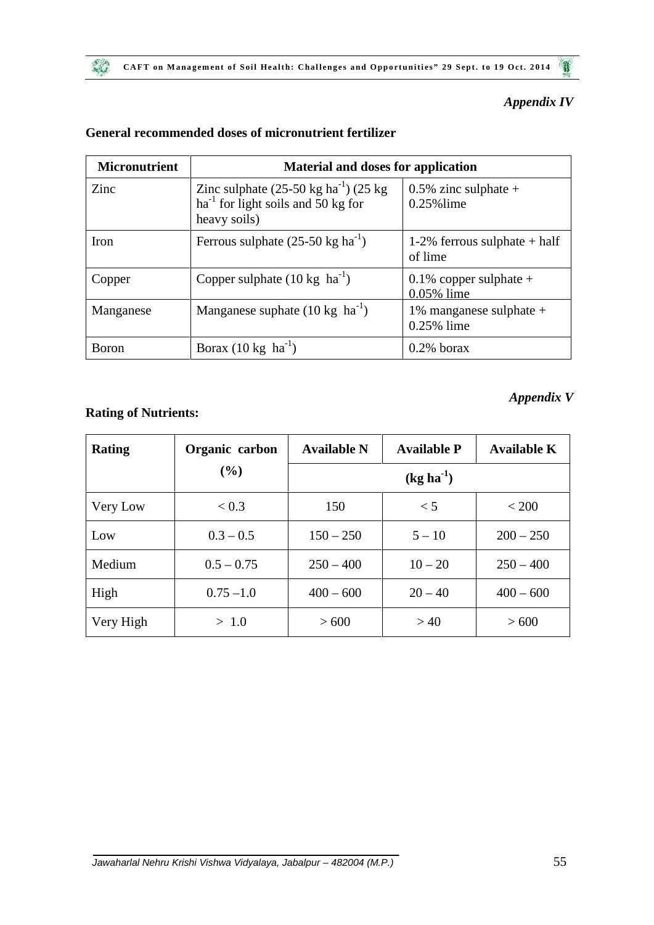## *Appendix IV*

| <b>Micronutrient</b><br><b>Material and doses for application</b> |                                                                                                                         |                                            |  |  |  |
|-------------------------------------------------------------------|-------------------------------------------------------------------------------------------------------------------------|--------------------------------------------|--|--|--|
| Zinc                                                              | Zinc sulphate $(25-50 \text{ kg ha}^{-1})$ $(25 \text{ kg})$<br>$ha^{-1}$ for light soils and 50 kg for<br>heavy soils) | $0.5\%$ zinc sulphate +<br>$0.25\%$ lime   |  |  |  |
| Iron                                                              | Ferrous sulphate $(25-50 \text{ kg ha}^{-1})$                                                                           | 1-2% ferrous sulphate $+$ half<br>of lime  |  |  |  |
| Copper                                                            | Copper sulphate $(10 \text{ kg } \text{ha}^{-1})$                                                                       | $0.1\%$ copper sulphate +<br>$0.05\%$ lime |  |  |  |
| Manganese                                                         | Manganese suphate $(10 \text{ kg } \text{ha}^{-1})$                                                                     | 1% manganese sulphate $+$<br>0.25% lime    |  |  |  |
| <b>B</b> oron                                                     | Borax $(10 \text{ kg } \text{ha}^{-1})$                                                                                 | $0.2\%$ borax                              |  |  |  |

## **General recommended doses of micronutrient fertilizer**

## **Rating of Nutrients:**

 $\mathcal{L}$ 

## *Appendix V*

| <b>Rating</b> | Organic carbon | <b>Available N</b> | <b>Available P</b> | <b>Available K</b> |
|---------------|----------------|--------------------|--------------------|--------------------|
|               | (%)            |                    | $(kg ha^{-1})$     |                    |
| Very Low      | < 0.3          | 150                | < 5                | < 200              |
| Low           | $0.3 - 0.5$    | $150 - 250$        | $5 - 10$           | $200 - 250$        |
| Medium        | $0.5 - 0.75$   | $250 - 400$        | $10 - 20$          | $250 - 400$        |
| High          | $0.75 - 1.0$   | $400 - 600$        | $20 - 40$          | $400 - 600$        |
| Very High     | > 1.0          | > 600              | >40                | > 600              |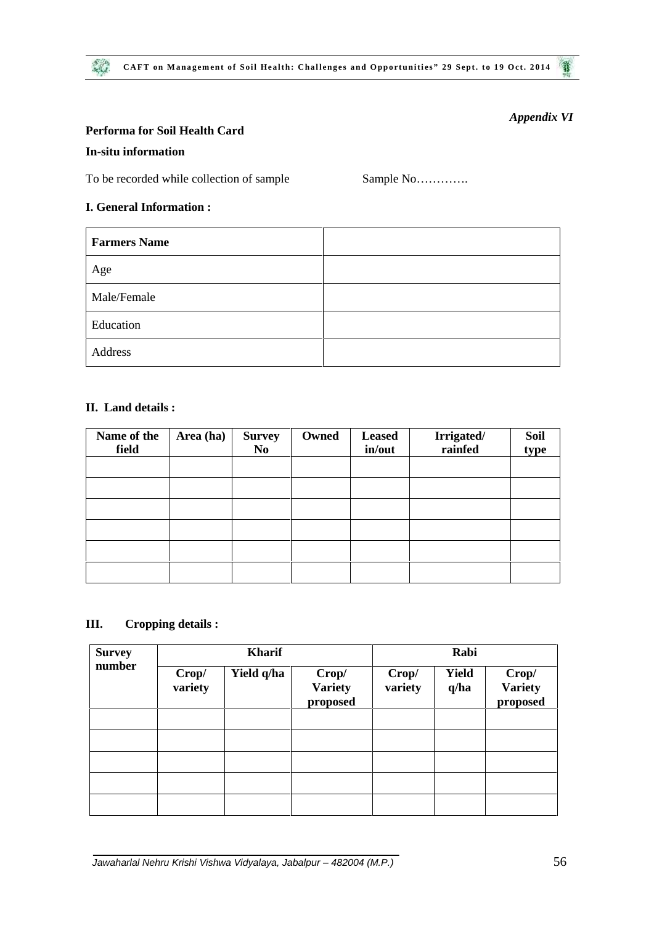#### **Performa for Soil Health Card**

#### **In-situ information**

To be recorded while collection of sample Sample No………….

#### **I. General Information :**

| <b>Farmers Name</b> |  |
|---------------------|--|
| Age                 |  |
| Male/Female         |  |
| Education           |  |
| Address             |  |

## **II. Land details :**

| Name of the<br>field | Area (ha) | <b>Survey</b><br>N <sub>0</sub> | Owned | <b>Leased</b><br>in/out | Irrigated/<br>rainfed | <b>Soil</b><br>type |
|----------------------|-----------|---------------------------------|-------|-------------------------|-----------------------|---------------------|
|                      |           |                                 |       |                         |                       |                     |
|                      |           |                                 |       |                         |                       |                     |
|                      |           |                                 |       |                         |                       |                     |
|                      |           |                                 |       |                         |                       |                     |
|                      |           |                                 |       |                         |                       |                     |
|                      |           |                                 |       |                         |                       |                     |

#### **III. Cropping details :**

| <b>Survey</b><br>number | <b>Kharif</b>    |            |                                     | Rabi             |                      |                                     |  |
|-------------------------|------------------|------------|-------------------------------------|------------------|----------------------|-------------------------------------|--|
|                         | Crop/<br>variety | Yield q/ha | Crop/<br><b>Variety</b><br>proposed | Crop/<br>variety | <b>Yield</b><br>q/ha | Crop/<br><b>Variety</b><br>proposed |  |
|                         |                  |            |                                     |                  |                      |                                     |  |
|                         |                  |            |                                     |                  |                      |                                     |  |
|                         |                  |            |                                     |                  |                      |                                     |  |
|                         |                  |            |                                     |                  |                      |                                     |  |
|                         |                  |            |                                     |                  |                      |                                     |  |

*Appendix VI*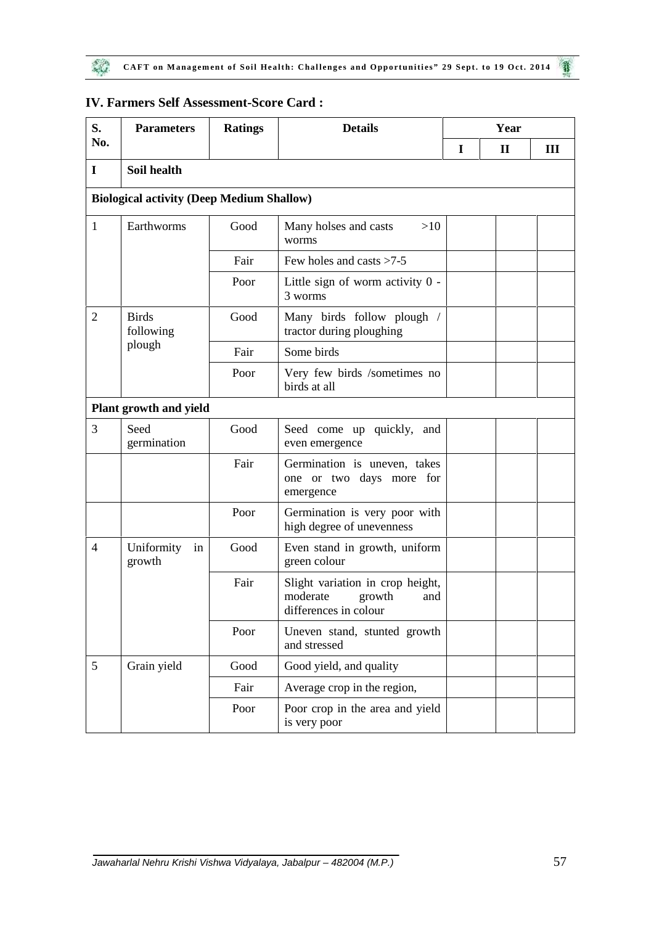| S.             | <b>Parameters</b>                                | <b>Ratings</b> | <b>Details</b>                                                                         | Year |              |     |  |
|----------------|--------------------------------------------------|----------------|----------------------------------------------------------------------------------------|------|--------------|-----|--|
| No.            |                                                  |                |                                                                                        | I    | $\mathbf{I}$ | III |  |
| $\mathbf I$    | Soil health                                      |                |                                                                                        |      |              |     |  |
|                | <b>Biological activity (Deep Medium Shallow)</b> |                |                                                                                        |      |              |     |  |
| $\mathbf{1}$   | Earthworms                                       | Good           | Many holses and casts<br>>10<br>worms                                                  |      |              |     |  |
|                |                                                  | Fair           | Few holes and casts $>7-5$                                                             |      |              |     |  |
|                |                                                  | Poor           | Little sign of worm activity 0 -<br>3 worms                                            |      |              |     |  |
| $\overline{2}$ | <b>Birds</b><br>following                        | Good           | Many birds follow plough /<br>tractor during ploughing                                 |      |              |     |  |
|                | plough                                           | Fair           | Some birds                                                                             |      |              |     |  |
|                |                                                  | Poor           | Very few birds /sometimes no<br>birds at all                                           |      |              |     |  |
|                | Plant growth and yield                           |                |                                                                                        |      |              |     |  |
| 3              | Seed<br>germination                              | Good           | Seed come up quickly,<br>and<br>even emergence                                         |      |              |     |  |
|                |                                                  | Fair           | Germination is uneven, takes<br>one or two days more for<br>emergence                  |      |              |     |  |
|                |                                                  | Poor           | Germination is very poor with<br>high degree of unevenness                             |      |              |     |  |
| 4              | Uniformity<br>in<br>growth                       | Good           | Even stand in growth, uniform<br>green colour                                          |      |              |     |  |
|                |                                                  | Fair           | Slight variation in crop height,<br>moderate<br>growth<br>and<br>differences in colour |      |              |     |  |
|                |                                                  | Poor           | Uneven stand, stunted growth<br>and stressed                                           |      |              |     |  |
| 5              | Grain yield                                      | Good           | Good yield, and quality                                                                |      |              |     |  |
|                |                                                  | Fair           | Average crop in the region,                                                            |      |              |     |  |
|                |                                                  | Poor           | Poor crop in the area and yield<br>is very poor                                        |      |              |     |  |

## **IV. Farmers Self Assessment-Score Card :**

 $\mathcal{L}$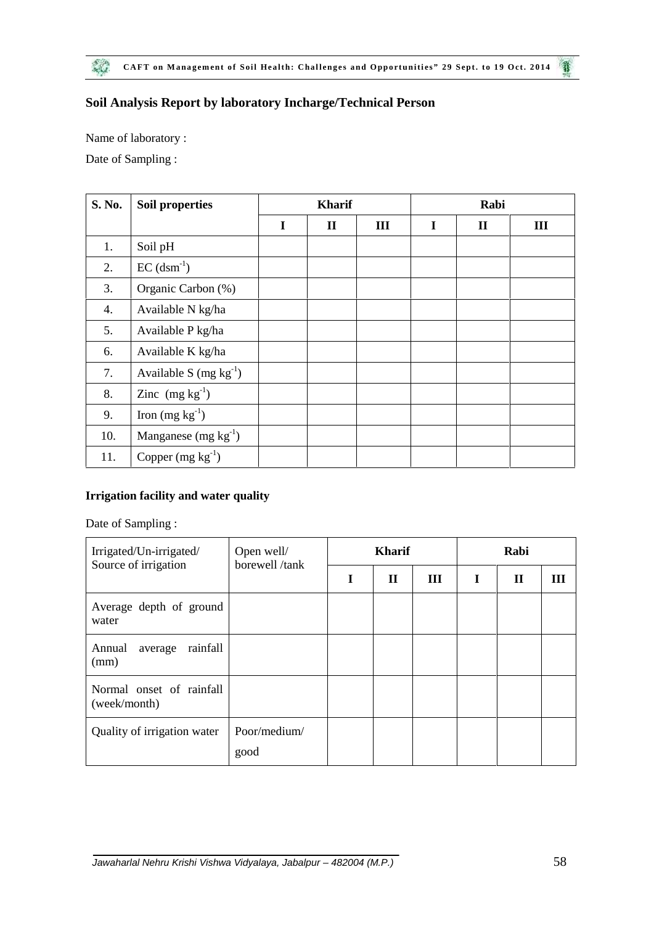## **Soil Analysis Report by laboratory Incharge/Technical Person**

Name of laboratory :

Date of Sampling :

| S. No. | Soil properties           |   | <b>Kharif</b> |   |   | Rabi         |   |
|--------|---------------------------|---|---------------|---|---|--------------|---|
|        |                           | I | $\mathbf{I}$  | Ш | I | $\mathbf{I}$ | Ш |
| 1.     | Soil pH                   |   |               |   |   |              |   |
| 2.     | $EC$ (dsm <sup>-1</sup> ) |   |               |   |   |              |   |
| 3.     | Organic Carbon (%)        |   |               |   |   |              |   |
| 4.     | Available N kg/ha         |   |               |   |   |              |   |
| 5.     | Available P kg/ha         |   |               |   |   |              |   |
| 6.     | Available K kg/ha         |   |               |   |   |              |   |
| 7.     | Available S $(mg kg-1)$   |   |               |   |   |              |   |
| 8.     | Zinc $(mg kg^{-1})$       |   |               |   |   |              |   |
| 9.     | Iron $(mg kg^{-1})$       |   |               |   |   |              |   |
| 10.    | Manganese $(mg kg-1)$     |   |               |   |   |              |   |
| 11.    | Copper $(mg kg^{-1})$     |   |               |   |   |              |   |

#### **Irrigation facility and water quality**

Date of Sampling :

| Irrigated/Un-irrigated/<br>Source of irrigation | Open well/<br>borewell/tank | <b>Kharif</b> |             |   | Rabi |             |   |
|-------------------------------------------------|-----------------------------|---------------|-------------|---|------|-------------|---|
|                                                 |                             |               | $\mathbf H$ | Ш | I    | $\mathbf H$ | Ш |
| Average depth of ground<br>water                |                             |               |             |   |      |             |   |
| Annual<br>rainfall<br>average<br>(mm)           |                             |               |             |   |      |             |   |
| Normal onset of rainfall<br>(week/month)        |                             |               |             |   |      |             |   |
| Quality of irrigation water                     | Poor/medium/<br>good        |               |             |   |      |             |   |